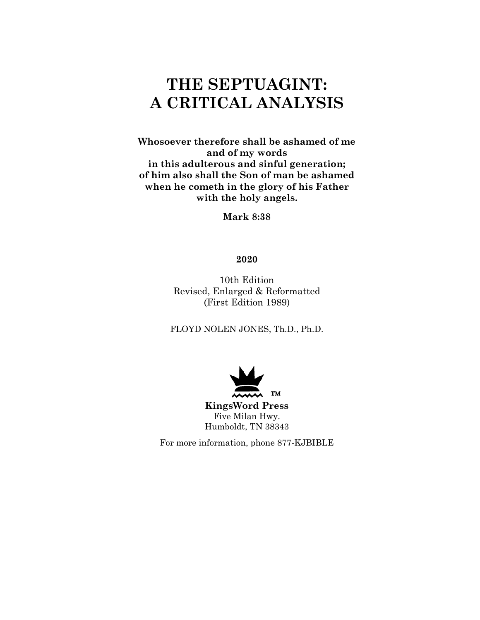# **THE SEPTUAGINT: A CRITICAL ANALYSIS**

**Whosoever therefore shall be ashamed of me and of my words in this adulterous and sinful generation; of him also shall the Son of man be ashamed when he cometh in the glory of his Father with the holy angels.** 

**Mark 8:38** 

### **2020**

10th Edition Revised, Enlarged & Reformatted (First Edition 1989)

FLOYD NOLEN JONES, Th.D., Ph.D.



For more information, phone 877-KJBIBLE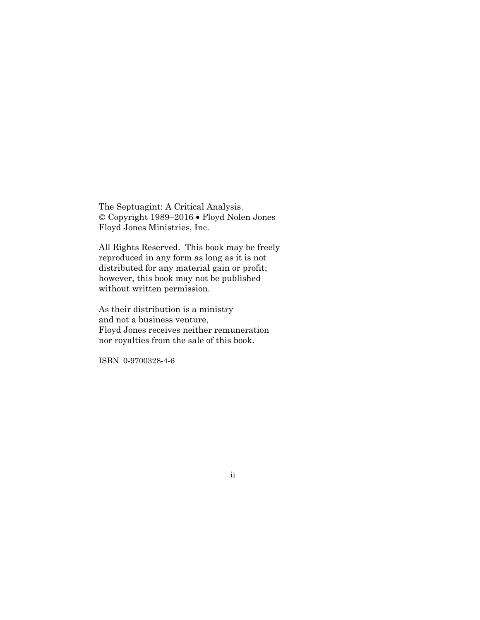The Septuagint: A Critical Analysis. © Copyright 1989–2016 • Floyd Nolen Jones Floyd Jones Ministries, Inc.

All Rights Reserved. This book may be freely reproduced in any form as long as it is not distributed for any material gain or profit; however, this book may not be published without written permission.

As their distribution is a ministry and not a business venture, Floyd Jones receives neither remuneration nor royalties from the sale of this book.

ISBN 0-9700328-4-6

#### ii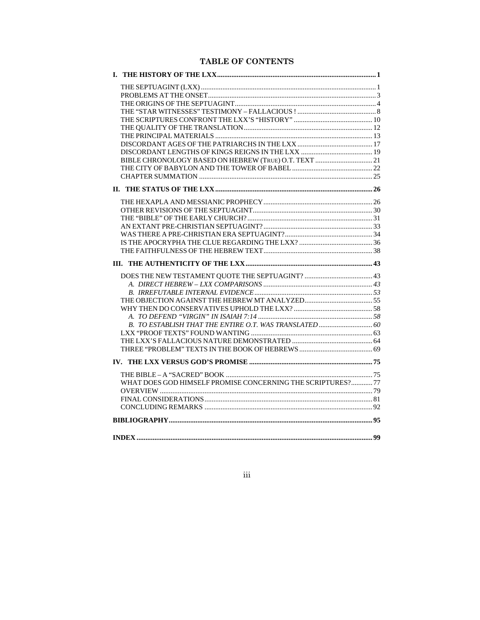# **TABLE OF CONTENTS**

| L.                                                         |  |
|------------------------------------------------------------|--|
|                                                            |  |
|                                                            |  |
|                                                            |  |
|                                                            |  |
|                                                            |  |
|                                                            |  |
|                                                            |  |
|                                                            |  |
|                                                            |  |
|                                                            |  |
|                                                            |  |
|                                                            |  |
|                                                            |  |
|                                                            |  |
|                                                            |  |
|                                                            |  |
|                                                            |  |
|                                                            |  |
|                                                            |  |
|                                                            |  |
|                                                            |  |
|                                                            |  |
|                                                            |  |
|                                                            |  |
|                                                            |  |
|                                                            |  |
|                                                            |  |
|                                                            |  |
|                                                            |  |
|                                                            |  |
|                                                            |  |
|                                                            |  |
|                                                            |  |
|                                                            |  |
|                                                            |  |
|                                                            |  |
|                                                            |  |
|                                                            |  |
| WHAT DOES GOD HIMSELF PROMISE CONCERNING THE SCRIPTURES?77 |  |
|                                                            |  |
|                                                            |  |
|                                                            |  |
|                                                            |  |
|                                                            |  |

iii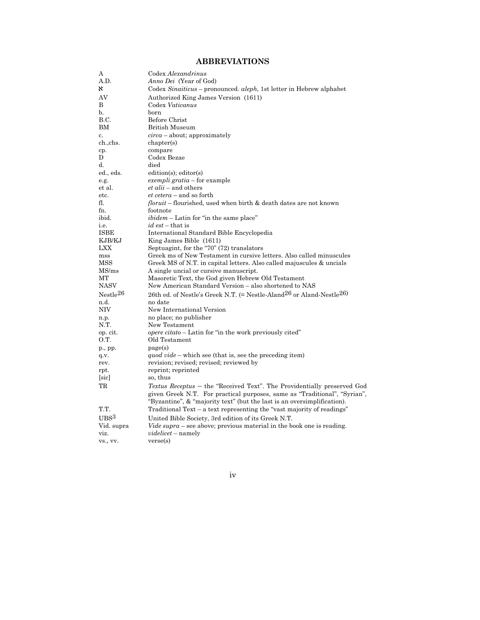## **ABBREVIATIONS**

| А                    | Codex Alexandrinus                                                                                                                                |
|----------------------|---------------------------------------------------------------------------------------------------------------------------------------------------|
| A.D.                 | <i>Anno Dei</i> (Year of God)                                                                                                                     |
| x                    | Codex Sinaiticus – pronounced. aleph, 1st letter in Hebrew alphabet                                                                               |
| AV                   | Authorized King James Version (1611)                                                                                                              |
| B                    | Codex Vaticanus                                                                                                                                   |
| b.                   | born                                                                                                                                              |
| B.C.                 | Before Christ                                                                                                                                     |
| <b>BM</b>            | <b>British Museum</b>                                                                                                                             |
| c.                   | $circa$ – about; approximately                                                                                                                    |
| ch.,chs.             | chapters)                                                                                                                                         |
| cp.                  | compare                                                                                                                                           |
| D                    | Codex Bezae                                                                                                                                       |
| d.                   | died                                                                                                                                              |
| ed., eds.            | edition(s); editor(s)                                                                                                                             |
| e.g.                 | exempli gratia - for example                                                                                                                      |
| et al.               | <i>et alii</i> – and others                                                                                                                       |
| etc.                 | <i>et cetera</i> – and so forth                                                                                                                   |
| fl.                  | <i>floruit</i> – flourished, used when birth & death dates are not known                                                                          |
| fn.                  | footnote                                                                                                                                          |
| ibid.                | ibidem - Latin for "in the same place"                                                                                                            |
| i.e.                 | $id$ est – that is                                                                                                                                |
| <b>ISBE</b>          | International Standard Bible Encyclopedia                                                                                                         |
| KJB/KJ               | King James Bible (1611)                                                                                                                           |
| LXX                  | Septuagint, for the "70" (72) translators                                                                                                         |
| mss                  | Greek ms of New Testament in cursive letters. Also called minuscules                                                                              |
| MSS                  | Greek MS of N.T. in capital letters. Also called majuscules & uncials                                                                             |
| MS/ms<br><b>MT</b>   | A single uncial or cursive manuscript.                                                                                                            |
| <b>NASV</b>          | Masoretic Text, the God given Hebrew Old Testament<br>New American Standard Version - also shortened to NAS                                       |
|                      |                                                                                                                                                   |
| Nestle <sup>26</sup> | 26th ed. of Nestle's Greek N.T. (= Nestle-Aland <sup>26</sup> or Aland-Nestle <sup>26)</sup>                                                      |
| n.d.                 | no date                                                                                                                                           |
| NIV                  | New International Version                                                                                                                         |
| n.p.<br>N.T.         | no place; no publisher<br>New Testament                                                                                                           |
|                      | <i>opere citato</i> – Latin for "in the work previously cited"                                                                                    |
| op. cit.<br>O.T.     | Old Testament                                                                                                                                     |
| p., pp.              | page(s)                                                                                                                                           |
| q.v.                 | quod vide – which see (that is, see the preceding item)                                                                                           |
| rev.                 | revision; revised; revised; reviewed by                                                                                                           |
| rpt.                 | reprint; reprinted                                                                                                                                |
| [sic]                | so, thus                                                                                                                                          |
| TR                   | Textus Receptus - the "Received Text". The Providentially preserved God                                                                           |
|                      | given Greek N.T. For practical purposes, same as "Traditional", "Syrian",                                                                         |
| T.T.                 | "Byzantine", & "majority text" (but the last is an oversimplification).<br>Traditional Text – a text representing the "vast majority of readings" |
| $_{\rm UBS}$ 3       |                                                                                                                                                   |
|                      | United Bible Society, 3rd edition of its Greek N.T.                                                                                               |
| Vid. supra           | <i>Vide supra</i> – see above; previous material in the book one is reading.                                                                      |
| viz.                 | <i>videlicet</i> – namely                                                                                                                         |
| vs., vv.             | verse(s)                                                                                                                                          |

iv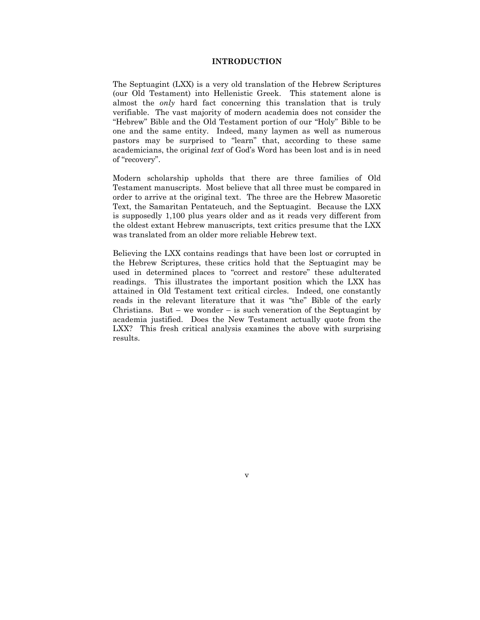#### **INTRODUCTION**

The Septuagint (LXX) is a very old translation of the Hebrew Scriptures (our Old Testament) into Hellenistic Greek. This statement alone is almost the *only* hard fact concerning this translation that is truly verifiable. The vast majority of modern academia does not consider the "Hebrew" Bible and the Old Testament portion of our "Holy" Bible to be one and the same entity. Indeed, many laymen as well as numerous pastors may be surprised to "learn" that, according to these same academicians, the original *text* of God's Word has been lost and is in need of "recovery".

Modern scholarship upholds that there are three families of Old Testament manuscripts. Most believe that all three must be compared in order to arrive at the original text. The three are the Hebrew Masoretic Text, the Samaritan Pentateuch, and the Septuagint. Because the LXX is supposedly 1,100 plus years older and as it reads very different from the oldest extant Hebrew manuscripts, text critics presume that the LXX was translated from an older more reliable Hebrew text.

Believing the LXX contains readings that have been lost or corrupted in the Hebrew Scriptures, these critics hold that the Septuagint may be used in determined places to "correct and restore" these adulterated readings. This illustrates the important position which the LXX has attained in Old Testament text critical circles. Indeed, one constantly reads in the relevant literature that it was "the" Bible of the early Christians. But – we wonder – is such veneration of the Septuagint by academia justified. Does the New Testament actually quote from the LXX? This fresh critical analysis examines the above with surprising results.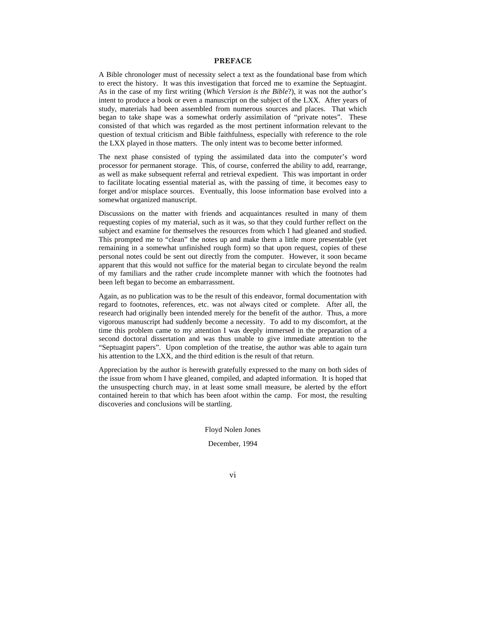#### **PREFACE**

A Bible chronologer must of necessity select a text as the foundational base from which to erect the history. It was this investigation that forced me to examine the Septuagint. As in the case of my first writing (*Which Version is the Bible*?), it was not the author's intent to produce a book or even a manuscript on the subject of the LXX. After years of study, materials had been assembled from numerous sources and places. That which began to take shape was a somewhat orderly assimilation of "private notes". These consisted of that which was regarded as the most pertinent information relevant to the question of textual criticism and Bible faithfulness, especially with reference to the role the LXX played in those matters. The only intent was to become better informed.

The next phase consisted of typing the assimilated data into the computer's word processor for permanent storage. This, of course, conferred the ability to add, rearrange, as well as make subsequent referral and retrieval expedient. This was important in order to facilitate locating essential material as, with the passing of time, it becomes easy to forget and/or misplace sources. Eventually, this loose information base evolved into a somewhat organized manuscript.

Discussions on the matter with friends and acquaintances resulted in many of them requesting copies of my material, such as it was, so that they could further reflect on the subject and examine for themselves the resources from which I had gleaned and studied. This prompted me to "clean" the notes up and make them a little more presentable (yet remaining in a somewhat unfinished rough form) so that upon request, copies of these personal notes could be sent out directly from the computer. However, it soon became apparent that this would not suffice for the material began to circulate beyond the realm of my familiars and the rather crude incomplete manner with which the footnotes had been left began to become an embarrassment.

Again, as no publication was to be the result of this endeavor, formal documentation with regard to footnotes, references, etc. was not always cited or complete. After all, the research had originally been intended merely for the benefit of the author. Thus, a more vigorous manuscript had suddenly become a necessity. To add to my discomfort, at the time this problem came to my attention I was deeply immersed in the preparation of a second doctoral dissertation and was thus unable to give immediate attention to the "Septuagint papers". Upon completion of the treatise, the author was able to again turn his attention to the LXX, and the third edition is the result of that return.

Appreciation by the author is herewith gratefully expressed to the many on both sides of the issue from whom I have gleaned, compiled, and adapted information. It is hoped that the unsuspecting church may, in at least some small measure, be alerted by the effort contained herein to that which has been afoot within the camp. For most, the resulting discoveries and conclusions will be startling.

Floyd Nolen Jones

December, 1994

vi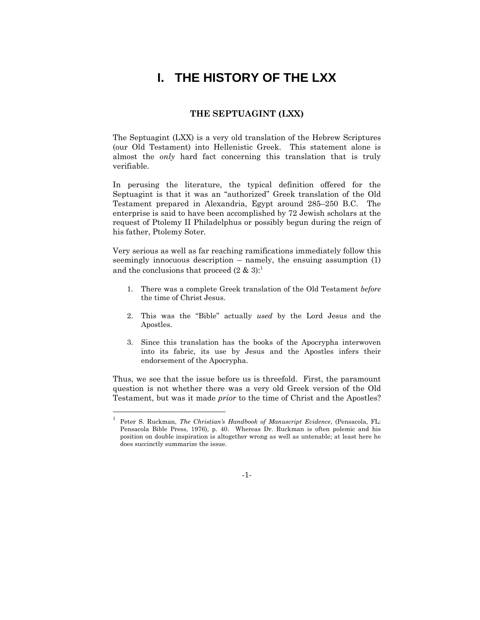# **I. THE HISTORY OF THE LXX**

#### **THE SEPTUAGINT (LXX)**

The Septuagint (LXX) is a very old translation of the Hebrew Scriptures (our Old Testament) into Hellenistic Greek. This statement alone is almost the *only* hard fact concerning this translation that is truly verifiable.

In perusing the literature, the typical definition offered for the Septuagint is that it was an "authorized" Greek translation of the Old Testament prepared in Alexandria, Egypt around 285–250 B.C. The enterprise is said to have been accomplished by 72 Jewish scholars at the request of Ptolemy II Philadelphus or possibly begun during the reign of his father, Ptolemy Soter.

Very serious as well as far reaching ramifications immediately follow this seemingly innocuous description – namely, the ensuing assumption (1) and the conclusions that proceed  $(2 \& 3)^{1}$ .

- 1. There was a complete Greek translation of the Old Testament *before*  the time of Christ Jesus.
- 2. This was the "Bible" actually *used* by the Lord Jesus and the Apostles.
- 3. Since this translation has the books of the Apocrypha interwoven into its fabric, its use by Jesus and the Apostles infers their endorsement of the Apocrypha.

Thus, we see that the issue before us is threefold. First, the paramount question is not whether there was a very old Greek version of the Old Testament, but was it made *prior* to the time of Christ and the Apostles?

l

-1-

<sup>1</sup> Peter S. Ruckman, *The Christian's Handbook of Manuscript Evidence*, (Pensacola, FL: Pensacola Bible Press, 1976), p. 40. Whereas Dr. Ruckman is often polemic and his position on double inspiration is altogether wrong as well as untenable; at least here he does succinctly summarize the issue.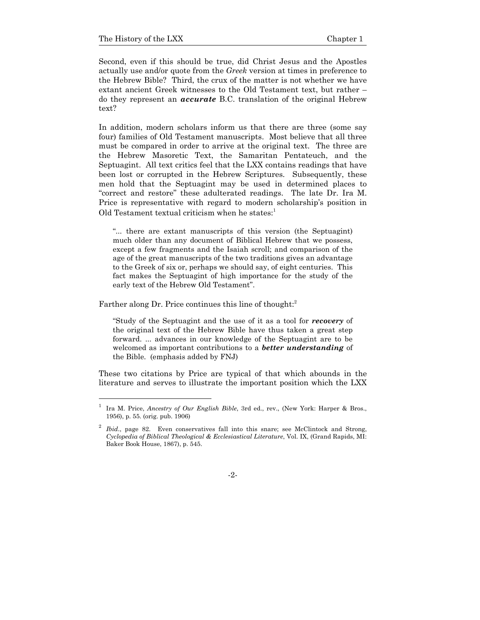l

Second, even if this should be true, did Christ Jesus and the Apostles actually use and/or quote from the *Greek* version at times in preference to the Hebrew Bible? Third, the crux of the matter is not whether we have extant ancient Greek witnesses to the Old Testament text, but rather – do they represent an *accurate* B.C. translation of the original Hebrew text?

In addition, modern scholars inform us that there are three (some say four) families of Old Testament manuscripts. Most believe that all three must be compared in order to arrive at the original text. The three are the Hebrew Masoretic Text, the Samaritan Pentateuch, and the Septuagint. All text critics feel that the LXX contains readings that have been lost or corrupted in the Hebrew Scriptures. Subsequently, these men hold that the Septuagint may be used in determined places to "correct and restore" these adulterated readings. The late Dr. Ira M. Price is representative with regard to modern scholarship's position in Old Testament textual criticism when he states: $<sup>1</sup>$ </sup>

"... there are extant manuscripts of this version (the Septuagint) much older than any document of Biblical Hebrew that we possess, except a few fragments and the Isaiah scroll; and comparison of the age of the great manuscripts of the two traditions gives an advantage to the Greek of six or, perhaps we should say, of eight centuries. This fact makes the Septuagint of high importance for the study of the early text of the Hebrew Old Testament".

Farther along Dr. Price continues this line of thought:<sup>2</sup>

"Study of the Septuagint and the use of it as a tool for *recovery* of the original text of the Hebrew Bible have thus taken a great step forward. ... advances in our knowledge of the Septuagint are to be welcomed as important contributions to a *better understanding* of the Bible. (emphasis added by FNJ)

These two citations by Price are typical of that which abounds in the literature and serves to illustrate the important position which the LXX

<sup>1</sup> Ira M. Price, *Ancestry of Our English Bible*, 3rd ed., rev., (New York: Harper & Bros., 1956), p. 55. (orig. pub. 1906)

<sup>2</sup> *Ibid*., page 82. Even conservatives fall into this snare; see McClintock and Strong, *Cyclopedia of Biblical Theological & Ecclesiastical Literature*, Vol. IX, (Grand Rapids, MI: Baker Book House, 1867), p. 545.

<sup>-2-</sup>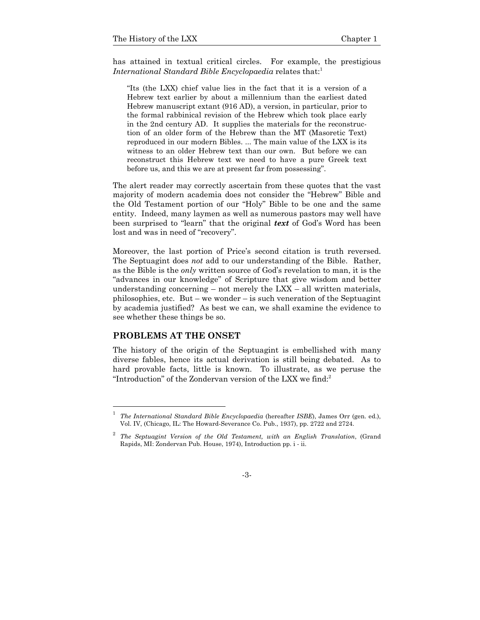has attained in textual critical circles. For example, the prestigious *International Standard Bible Encyclopaedia* relates that:<sup>1</sup>

"Its (the LXX) chief value lies in the fact that it is a version of a Hebrew text earlier by about a millennium than the earliest dated Hebrew manuscript extant (916 AD), a version, in particular, prior to the formal rabbinical revision of the Hebrew which took place early in the 2nd century AD. It supplies the materials for the reconstruction of an older form of the Hebrew than the MT (Masoretic Text) reproduced in our modern Bibles. ... The main value of the LXX is its witness to an older Hebrew text than our own. But before we can reconstruct this Hebrew text we need to have a pure Greek text before us, and this we are at present far from possessing".

The alert reader may correctly ascertain from these quotes that the vast majority of modern academia does not consider the "Hebrew" Bible and the Old Testament portion of our "Holy" Bible to be one and the same entity. Indeed, many laymen as well as numerous pastors may well have been surprised to "learn" that the original *text* of God's Word has been lost and was in need of "recovery".

Moreover, the last portion of Price's second citation is truth reversed. The Septuagint does *not* add to our understanding of the Bible. Rather, as the Bible is the *only* written source of God's revelation to man, it is the "advances in our knowledge" of Scripture that give wisdom and better understanding concerning – not merely the  $LXX - all$  written materials, philosophies, etc. But – we wonder – is such veneration of the Septuagint by academia justified? As best we can, we shall examine the evidence to see whether these things be so.

#### **PROBLEMS AT THE ONSET**

l

The history of the origin of the Septuagint is embellished with many diverse fables, hence its actual derivation is still being debated. As to hard provable facts, little is known. To illustrate, as we peruse the "Introduction" of the Zondervan version of the LXX we find:<sup>2</sup>

<sup>1</sup> *The International Standard Bible Encyclopaedia* (hereafter *ISBE*), James Orr (gen. ed.), Vol. IV, (Chicago, IL: The Howard-Severance Co. Pub., 1937), pp. 2722 and 2724.

<sup>2</sup> *The Septuagint Version of the Old Testament, with an English Translation*, (Grand Rapids, MI: Zondervan Pub. House, 1974), Introduction pp. i - ii.

<sup>-3-</sup>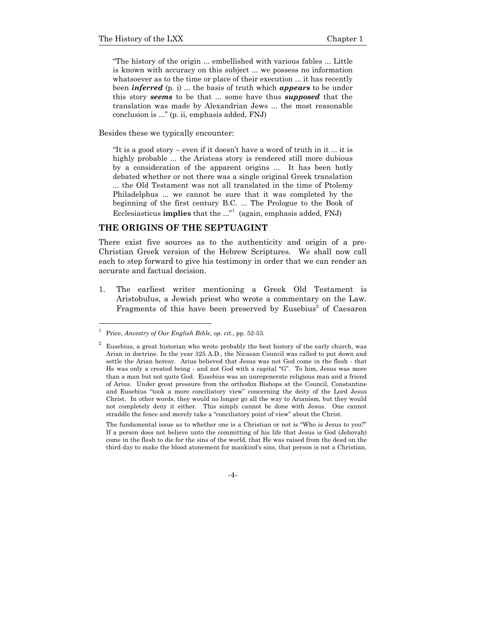"The history of the origin ... embellished with various fables ... Little is known with accuracy on this subject ... we possess no information whatsoever as to the time or place of their execution ... it has recently been *inferred* (p. i) ... the basis of truth which *appears* to be under this story *seems* to be that ... some have thus *supposed* that the translation was made by Alexandrian Jews ... the most reasonable conclusion is ..." (p. ii, emphasis added, FNJ)

Besides these we typically encounter:

"It is a good story – even if it doesn't have a word of truth in it ... it is highly probable ... the Aristeas story is rendered still more dubious by a consideration of the apparent origins ... It has been hotly debated whether or not there was a single original Greek translation ... the Old Testament was not all translated in the time of Ptolemy Philadelphus ... we cannot be sure that it was completed by the beginning of the first century B.C. ... The Prologue to the Book of Ecclesiasticus **implies** that the ..."<sup>1</sup> (again, emphasis added, FNJ)

#### **THE ORIGINS OF THE SEPTUAGINT**

There exist five sources as to the authenticity and origin of a pre-Christian Greek version of the Hebrew Scriptures. We shall now call each to step forward to give his testimony in order that we can render an accurate and factual decision.

1. The earliest writer mentioning a Greek Old Testament is Aristobulus, a Jewish priest who wrote a commentary on the Law. Fragments of this have been preserved by Eusebius<sup>2</sup> of Caesarea

l

2

<sup>1</sup> Price, *Ancestry of Our English Bible, op. cit.*, pp. 52-53.

Eusebius, a great historian who wrote probably the best history of the early church, was Arian in doctrine. In the year 325 A.D., the Nicaean Council was called to put down and settle the Arian heresy. Arius believed that Jesus was not God come in the flesh - that He was only a created being - and not God with a capital "G". To him, Jesus was more than a man but not quite God. Eusebius was an unregenerate religious man and a friend of Arius. Under great pressure from the orthodox Bishops at the Council, Constantine and Eusebius "took a more conciliatory view" concerning the deity of the Lord Jesus Christ. In other words, they would no longer go all the way to Arianism, but they would not completely deny it either. This simply cannot be done with Jesus. One cannot straddle the fence and merely take a "conciliatory point of view" about the Christ.

The fundamental issue as to whether one is a Christian or not is "Who is Jesus to you?" If a person does not believe unto the committing of his life that Jesus is God (Jehovah) come in the flesh to die for the sins of the world, that He was raised from the dead on the third day to make the blood atonement for mankind's sins, that person is not a Christian.

<sup>-4-</sup>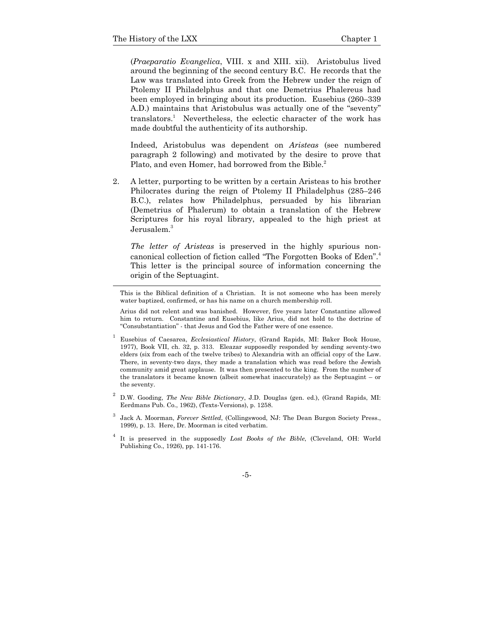l

(*Praeparatio Evangelica*, VIII. x and XIII. xii). Aristobulus lived around the beginning of the second century B.C. He records that the Law was translated into Greek from the Hebrew under the reign of Ptolemy II Philadelphus and that one Demetrius Phalereus had been employed in bringing about its production. Eusebius (260–339 A.D.) maintains that Aristobulus was actually one of the "seventy" translators.<sup>1</sup> Nevertheless, the eclectic character of the work has made doubtful the authenticity of its authorship.

 Indeed, Aristobulus was dependent on *Aristeas* (see numbered paragraph 2 following) and motivated by the desire to prove that Plato, and even Homer, had borrowed from the Bible.<sup>2</sup>

2. A letter, purporting to be written by a certain Aristeas to his brother Philocrates during the reign of Ptolemy II Philadelphus (285–246 B.C.), relates how Philadelphus, persuaded by his librarian (Demetrius of Phalerum) to obtain a translation of the Hebrew Scriptures for his royal library, appealed to the high priest at Jerusalem.<sup>3</sup>

*The letter of Aristeas* is preserved in the highly spurious noncanonical collection of fiction called "The Forgotten Books of Eden".4 This letter is the principal source of information concerning the origin of the Septuagint.

 Arius did not relent and was banished. However, five years later Constantine allowed him to return. Constantine and Eusebius, like Arius, did not hold to the doctrine of "Consubstantiation" - that Jesus and God the Father were of one essence.

- 1 Eusebius of Caesarea, *Ecclesiastical History*, (Grand Rapids, MI: Baker Book House, 1977), Book VII, ch. 32, p. 313. Eleazar supposedly responded by sending seventy-two elders (six from each of the twelve tribes) to Alexandria with an official copy of the Law. There, in seventy-two days, they made a translation which was read before the Jewish community amid great applause. It was then presented to the king. From the number of the translators it became known (albeit somewhat inaccurately) as the Septuagint – or the seventy.
- 2 D.W. Gooding, *The New Bible Dictionary*, J.D. Douglas (gen. ed.), (Grand Rapids, MI: Eerdmans Pub. Co., 1962), (Texts-Versions), p. 1258.
- 3 Jack A. Moorman, *Forever Settled*, (Collingswood, NJ: The Dean Burgon Society Press., 1999), p. 13. Here, Dr. Moorman is cited verbatim.
- 4 It is preserved in the supposedly *Lost Books of the Bible*, (Cleveland, OH: World Publishing Co., 1926), pp. 141-176.

-5-

This is the Biblical definition of a Christian. It is not someone who has been merely water baptized, confirmed, or has his name on a church membership roll.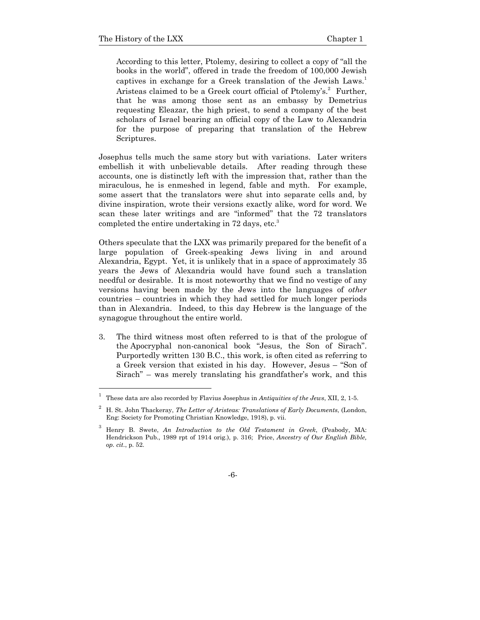According to this letter, Ptolemy, desiring to collect a copy of "all the books in the world", offered in trade the freedom of 100,000 Jewish captives in exchange for a Greek translation of the Jewish Laws.<sup>1</sup> Aristeas claimed to be a Greek court official of Ptolemy's.<sup>2</sup> Further, that he was among those sent as an embassy by Demetrius requesting Eleazar, the high priest, to send a company of the best scholars of Israel bearing an official copy of the Law to Alexandria for the purpose of preparing that translation of the Hebrew Scriptures.

Josephus tells much the same story but with variations. Later writers embellish it with unbelievable details. After reading through these accounts, one is distinctly left with the impression that, rather than the miraculous, he is enmeshed in legend, fable and myth. For example, some assert that the translators were shut into separate cells and, by divine inspiration, wrote their versions exactly alike, word for word. We scan these later writings and are "informed" that the 72 translators completed the entire undertaking in 72 days, etc.<sup>3</sup>

Others speculate that the LXX was primarily prepared for the benefit of a large population of Greek-speaking Jews living in and around Alexandria, Egypt. Yet, it is unlikely that in a space of approximately 35 years the Jews of Alexandria would have found such a translation needful or desirable. It is most noteworthy that we find no vestige of any versions having been made by the Jews into the languages of *other*  countries – countries in which they had settled for much longer periods than in Alexandria. Indeed, to this day Hebrew is the language of the synagogue throughout the entire world.

3. The third witness most often referred to is that of the prologue of the Apocryphal non-canonical book "Jesus, the Son of Sirach". Purportedly written 130 B.C., this work, is often cited as referring to a Greek version that existed in his day. However, Jesus – "Son of Sirach" – was merely translating his grandfather's work, and this

<sup>1</sup> These data are also recorded by Flavius Josephus in *Antiquities of the Jews*, XII, 2, 1-5.

<sup>2</sup> H. St. John Thackeray, *The Letter of Aristeas: Translations of Early Documents*, (London, Eng: Society for Promoting Christian Knowledge, 1918), p. vii.

<sup>3</sup> Henry B. Swete, *An Introduction to the Old Testament in Greek*, (Peabody, MA: Hendrickson Pub., 1989 rpt of 1914 orig.), p. 316; Price, *Ancestry of Our English Bible, op. cit.*, p. 52.

<sup>-6-</sup>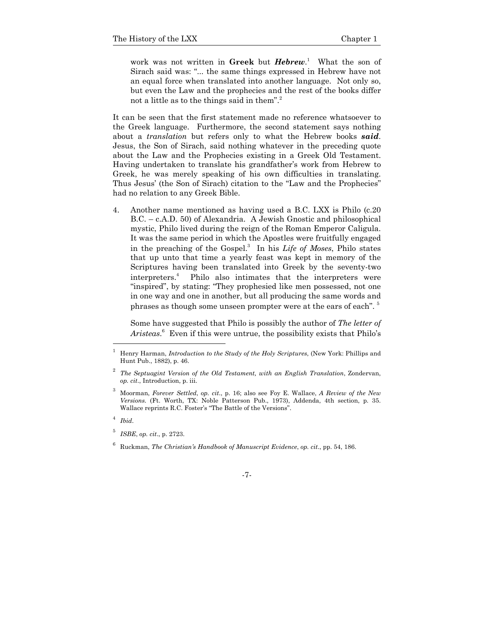work was not written in **Greek** but *Hebrew*. 1 What the son of Sirach said was: "... the same things expressed in Hebrew have not an equal force when translated into another language. Not only so, but even the Law and the prophecies and the rest of the books differ not a little as to the things said in them".<sup>2</sup>

It can be seen that the first statement made no reference whatsoever to the Greek language. Furthermore, the second statement says nothing about a *translation* but refers only to what the Hebrew books *said*. Jesus, the Son of Sirach, said nothing whatever in the preceding quote about the Law and the Prophecies existing in a Greek Old Testament. Having undertaken to translate his grandfather's work from Hebrew to Greek, he was merely speaking of his own difficulties in translating. Thus Jesus' (the Son of Sirach) citation to the "Law and the Prophecies" had no relation to any Greek Bible.

4. Another name mentioned as having used a B.C. LXX is Philo (c.20 B.C. – c.A.D. 50) of Alexandria. A Jewish Gnostic and philosophical mystic, Philo lived during the reign of the Roman Emperor Caligula. It was the same period in which the Apostles were fruitfully engaged in the preaching of the Gospel.3 In his *Life of Moses*, Philo states that up unto that time a yearly feast was kept in memory of the Scriptures having been translated into Greek by the seventy-two interpreters.4 Philo also intimates that the interpreters were "inspired", by stating: "They prophesied like men possessed, not one in one way and one in another, but all producing the same words and phrases as though some unseen prompter were at the ears of each". 5

 Some have suggested that Philo is possibly the author of *The letter of Aristeas*. 6 Even if this were untrue, the possibility exists that Philo's

<sup>1</sup> Henry Harman, *Introduction to the Study of the Holy Scriptures*, (New York: Phillips and Hunt Pub., 1882), p. 46.

<sup>2</sup> *The Septuagint Version of the Old Testament, with an English Translation*, Zondervan, *op. cit*., Introduction, p. iii.

<sup>3</sup> Moorman, *Forever Settled*, *op. cit*., p. 16; also see Foy E. Wallace, *A Review of the New Versions.* (Ft. Worth, TX: Noble Patterson Pub., 1973), Addenda, 4th section, p. 35. Wallace reprints R.C. Foster's "The Battle of the Versions".

<sup>4</sup> *Ibid*.

<sup>5</sup> *ISBE*, *op. cit*., p. 2723.

<sup>6</sup> Ruckman, *The Christian's Handbook of Manuscript Evidence*, *op. cit*., pp. 54, 186.

<sup>-7-</sup>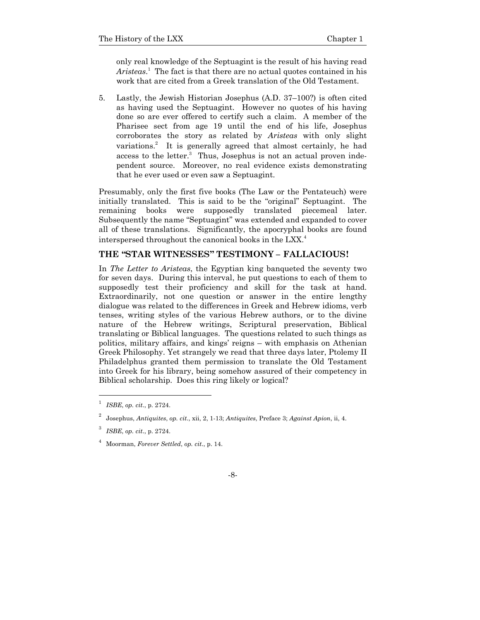only real knowledge of the Septuagint is the result of his having read Aristeas.<sup>1</sup> The fact is that there are no actual quotes contained in his work that are cited from a Greek translation of the Old Testament.

5. Lastly, the Jewish Historian Josephus (A.D. 37–100?) is often cited as having used the Septuagint. However no quotes of his having done so are ever offered to certify such a claim. A member of the Pharisee sect from age 19 until the end of his life, Josephus corroborates the story as related by *Aristeas* with only slight variations.<sup>2</sup> It is generally agreed that almost certainly, he had access to the letter.<sup>3</sup> Thus, Josephus is not an actual proven independent source. Moreover, no real evidence exists demonstrating that he ever used or even saw a Septuagint.

Presumably, only the first five books (The Law or the Pentateuch) were initially translated. This is said to be the "original" Septuagint. The remaining books were supposedly translated piecemeal later. Subsequently the name "Septuagint" was extended and expanded to cover all of these translations. Significantly, the apocryphal books are found interspersed throughout the canonical books in the LXX.<sup>4</sup>

### **THE "STAR WITNESSES" TESTIMONY – FALLACIOUS!**

In *The Letter to Aristeas*, the Egyptian king banqueted the seventy two for seven days. During this interval, he put questions to each of them to supposedly test their proficiency and skill for the task at hand. Extraordinarily, not one question or answer in the entire lengthy dialogue was related to the differences in Greek and Hebrew idioms, verb tenses, writing styles of the various Hebrew authors, or to the divine nature of the Hebrew writings, Scriptural preservation, Biblical translating or Biblical languages. The questions related to such things as politics, military affairs, and kings' reigns – with emphasis on Athenian Greek Philosophy. Yet strangely we read that three days later, Ptolemy II Philadelphus granted them permission to translate the Old Testament into Greek for his library, being somehow assured of their competency in Biblical scholarship. Does this ring likely or logical?

<sup>1</sup> *ISBE*, *op. cit*., p. 2724.

<sup>2</sup> Josephus, *Antiquites*, *op. cit*., xii, 2, 1-13; *Antiquites*, Preface 3; *Against Apion*, ii, 4.

<sup>3</sup> *ISBE*, *op. cit*., p. 2724.

<sup>4</sup> Moorman, *Forever Settled*, *op. cit*., p. 14.

<sup>-8-</sup>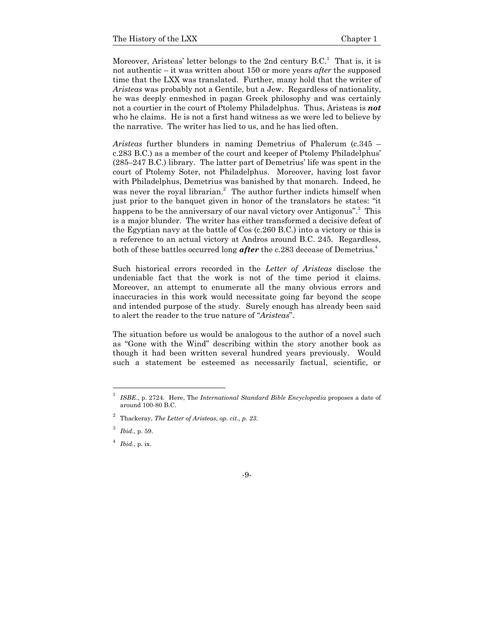Moreover, Aristeas' letter belongs to the 2nd century  $B.C.$ <sup>1</sup> That is, it is not authentic – it was written about 150 or more years *after* the supposed time that the LXX was translated. Further, many hold that the writer of *Aristeas* was probably not a Gentile, but a Jew. Regardless of nationality, he was deeply enmeshed in pagan Greek philosophy and was certainly not a courtier in the court of Ptolemy Philadelphus. Thus, Aristeas is *not*  who he claims. He is not a first hand witness as we were led to believe by the narrative. The writer has lied to us, and he has lied often.

*Aristeas* further blunders in naming Demetrius of Phalerum (c.345 – c.283 B.C.) as a member of the court and keeper of Ptolemy Philadelphus' (285–247 B.C.) library. The latter part of Demetrius' life was spent in the court of Ptolemy Soter, not Philadelphus. Moreover, having lost favor with Philadelphus, Demetrius was banished by that monarch. Indeed, he was never the royal librarian.<sup>2</sup> The author further indicts himself when just prior to the banquet given in honor of the translators he states: "it happens to be the anniversary of our naval victory over Antigonus".<sup>3</sup> This is a major blunder. The writer has either transformed a decisive defeat of the Egyptian navy at the battle of Cos (c.260 B.C.) into a victory or this is a reference to an actual victory at Andros around B.C. 245. Regardless, both of these battles occurred long *after* the c.283 decease of Demetrius.4

Such historical errors recorded in the *Letter of Aristeas* disclose the undeniable fact that the work is not of the time period it claims. Moreover, an attempt to enumerate all the many obvious errors and inaccuracies in this work would necessitate going far beyond the scope and intended purpose of the study. Surely enough has already been said to alert the reader to the true nature of "*Aristeas*".

The situation before us would be analogous to the author of a novel such as "Gone with the Wind" describing within the story another book as though it had been written several hundred years previously. Would such a statement be esteemed as necessarily factual, scientific, or

<sup>1</sup> *ISBE*., p. 2724. Here, The *International Standard Bible Encyclopedia* proposes a date of around 100-80 B.C.

<sup>2</sup> Thackeray, *The Letter of Aristeas, op. cit., p. 23.*

<sup>3</sup> *Ibid*., p. 59.

<sup>4</sup> *Ibid.*, p. ix.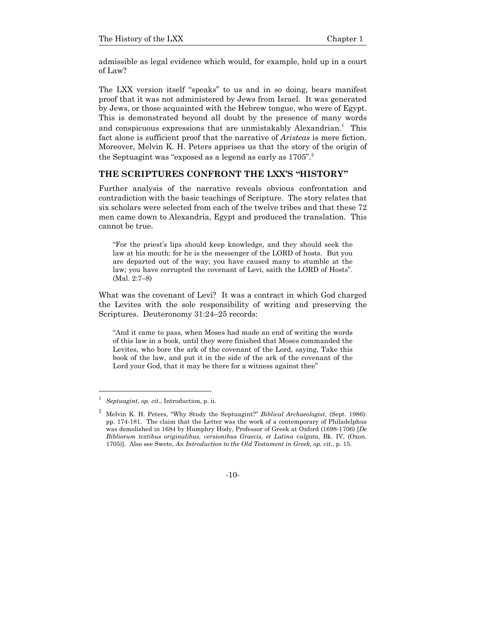admissible as legal evidence which would, for example, hold up in a court of Law?

The LXX version itself "speaks" to us and in so doing, bears manifest proof that it was not administered by Jews from Israel. It was generated by Jews, or those acquainted with the Hebrew tongue, who were of Egypt. This is demonstrated beyond all doubt by the presence of many words and conspicuous expressions that are unmistakably Alexandrian.<sup>1</sup> This fact alone is sufficient proof that the narrative of *Aristeas* is mere fiction. Moreover, Melvin K. H. Peters apprises us that the story of the origin of the Septuagint was "exposed as a legend as early as  $1705$ ".

#### **THE SCRIPTURES CONFRONT THE LXX'S "HISTORY"**

Further analysis of the narrative reveals obvious confrontation and contradiction with the basic teachings of Scripture. The story relates that six scholars were selected from each of the twelve tribes and that these 72 men came down to Alexandria, Egypt and produced the translation. This cannot be true.

"For the priest's lips should keep knowledge, and they should seek the law at his mouth: for he is the messenger of the LORD of hosts. But you are departed out of the way; you have caused many to stumble at the law; you have corrupted the covenant of Levi, saith the LORD of Hosts". (Mal. 2:7–8)

What was the covenant of Levi? It was a contract in which God charged the Levites with the sole responsibility of writing and preserving the Scriptures. Deuteronomy 31:24–25 records:

"And it came to pass, when Moses had made an end of writing the words of this law in a book, until they were finished that Moses commanded the Levites, who bore the ark of the covenant of the Lord, saying, Take this book of the law, and put it in the side of the ark of the covenant of the Lord your God, that it may be there for a witness against thee"

<sup>1</sup> *Septuagint*, *op. cit*., Introduction, p. ii.

<sup>2</sup> Melvin K. H. Peters, "Why Study the Septuagint?" *Biblical Archaeologist*, (Sept. 1986): pp. 174-181. The claim that the Letter was the work of a contemporary of Philadelphus was demolished in 1684 by Humphry Hody, Professor of Greek at Oxford (1698-1706) [*De Bibliorum textibus originalibus, versionibus Graecis, et Latina vulgata*, Bk. IV, (Oxon. 1705)]. Also see Swete, *An Introduction to the Old Testament in Greek, op. cit.*, p. 15*.*

<sup>-10-</sup>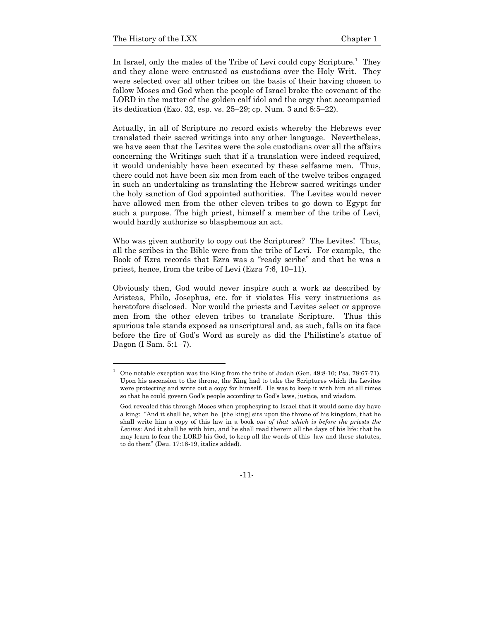In Israel, only the males of the Tribe of Levi could copy Scripture.<sup>1</sup> They and they alone were entrusted as custodians over the Holy Writ. They were selected over all other tribes on the basis of their having chosen to follow Moses and God when the people of Israel broke the covenant of the LORD in the matter of the golden calf idol and the orgy that accompanied its dedication (Exo. 32, esp. vs. 25–29; cp. Num. 3 and 8:5–22).

Actually, in all of Scripture no record exists whereby the Hebrews ever translated their sacred writings into any other language. Nevertheless, we have seen that the Levites were the sole custodians over all the affairs concerning the Writings such that if a translation were indeed required, it would undeniably have been executed by these selfsame men. Thus, there could not have been six men from each of the twelve tribes engaged in such an undertaking as translating the Hebrew sacred writings under the holy sanction of God appointed authorities. The Levites would never have allowed men from the other eleven tribes to go down to Egypt for such a purpose. The high priest, himself a member of the tribe of Levi, would hardly authorize so blasphemous an act.

Who was given authority to copy out the Scriptures? The Levites! Thus, all the scribes in the Bible were from the tribe of Levi. For example, the Book of Ezra records that Ezra was a "ready scribe" and that he was a priest, hence, from the tribe of Levi (Ezra 7:6, 10–11).

Obviously then, God would never inspire such a work as described by Aristeas, Philo, Josephus, etc. for it violates His very instructions as heretofore disclosed. Nor would the priests and Levites select or approve men from the other eleven tribes to translate Scripture. Thus this spurious tale stands exposed as unscriptural and, as such, falls on its face before the fire of God's Word as surely as did the Philistine's statue of Dagon (I Sam. 5:1–7).

-11-

<sup>1</sup> One notable exception was the King from the tribe of Judah (Gen. 49:8-10; Psa. 78:67-71). Upon his ascension to the throne, the King had to take the Scriptures which the Levites were protecting and write out a copy for himself. He was to keep it with him at all times so that he could govern God's people according to God's laws, justice, and wisdom.

God revealed this through Moses when prophesying to Israel that it would some day have a king: "And it shall be, when he [the king] sits upon the throne of his kingdom, that he shall write him a copy of this law in a book *out of that which is before the priests the Levites*: And it shall be with him, and he shall read therein all the days of his life: that he may learn to fear the LORD his God, to keep all the words of this law and these statutes, to do them" (Deu. 17:18-19, italics added).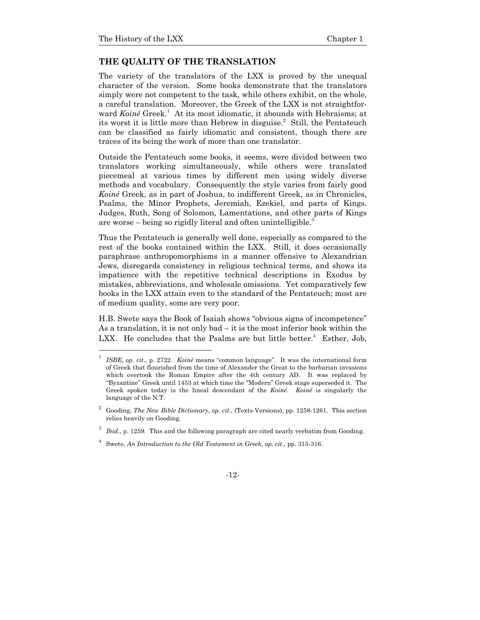#### **THE QUALITY OF THE TRANSLATION**

The variety of the translators of the LXX is proved by the unequal character of the version. Some books demonstrate that the translators simply were not competent to the task, while others exhibit, on the whole, a careful translation. Moreover, the Greek of the LXX is not straightforward *Koiné* Greek.<sup>1</sup> At its most idiomatic, it abounds with Hebraisms; at its worst it is little more than Hebrew in disguise.<sup>2</sup> Still, the Pentateuch can be classified as fairly idiomatic and consistent, though there are traces of its being the work of more than one translator.

Outside the Pentateuch some books, it seems, were divided between two translators working simultaneously, while others were translated piecemeal at various times by different men using widely diverse methods and vocabulary. Consequently the style varies from fairly good *Koiné* Greek, as in part of Joshua, to indifferent Greek, as in Chronicles, Psalms, the Minor Prophets, Jeremiah, Ezekiel, and parts of Kings. Judges, Ruth, Song of Solomon, Lamentations, and other parts of Kings are worse – being so rigidly literal and often unintelligible.<sup>3</sup>

Thus the Pentateuch is generally well done, especially as compared to the rest of the books contained within the LXX. Still, it does occasionally paraphrase anthropomorphisms in a manner offensive to Alexandrian Jews, disregards consistency in religious technical terms, and shows its impatience with the repetitive technical descriptions in Exodus by mistakes, abbreviations, and wholesale omissions. Yet comparatively few books in the LXX attain even to the standard of the Pentateuch; most are of medium quality, some are very poor.

H.B. Swete says the Book of Isaiah shows "obvious signs of incompetence" As a translation, it is not only bad – it is the most inferior book within the LXX. He concludes that the Psalms are but little better. $4$  Esther, Job,

<sup>1</sup> *ISBE*, *op. cit*., p. 2722. *Koiné* means "common language". It was the international form of Greek that flourished from the time of Alexander the Great to the barbarian invasions which overtook the Roman Empire after the 4th century AD. It was replaced by "Byzantine" Greek until 1453 at which time the "Modern" Greek stage superseded it. The Greek spoken today is the lineal descendant of the *Koiné*. *Koiné* is singularly the language of the N.T.

<sup>2</sup> Gooding, *The New Bible Dictionary*, *op. cit*., (Texts-Versions), pp. 1258-1261. This section relies heavily on Gooding.

<sup>3</sup> *Ibid*., p. 1259. This and the following paragraph are cited nearly verbatim from Gooding.

<sup>4</sup> Swete, *An Introduction to the Old Testament in Greek, op. cit.*, pp. 315-316.

<sup>-12-</sup>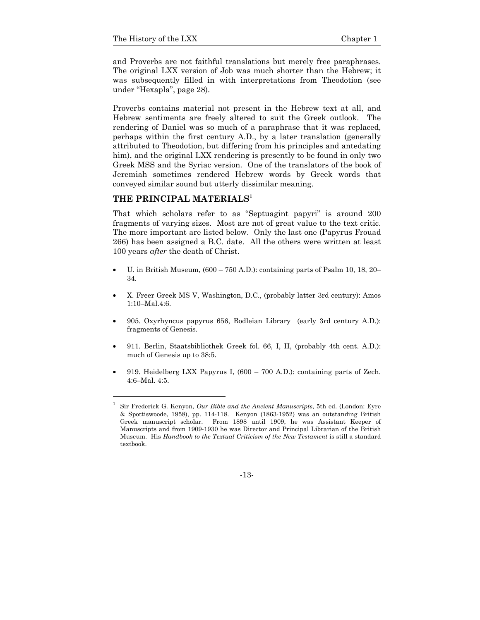and Proverbs are not faithful translations but merely free paraphrases. The original LXX version of Job was much shorter than the Hebrew; it was subsequently filled in with interpretations from Theodotion (see under "Hexapla", page 28).

Proverbs contains material not present in the Hebrew text at all, and Hebrew sentiments are freely altered to suit the Greek outlook. The rendering of Daniel was so much of a paraphrase that it was replaced, perhaps within the first century A.D., by a later translation (generally attributed to Theodotion, but differing from his principles and antedating him), and the original LXX rendering is presently to be found in only two Greek MSS and the Syriac version. One of the translators of the book of Jeremiah sometimes rendered Hebrew words by Greek words that conveyed similar sound but utterly dissimilar meaning.

#### **THE PRINCIPAL MATERIALS<sup>1</sup>**

l

That which scholars refer to as "Septuagint papyri" is around 200 fragments of varying sizes. Most are not of great value to the text critic. The more important are listed below. Only the last one (Papyrus Frouad 266) has been assigned a B.C. date. All the others were written at least 100 years *after* the death of Christ.

- U. in British Museum, (600 750 A.D.): containing parts of Psalm 10, 18, 20– 34.
- X. Freer Greek MS V, Washington, D.C., (probably latter 3rd century): Amos 1:10–Mal.4:6.
- 905. Oxyrhyncus papyrus 656, Bodleian Library (early 3rd century A.D.): fragments of Genesis.
- 911. Berlin, Staatsbibliothek Greek fol. 66, I, II, (probably 4th cent. A.D.): much of Genesis up to 38:5.
- 919. Heidelberg LXX Papyrus I, (600 700 A.D.): containing parts of Zech. 4:6–Mal. 4:5.

-13-

<sup>1</sup> Sir Frederick G. Kenyon, *Our Bible and the Ancient Manuscripts*, 5th ed. (London: Eyre & Spottiswoode, 1958), pp. 114-118. Kenyon (1863-1952) was an outstanding British Greek manuscript scholar. From 1898 until 1909, he was Assistant Keeper of Manuscripts and from 1909-1930 he was Director and Principal Librarian of the British Museum. His *Handbook to the Textual Criticism of the New Testament* is still a standard textbook.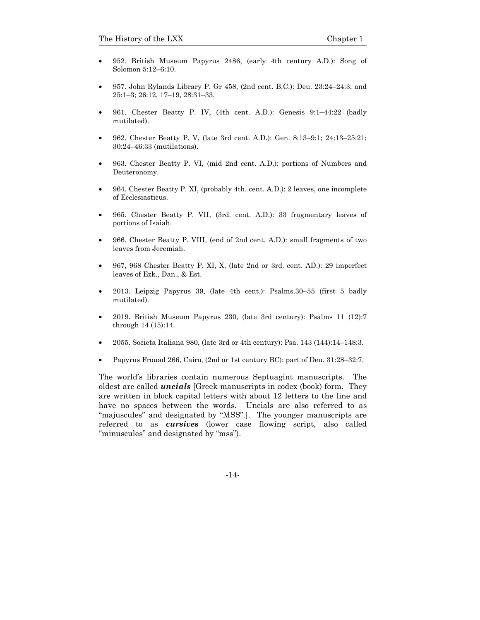- 952. British Museum Papyrus 2486, (early 4th century A.D.): Song of Solomon 5:12–6:10.
- 957. John Rylands Library P. Gr 458, (2nd cent. B.C.): Deu. 23:24–24:3; and 25:1–3; 26:12, 17–19, 28:31–33.
- 961. Chester Beatty P. IV, (4th cent. A.D.): Genesis 9:1–44:22 (badly mutilated).
- 962. Chester Beatty P. V, (late 3rd cent. A.D.): Gen. 8:13–9:1; 24:13–25:21; 30:24–46:33 (mutilations).
- 963. Chester Beatty P. VI, (mid 2nd cent. A.D.): portions of Numbers and Deuteronomy.
- 964. Chester Beatty P. XI, (probably 4th. cent. A.D.): 2 leaves, one incomplete of Ecclesiasticus.
- 965. Chester Beatty P. VII, (3rd. cent. A.D.): 33 fragmentary leaves of portions of Isaiah.
- 966. Chester Beatty P. VIII, (end of 2nd cent. A.D.): small fragments of two leaves from Jeremiah.
- 967, 968 Chester Beatty P. XI, X, (late 2nd or 3rd. cent. AD.): 29 imperfect leaves of Ezk., Dan., & Est.
- 2013. Leipzig Papyrus 39, (late 4th cent.): Psalms. 30–55 (first 5 badly mutilated).
- 2019. British Museum Papyrus 230, (late 3rd century): Psalms 11 (12):7 through 14 (15):14.
- 2055. Societa Italiana 980, (late 3rd or 4th century): Psa.  $143$  (144):  $14-148$ : 3.
- Papyrus Frouad 266, Cairo, (2nd or 1st century BC): part of Deu. 31:28–32:7.

The world's libraries contain numerous Septuagint manuscripts. The oldest are called *uncials* [Greek manuscripts in codex (book) form. They are written in block capital letters with about 12 letters to the line and have no spaces between the words. Uncials are also referred to as "majuscules" and designated by "MSS".]. The younger manuscripts are referred to as *cursives* (lower case flowing script, also called "minuscules" and designated by "mss").

-14-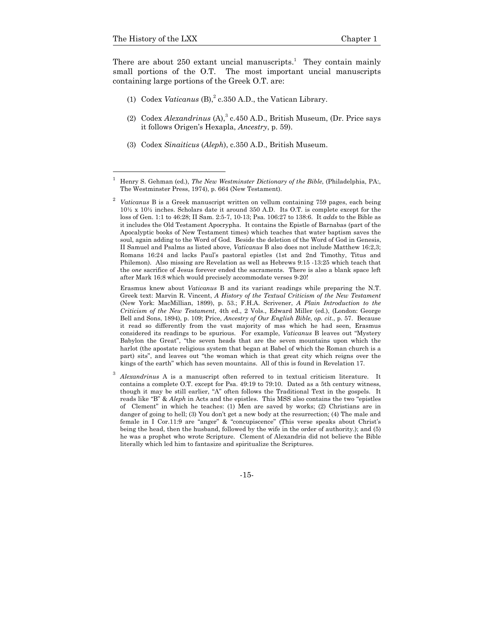l 1

There are about  $250$  extant uncial manuscripts.<sup>1</sup> They contain mainly small portions of the O.T. The most important uncial manuscripts containing large portions of the Greek O.T. are:

- (1) Codex *Vaticanus* (B),  $^2$  c.350 A.D., the Vatican Library.
- (2) Codex *Alexandrinus* (A),<sup>3</sup> c.450 A.D., British Museum, (Dr. Price says it follows Origen's Hexapla, *Ancestry*, p. 59).
- (3) Codex *Sinaiticus* (*Aleph*), c.350 A.D., British Museum.

 Erasmus knew about *Vaticanus* B and its variant readings while preparing the N.T. Greek text: Marvin R. Vincent, *A History of the Textual Criticism of the New Testament*  (New York: MacMillian, 1899), p. 53.; F.H.A. Scrivener, *A Plain Introduction to the Criticism of the New Testament*, 4th ed., 2 Vols., Edward Miller (ed.), (London: George Bell and Sons, 1894), p. 109; Price, *Ancestry of Our English Bible, op. cit.*, p. 57. Because it read so differently from the vast majority of mss which he had seen, Erasmus considered its readings to be spurious. For example, *Vaticanus* B leaves out "Mystery Babylon the Great", "the seven heads that are the seven mountains upon which the harlot (the apostate religious system that began at Babel of which the Roman church is a part) sits", and leaves out "the woman which is that great city which reigns over the kings of the earth" which has seven mountains. All of this is found in Revelation 17.

Henry S. Gehman (ed.), *The New Westminster Dictionary of the Bible*, (Philadelphia, PA:, The Westminster Press, 1974), p. 664 (New Testament).

<sup>2</sup> *Vaticanus* B is a Greek manuscript written on vellum containing 759 pages, each being 10½ x 10½ inches. Scholars date it around 350 A.D. Its O.T. is complete except for the loss of Gen. 1:1 to 46:28; II Sam. 2:5-7, 10-13; Psa. 106:27 to 138:6. It *adds* to the Bible as it includes the Old Testament Apocrypha. It contains the Epistle of Barnabas (part of the Apocalyptic books of New Testament times) which teaches that water baptism saves the soul, again adding to the Word of God. Beside the deletion of the Word of God in Genesis, II Samuel and Psalms as listed above, *Vaticanus* B also does not include Matthew 16:2,3; Romans 16:24 and lacks Paul's pastoral epistles (1st and 2nd Timothy, Titus and Philemon). Also missing are Revelation as well as Hebrews 9:15 -13:25 which teach that the *one* sacrifice of Jesus forever ended the sacraments. There is also a blank space left after Mark 16:8 which would precisely accommodate verses 9-20!

<sup>3</sup> *Alexandrinus* A is a manuscript often referred to in textual criticism literature. It contains a complete O.T. except for Psa. 49:19 to 79:10. Dated as a 5th century witness, though it may be still earlier, "A" often follows the Traditional Text in the gospels. It reads like "B" & *Aleph* in Acts and the epistles. This MSS also contains the two "epistles of Clement" in which he teaches: (1) Men are saved by works; (2) Christians are in danger of going to hell; (3) You don't get a new body at the resurrection; (4) The male and female in I Cor.11:9 are "anger" & "concupiscence" (This verse speaks about Christ's being the head, then the husband, followed by the wife in the order of authority.); and (5) he was a prophet who wrote Scripture. Clement of Alexandria did not believe the Bible literally which led him to fantasize and spiritualize the Scriptures.

<sup>-15-</sup>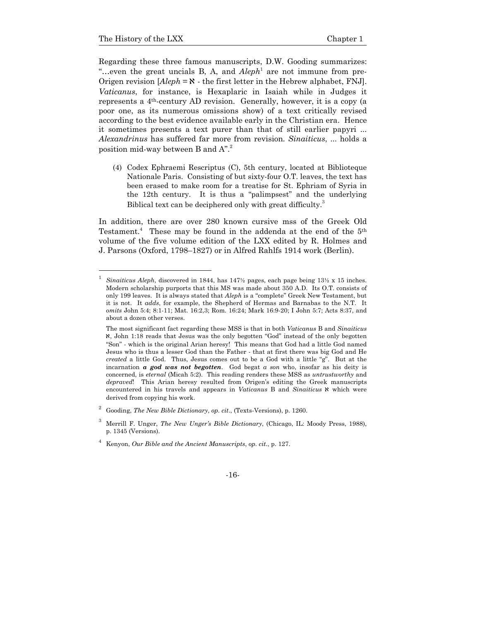l

Regarding these three famous manuscripts, D.W. Gooding summarizes: "...even the great uncials B, A, and  $A leph<sup>1</sup>$  are not immune from pre-Origen revision  $[Aleph = \aleph$  - the first letter in the Hebrew alphabet, FNJ. *Vaticanus*, for instance, is Hexaplaric in Isaiah while in Judges it represents a 4th-century AD revision. Generally, however, it is a copy (a poor one, as its numerous omissions show) of a text critically revised according to the best evidence available early in the Christian era. Hence it sometimes presents a text purer than that of still earlier papyri ... *Alexandrinus* has suffered far more from revision. *Sinaiticus*, ... holds a position mid-way between B and  $A$ ".<sup>2</sup>

(4) Codex Ephraemi Rescriptus (C), 5th century, located at Biblioteque Nationale Paris. Consisting of but sixty-four O.T. leaves, the text has been erased to make room for a treatise for St. Ephriam of Syria in the 12th century. It is thus a "palimpsest" and the underlying Biblical text can be deciphered only with great difficulty.<sup>3</sup>

In addition, there are over 280 known cursive mss of the Greek Old Testament.<sup>4</sup> These may be found in the addenda at the end of the 5<sup>th</sup> volume of the five volume edition of the LXX edited by R. Holmes and J. Parsons (Oxford, 1798–1827) or in Alfred Rahlfs 1914 work (Berlin).

<sup>1</sup> *Sinaiticus Aleph*, discovered in 1844, has 147½ pages, each page being 13½ x 15 inches. Modern scholarship purports that this MS was made about 350 A.D. Its O.T. consists of only 199 leaves. It is always stated that *Aleph* is a "complete" Greek New Testament, but it is not. It *adds*, for example, the Shepherd of Hermas and Barnabas to the N.T. It *omits* John 5:4; 8:1-11; Mat. 16:2,3; Rom. 16:24; Mark 16:9-20; I John 5:7; Acts 8:37, and about a dozen other verses.

The most significant fact regarding these MSS is that in both *Vaticanus* B and *Sinaiticus* a, John 1:18 reads that Jesus was the only begotten "God" instead of the only begotten "Son" - which is the original Arian heresy! This means that God had a little God named Jesus who is thus a lesser God than the Father - that at first there was big God and He *created* a little God. Thus, Jesus comes out to be a God with a little "g". But at the incarnation *a god was not begotten*. God begat *a son* who, insofar as his deity is concerned, is *eternal* (Micah 5:2). This reading renders these MSS as *untrustworthy* and *depraved*! This Arian heresy resulted from Origen's editing the Greek manuscripts encountered in his travels and appears in *Vaticanus* B and *Sinaiticus*  $\aleph$  which were derived from copying his work.

<sup>2</sup> Gooding, *The New Bible Dictionary*, *op. cit*., (Texts-Versions), p. 1260.

<sup>3</sup> Merrill F. Unger, *The New Unger's Bible Dictionary*, (Chicago, IL: Moody Press, 1988), p. 1345 (Versions).

<sup>4</sup> Kenyon, *Our Bible and the Ancient Manuscripts*, *op. cit*., p. 127.

<sup>-16-</sup>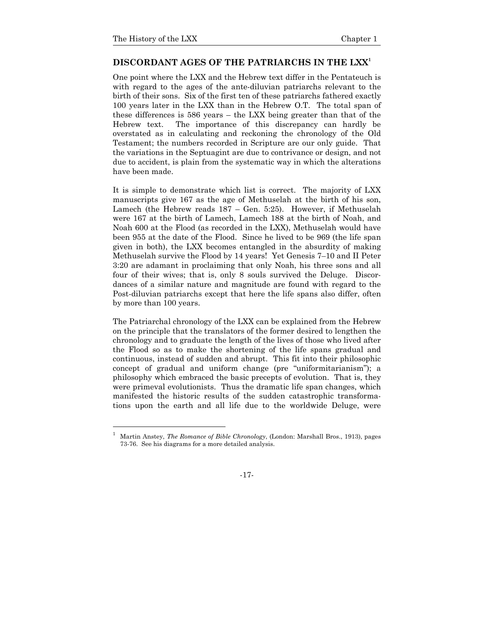#### **DISCORDANT AGES OF THE PATRIARCHS IN THE LXX1**

One point where the LXX and the Hebrew text differ in the Pentateuch is with regard to the ages of the ante-diluvian patriarchs relevant to the birth of their sons. Six of the first ten of these patriarchs fathered exactly 100 years later in the LXX than in the Hebrew O.T. The total span of these differences is 586 years – the LXX being greater than that of the Hebrew text. The importance of this discrepancy can hardly be overstated as in calculating and reckoning the chronology of the Old Testament; the numbers recorded in Scripture are our only guide. That the variations in the Septuagint are due to contrivance or design, and not due to accident, is plain from the systematic way in which the alterations have been made.

It is simple to demonstrate which list is correct. The majority of LXX manuscripts give 167 as the age of Methuselah at the birth of his son, Lamech (the Hebrew reads 187 – Gen. 5:25). However, if Methuselah were 167 at the birth of Lamech, Lamech 188 at the birth of Noah, and Noah 600 at the Flood (as recorded in the LXX), Methuselah would have been 955 at the date of the Flood. Since he lived to be 969 (the life span given in both), the LXX becomes entangled in the absurdity of making Methuselah survive the Flood by 14 years! Yet Genesis 7–10 and II Peter 3:20 are adamant in proclaiming that only Noah, his three sons and all four of their wives; that is, only 8 souls survived the Deluge. Discordances of a similar nature and magnitude are found with regard to the Post-diluvian patriarchs except that here the life spans also differ, often by more than 100 years.

The Patriarchal chronology of the LXX can be explained from the Hebrew on the principle that the translators of the former desired to lengthen the chronology and to graduate the length of the lives of those who lived after the Flood so as to make the shortening of the life spans gradual and continuous, instead of sudden and abrupt. This fit into their philosophic concept of gradual and uniform change (pre "uniformitarianism"); a philosophy which embraced the basic precepts of evolution. That is, they were primeval evolutionists. Thus the dramatic life span changes, which manifested the historic results of the sudden catastrophic transformations upon the earth and all life due to the worldwide Deluge, were

Martin Anstey, *The Romance of Bible Chronology*, (London: Marshall Bros., 1913), pages 73-76. See his diagrams for a more detailed analysis.

<sup>-17-</sup>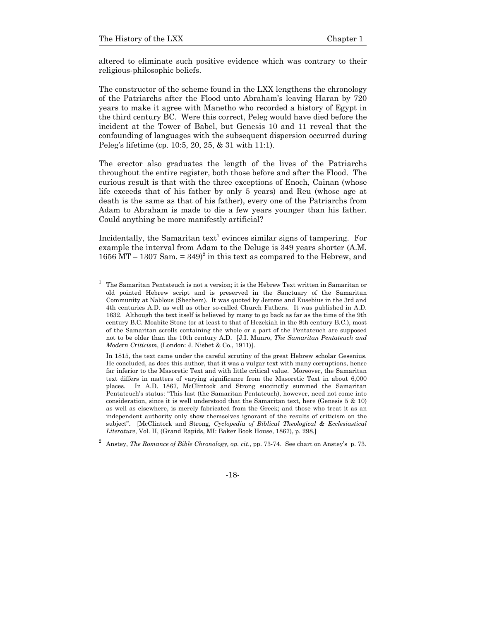l

altered to eliminate such positive evidence which was contrary to their religious-philosophic beliefs.

The constructor of the scheme found in the LXX lengthens the chronology of the Patriarchs after the Flood unto Abraham's leaving Haran by 720 years to make it agree with Manetho who recorded a history of Egypt in the third century BC. Were this correct, Peleg would have died before the incident at the Tower of Babel, but Genesis 10 and 11 reveal that the confounding of languages with the subsequent dispersion occurred during Peleg's lifetime (cp. 10:5, 20, 25, & 31 with 11:1).

The erector also graduates the length of the lives of the Patriarchs throughout the entire register, both those before and after the Flood. The curious result is that with the three exceptions of Enoch, Cainan (whose life exceeds that of his father by only 5 years) and Reu (whose age at death is the same as that of his father), every one of the Patriarchs from Adam to Abraham is made to die a few years younger than his father. Could anything be more manifestly artificial?

Incidentally, the Samaritan text<sup>1</sup> evinces similar signs of tampering. For example the interval from Adam to the Deluge is 349 years shorter (A.M. 1656 MT – 1307 Sam.  $= 349)^2$  in this text as compared to the Hebrew, and

<sup>1</sup> The Samaritan Pentateuch is not a version; it is the Hebrew Text written in Samaritan or old pointed Hebrew script and is preserved in the Sanctuary of the Samaritan Community at Nablous (Shechem). It was quoted by Jerome and Eusebius in the 3rd and 4th centuries A.D. as well as other so-called Church Fathers. It was published in A.D. 1632. Although the text itself is believed by many to go back as far as the time of the 9th century B.C. Moabite Stone (or at least to that of Hezekiah in the 8th century B.C.), most of the Samaritan scrolls containing the whole or a part of the Pentateuch are supposed not to be older than the 10th century A.D. [J.I. Munro, *The Samaritan Pentateuch and Modern Criticism*, (London: J. Nisbet & Co., 1911)].

In 1815, the text came under the careful scrutiny of the great Hebrew scholar Gesenius. He concluded, as does this author, that it was a vulgar text with many corruptions, hence far inferior to the Masoretic Text and with little critical value. Moreover, the Samaritan text differs in matters of varying significance from the Masoretic Text in about 6,000 places. In A.D. 1867, McClintock and Strong succinctly summed the Samaritan Pentateuch's status: "This last (the Samaritan Pentateuch), however, need not come into consideration, since it is well understood that the Samaritan text, here (Genesis 5 & 10) as well as elsewhere, is merely fabricated from the Greek; and those who treat it as an independent authority only show themselves ignorant of the results of criticism on the subject". [McClintock and Strong, *Cyclopedia of Biblical Theological & Ecclesiastical Literature*, Vol. II, (Grand Rapids, MI: Baker Book House, 1867), p. 298.]

<sup>2</sup> Anstey, *The Romance of Bible Chronology, op. cit*., pp. 73-74. See chart on Anstey's p. 73.

<sup>-18-</sup>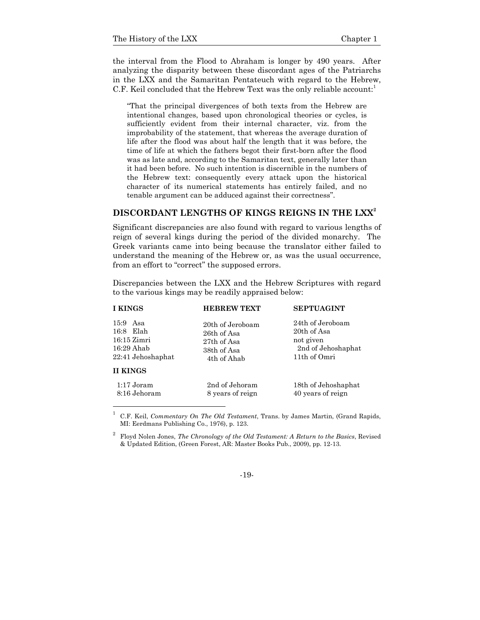l

the interval from the Flood to Abraham is longer by 490 years. After analyzing the disparity between these discordant ages of the Patriarchs in the LXX and the Samaritan Pentateuch with regard to the Hebrew, C.F. Keil concluded that the Hebrew Text was the only reliable account:<sup>1</sup>

"That the principal divergences of both texts from the Hebrew are intentional changes, based upon chronological theories or cycles, is sufficiently evident from their internal character, viz. from the improbability of the statement, that whereas the average duration of life after the flood was about half the length that it was before, the time of life at which the fathers begot their first-born after the flood was as late and, according to the Samaritan text, generally later than it had been before. No such intention is discernible in the numbers of the Hebrew text: consequently every attack upon the historical character of its numerical statements has entirely failed, and no tenable argument can be adduced against their correctness".

#### **DISCORDANT LENGTHS OF KINGS REIGNS IN THE LXX<sup>2</sup>**

Significant discrepancies are also found with regard to various lengths of reign of several kings during the period of the divided monarchy. The Greek variants came into being because the translator either failed to understand the meaning of the Hebrew or, as was the usual occurrence, from an effort to "correct" the supposed errors.

Discrepancies between the LXX and the Hebrew Scriptures with regard to the various kings may be readily appraised below:

| I KINGS           | <b>HEBREW TEXT</b> | <b>SEPTUAGINT</b>   |  |
|-------------------|--------------------|---------------------|--|
| $15.9$ Asa        | 20th of Jeroboam   | 24th of Jeroboam    |  |
| 16:8 Elah         | 26th of Asa        | 20th of Asa         |  |
| $16:15$ Zimri     | 27th of Asa        | not given           |  |
| 16:29 Ahab        | 38th of Asa        | 2nd of Jehoshaphat  |  |
| 22:41 Jehoshaphat | 4th of Ahab        | 11th of Omri        |  |
| <b>II KINGS</b>   |                    |                     |  |
| $1:17$ Joram      | 2nd of Jehoram     | 18th of Jehoshaphat |  |
| 8:16 Jehoram      | 8 years of reign   | 40 years of reign   |  |

<sup>1</sup> C.F. Keil, *Commentary On The Old Testament*, Trans. by James Martin, (Grand Rapids, MI: Eerdmans Publishing Co., 1976), p. 123.

#### -19-

<sup>2</sup> Floyd Nolen Jones, *The Chronology of the Old Testament: A Return to the Basics*, Revised & Updated Edition, (Green Forest, AR: Master Books Pub., 2009), pp. 12-13.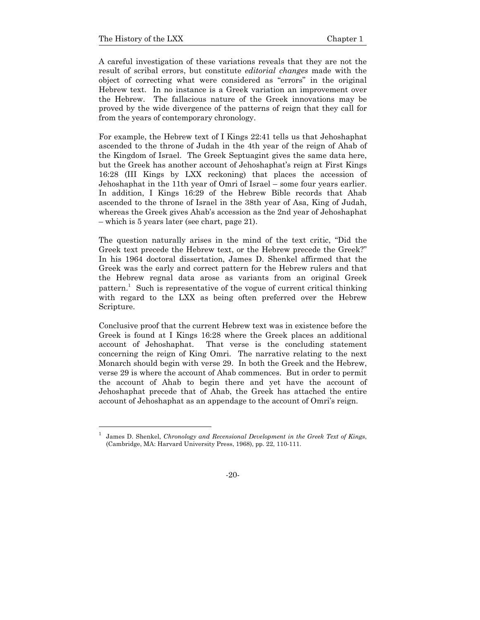A careful investigation of these variations reveals that they are not the result of scribal errors, but constitute *editorial changes* made with the object of correcting what were considered as "errors" in the original Hebrew text. In no instance is a Greek variation an improvement over the Hebrew. The fallacious nature of the Greek innovations may be proved by the wide divergence of the patterns of reign that they call for from the years of contemporary chronology.

For example, the Hebrew text of I Kings 22:41 tells us that Jehoshaphat ascended to the throne of Judah in the 4th year of the reign of Ahab of the Kingdom of Israel. The Greek Septuagint gives the same data here, but the Greek has another account of Jehoshaphat's reign at First Kings 16:28 (III Kings by LXX reckoning) that places the accession of Jehoshaphat in the 11th year of Omri of Israel – some four years earlier. In addition, I Kings 16:29 of the Hebrew Bible records that Ahab ascended to the throne of Israel in the 38th year of Asa, King of Judah, whereas the Greek gives Ahab's accession as the 2nd year of Jehoshaphat – which is 5 years later (see chart, page 21).

The question naturally arises in the mind of the text critic, "Did the Greek text precede the Hebrew text, or the Hebrew precede the Greek?" In his 1964 doctoral dissertation, James D. Shenkel affirmed that the Greek was the early and correct pattern for the Hebrew rulers and that the Hebrew regnal data arose as variants from an original Greek pattern.<sup>1</sup> Such is representative of the vogue of current critical thinking with regard to the LXX as being often preferred over the Hebrew Scripture.

Conclusive proof that the current Hebrew text was in existence before the Greek is found at I Kings 16:28 where the Greek places an additional account of Jehoshaphat. That verse is the concluding statement concerning the reign of King Omri. The narrative relating to the next Monarch should begin with verse 29. In both the Greek and the Hebrew, verse 29 is where the account of Ahab commences. But in order to permit the account of Ahab to begin there and yet have the account of Jehoshaphat precede that of Ahab, the Greek has attached the entire account of Jehoshaphat as an appendage to the account of Omri's reign.

<sup>1</sup> James D. Shenkel, *Chronology and Recensional Development in the Greek Text of Kings*, (Cambridge, MA: Harvard University Press, 1968), pp. 22, 110-111.

<sup>-20-</sup>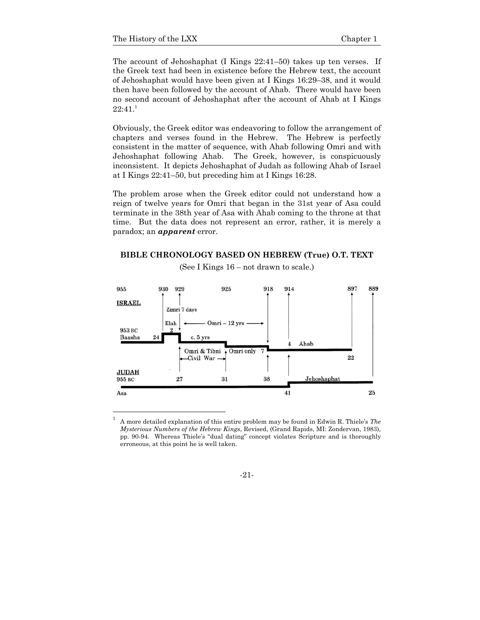The account of Jehoshaphat (I Kings 22:41–50) takes up ten verses. If the Greek text had been in existence before the Hebrew text, the account of Jehoshaphat would have been given at I Kings 16:29–38, and it would then have been followed by the account of Ahab. There would have been no second account of Jehoshaphat after the account of Ahab at I Kings  $22:41.<sup>1</sup>$ 

Obviously, the Greek editor was endeavoring to follow the arrangement of chapters and verses found in the Hebrew. The Hebrew is perfectly consistent in the matter of sequence, with Ahab following Omri and with Jehoshaphat following Ahab. The Greek, however, is conspicuously inconsistent. It depicts Jehoshaphat of Judah as following Ahab of Israel at I Kings 22:41–50, but preceding him at I Kings 16:28.

The problem arose when the Greek editor could not understand how a reign of twelve years for Omri that began in the 31st year of Asa could terminate in the 38th year of Asa with Ahab coming to the throne at that time. But the data does not represent an error, rather, it is merely a paradox; an *apparent* error.

**BIBLE CHRONOLOGY BASED ON HEBREW (True) O.T. TEXT** 



(See I Kings 16 – not drawn to scale.)

-21-

A more detailed explanation of this entire problem may be found in Edwin R. Thiele's *The Mysterious Numbers of the Hebrew Kings*, Revised, (Grand Rapids, MI: Zondervan, 1983), pp. 90-94. Whereas Thiele's "dual dating" concept violates Scripture and is thoroughly erroneous, at this point he is well taken.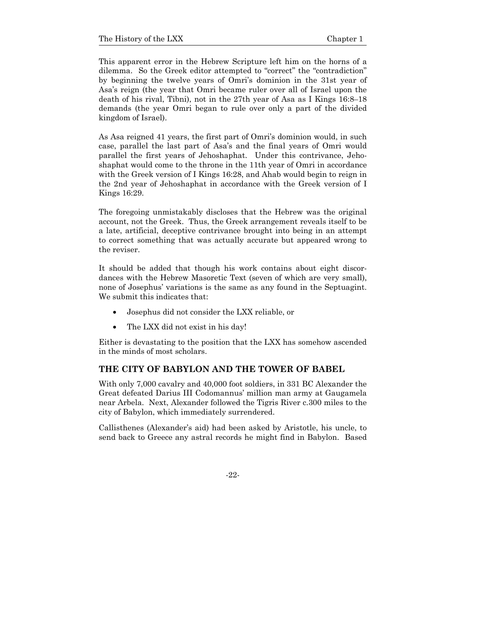This apparent error in the Hebrew Scripture left him on the horns of a dilemma. So the Greek editor attempted to "correct" the "contradiction" by beginning the twelve years of Omri's dominion in the 31st year of Asa's reign (the year that Omri became ruler over all of Israel upon the death of his rival, Tibni), not in the 27th year of Asa as I Kings 16:8–18 demands (the year Omri began to rule over only a part of the divided kingdom of Israel).

As Asa reigned 41 years, the first part of Omri's dominion would, in such case, parallel the last part of Asa's and the final years of Omri would parallel the first years of Jehoshaphat. Under this contrivance, Jehoshaphat would come to the throne in the 11th year of Omri in accordance with the Greek version of I Kings 16:28, and Ahab would begin to reign in the 2nd year of Jehoshaphat in accordance with the Greek version of I Kings 16:29.

The foregoing unmistakably discloses that the Hebrew was the original account, not the Greek. Thus, the Greek arrangement reveals itself to be a late, artificial, deceptive contrivance brought into being in an attempt to correct something that was actually accurate but appeared wrong to the reviser.

It should be added that though his work contains about eight discordances with the Hebrew Masoretic Text (seven of which are very small), none of Josephus' variations is the same as any found in the Septuagint. We submit this indicates that:

- Josephus did not consider the LXX reliable, or
- The LXX did not exist in his day!

Either is devastating to the position that the LXX has somehow ascended in the minds of most scholars.

#### **THE CITY OF BABYLON AND THE TOWER OF BABEL**

With only 7,000 cavalry and 40,000 foot soldiers, in 331 BC Alexander the Great defeated Darius III Codomannus' million man army at Gaugamela near Arbela. Next, Alexander followed the Tigris River c.300 miles to the city of Babylon, which immediately surrendered.

Callisthenes (Alexander's aid) had been asked by Aristotle, his uncle, to send back to Greece any astral records he might find in Babylon. Based

-22-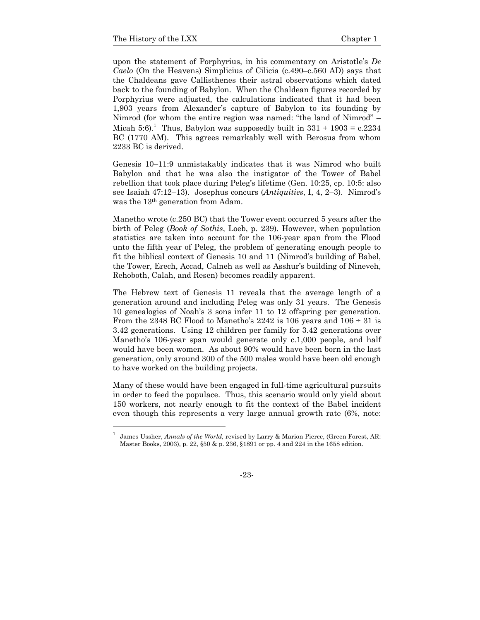upon the statement of Porphyrius, in his commentary on Aristotle's *De Caelo* (On the Heavens) Simplicius of Cilicia (c.490–c.560 AD) says that the Chaldeans gave Callisthenes their astral observations which dated back to the founding of Babylon. When the Chaldean figures recorded by Porphyrius were adjusted, the calculations indicated that it had been 1,903 years from Alexander's capture of Babylon to its founding by Nimrod (for whom the entire region was named: "the land of Nimrod" – Micah 5:6).<sup>1</sup> Thus, Babylon was supposedly built in  $331 + 1903 = c.2234$ BC (1770 AM). This agrees remarkably well with Berosus from whom 2233 BC is derived.

Genesis 10–11:9 unmistakably indicates that it was Nimrod who built Babylon and that he was also the instigator of the Tower of Babel rebellion that took place during Peleg's lifetime (Gen. 10:25, cp. 10:5: also see Isaiah 47:12–13). Josephus concurs (*Antiquities*, I, 4, 2–3). Nimrod's was the 13th generation from Adam.

Manetho wrote (c.250 BC) that the Tower event occurred 5 years after the birth of Peleg (*Book of Sothis*, Loeb, p. 239). However, when population statistics are taken into account for the 106-year span from the Flood unto the fifth year of Peleg, the problem of generating enough people to fit the biblical context of Genesis 10 and 11 (Nimrod's building of Babel, the Tower, Erech, Accad, Calneh as well as Asshur's building of Nineveh, Rehoboth, Calah, and Resen) becomes readily apparent.

The Hebrew text of Genesis 11 reveals that the average length of a generation around and including Peleg was only 31 years. The Genesis 10 genealogies of Noah's 3 sons infer 11 to 12 offspring per generation. From the 2348 BC Flood to Manetho's 2242 is 106 years and  $106 \div 31$  is 3.42 generations. Using 12 children per family for 3.42 generations over Manetho's 106-year span would generate only c.1,000 people, and half would have been women. As about 90% would have been born in the last generation, only around 300 of the 500 males would have been old enough to have worked on the building projects.

Many of these would have been engaged in full-time agricultural pursuits in order to feed the populace. Thus, this scenario would only yield about 150 workers, not nearly enough to fit the context of the Babel incident even though this represents a very large annual growth rate (6%, note:

<sup>1</sup> James Ussher, *Annals of the World,* revised by Larry & Marion Pierce, (Green Forest, AR: Master Books, 2003), p. 22, §50 & p. 236, §1891 or pp. 4 and 224 in the 1658 edition.

<sup>-23-</sup>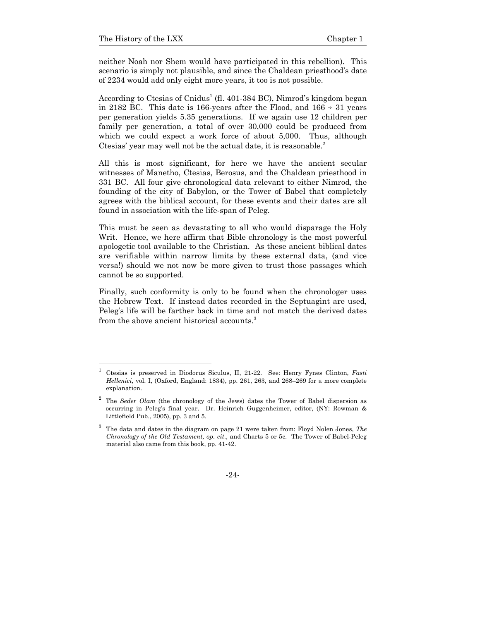neither Noah nor Shem would have participated in this rebellion). This scenario is simply not plausible, and since the Chaldean priesthood's date of 2234 would add only eight more years, it too is not possible.

According to Ctesias of Cnidus<sup>1</sup> (fl. 401-384 BC), Nimrod's kingdom began in 2182 BC. This date is 166-years after the Flood, and  $166 \div 31$  years per generation yields 5.35 generations. If we again use 12 children per family per generation, a total of over 30,000 could be produced from which we could expect a work force of about 5,000. Thus, although Ctesias' year may well not be the actual date, it is reasonable. $2$ 

All this is most significant, for here we have the ancient secular witnesses of Manetho, Ctesias, Berosus, and the Chaldean priesthood in 331 BC. All four give chronological data relevant to either Nimrod, the founding of the city of Babylon, or the Tower of Babel that completely agrees with the biblical account, for these events and their dates are all found in association with the life-span of Peleg.

This must be seen as devastating to all who would disparage the Holy Writ. Hence, we here affirm that Bible chronology is the most powerful apologetic tool available to the Christian. As these ancient biblical dates are verifiable within narrow limits by these external data, (and vice versa!) should we not now be more given to trust those passages which cannot be so supported.

Finally, such conformity is only to be found when the chronologer uses the Hebrew Text. If instead dates recorded in the Septuagint are used, Peleg's life will be farther back in time and not match the derived dates from the above ancient historical accounts.<sup>3</sup>

<sup>1</sup> Ctesias is preserved in Diodorus Siculus, II, 21-22. See: Henry Fynes Clinton, *Fasti Hellenici,* vol. I, (Oxford, England: 1834), pp. 261, 263, and 268–269 for a more complete explanation.

<sup>&</sup>lt;sup>2</sup> The *Seder Olam* (the chronology of the Jews) dates the Tower of Babel dispersion as occurring in Peleg's final year. Dr. Heinrich Guggenheimer, editor, (NY: Rowman & Littlefield Pub., 2005), pp. 3 and 5.

<sup>3</sup> The data and dates in the diagram on page 21 were taken from: Floyd Nolen Jones, *The Chronology of the Old Testament, op. cit*., and Charts 5 or 5c. The Tower of Babel-Peleg material also came from this book, pp. 41-42.

<sup>-24-</sup>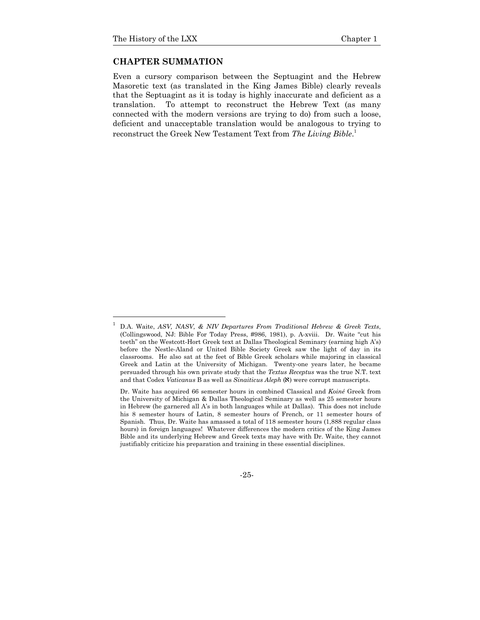l

#### **CHAPTER SUMMATION**

Even a cursory comparison between the Septuagint and the Hebrew Masoretic text (as translated in the King James Bible) clearly reveals that the Septuagint as it is today is highly inaccurate and deficient as a translation. To attempt to reconstruct the Hebrew Text (as many connected with the modern versions are trying to do) from such a loose, deficient and unacceptable translation would be analogous to trying to reconstruct the Greek New Testament Text from *The Living Bible*. 1

-25-

<sup>1</sup> D.A. Waite, *ASV, NASV, & NIV Departures From Traditional Hebrew & Greek Texts*, (Collingswood, NJ: Bible For Today Press, #986, 1981), p. A-xviii. Dr. Waite "cut his teeth" on the Westcott-Hort Greek text at Dallas Theological Seminary (earning high A's) before the Nestle-Aland or United Bible Society Greek saw the light of day in its classrooms. He also sat at the feet of Bible Greek scholars while majoring in classical Greek and Latin at the University of Michigan. Twenty-one years later, he became persuaded through his own private study that the *Textus Receptus* was the true N.T. text and that Codex *Vaticanus* B as well as *Sinaiticus Aleph* (a) were corrupt manuscripts.

Dr. Waite has acquired 66 semester hours in combined Classical and *Koiné* Greek from the University of Michigan & Dallas Theological Seminary as well as 25 semester hours in Hebrew (he garnered all A's in both languages while at Dallas). This does not include his 8 semester hours of Latin, 8 semester hours of French, or 11 semester hours of Spanish. Thus, Dr. Waite has amassed a total of 118 semester hours (1,888 regular class hours) in foreign languages! Whatever differences the modern critics of the King James Bible and its underlying Hebrew and Greek texts may have with Dr. Waite, they cannot justifiably criticize his preparation and training in these essential disciplines.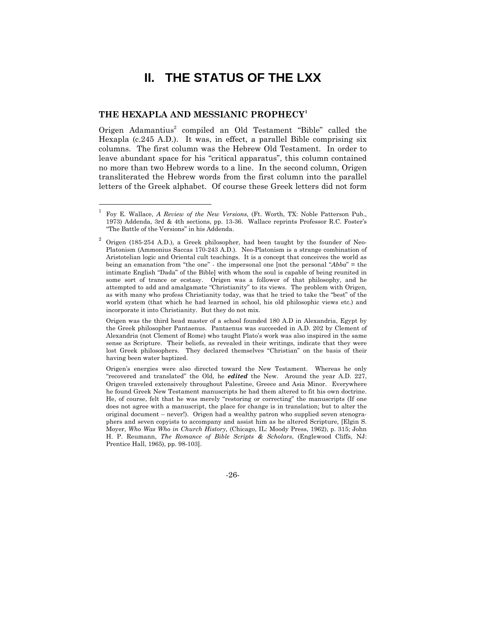# **II. THE STATUS OF THE LXX**

#### **THE HEXAPLA AND MESSIANIC PROPHECY<sup>1</sup>**

1

Origen Adamantius<sup>2</sup> compiled an Old Testament "Bible" called the Hexapla (c.245 A.D.). It was, in effect, a parallel Bible comprising six columns. The first column was the Hebrew Old Testament. In order to leave abundant space for his "critical apparatus", this column contained no more than two Hebrew words to a line. In the second column, Origen transliterated the Hebrew words from the first column into the parallel letters of the Greek alphabet. Of course these Greek letters did not form

 Origen was the third head master of a school founded 180 A.D in Alexandria, Egypt by the Greek philosopher Pantaenus. Pantaenus was succeeded in A.D. 202 by Clement of Alexandria (not Clement of Rome) who taught Plato's work was also inspired in the same sense as Scripture. Their beliefs, as revealed in their writings, indicate that they were lost Greek philosophers. They declared themselves "Christian" on the basis of their having been water baptized.

 Origen's energies were also directed toward the New Testament. Whereas he only "recovered and translated" the Old, he *edited* the New. Around the year A.D. 227, Origen traveled extensively throughout Palestine, Greece and Asia Minor. Everywhere he found Greek New Testament manuscripts he had them altered to fit his own doctrine. He, of course, felt that he was merely "restoring or correcting" the manuscripts (If one does not agree with a manuscript, the place for change is in translation; but to alter the original document – never!). Origen had a wealthy patron who supplied seven stenographers and seven copyists to accompany and assist him as he altered Scripture, [Elgin S. Moyer, *Who Was Who in Church History*, (Chicago, IL: Moody Press, 1962), p. 315; John H. P. Reumann, *The Romance of Bible Scripts & Scholars*, (Englewood Cliffs, NJ: Prentice Hall, 1965), pp. 98-103].

-26-

<sup>1</sup> Foy E. Wallace, *A Review of the New Versions*, (Ft. Worth, TX: Noble Patterson Pub., 1973) Addenda, 3rd & 4th sections, pp. 13-36. Wallace reprints Professor R.C. Foster's "The Battle of the Versions" in his Addenda.

<sup>2</sup> Origen (185-254 A.D.), a Greek philosopher, had been taught by the founder of Neo-Platonism (Ammonius Saccas 170-243 A.D.). Neo-Platonism is a strange combination of Aristotelian logic and Oriental cult teachings. It is a concept that conceives the world as being an emanation from "the one" - the impersonal one [not the personal "*Abba*" = the intimate English "Dada" of the Bible] with whom the soul is capable of being reunited in some sort of trance or ecstasy. Origen was a follower of that philosophy, and he attempted to add and amalgamate "Christianity" to its views. The problem with Origen, as with many who profess Christianity today, was that he tried to take the "best" of the world system (that which he had learned in school, his old philosophic views etc.) and incorporate it into Christianity. But they do not mix.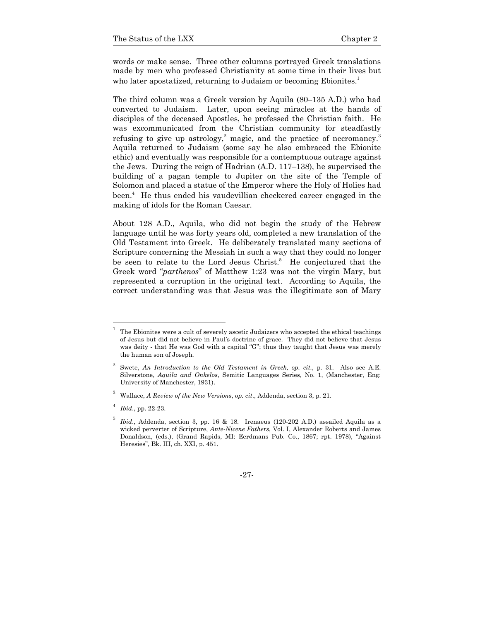words or make sense. Three other columns portrayed Greek translations made by men who professed Christianity at some time in their lives but who later apostatized, returning to Judaism or becoming Ebionites.<sup>1</sup>

The third column was a Greek version by Aquila (80–135 A.D.) who had converted to Judaism. Later, upon seeing miracles at the hands of disciples of the deceased Apostles, he professed the Christian faith. He was excommunicated from the Christian community for steadfastly refusing to give up astrology,<sup>2</sup> magic, and the practice of necromancy.<sup>3</sup> Aquila returned to Judaism (some say he also embraced the Ebionite ethic) and eventually was responsible for a contemptuous outrage against the Jews. During the reign of Hadrian (A.D. 117–138), he supervised the building of a pagan temple to Jupiter on the site of the Temple of Solomon and placed a statue of the Emperor where the Holy of Holies had been.4 He thus ended his vaudevillian checkered career engaged in the making of idols for the Roman Caesar.

About 128 A.D., Aquila, who did not begin the study of the Hebrew language until he was forty years old, completed a new translation of the Old Testament into Greek. He deliberately translated many sections of Scripture concerning the Messiah in such a way that they could no longer be seen to relate to the Lord Jesus Christ.<sup>5</sup> He conjectured that the Greek word "*parthenos*" of Matthew 1:23 was not the virgin Mary, but represented a corruption in the original text. According to Aquila, the correct understanding was that Jesus was the illegitimate son of Mary

1

<sup>1</sup> The Ebionites were a cult of severely ascetic Judaizers who accepted the ethical teachings of Jesus but did not believe in Paul's doctrine of grace. They did not believe that Jesus was deity - that He was God with a capital "G"; thus they taught that Jesus was merely the human son of Joseph.

<sup>2</sup> Swete, *An Introduction to the Old Testament in Greek, op. cit.*, p. 31*.* Also see A.E. Silverstone, *Aquila and Onkelos*, Semitic Languages Series, No. 1, (Manchester, Eng: University of Manchester, 1931).

<sup>3</sup> Wallace, *A Review of the New Versions*, *op. cit*., Addenda, section 3, p. 21.

<sup>4</sup> *Ibid*., pp. 22-23.

<sup>5</sup> *Ibid*., Addenda, section 3, pp. 16 & 18. Irenaeus (120-202 A.D.) assailed Aquila as a wicked perverter of Scripture, *Ante-Nicene Fathers*, Vol. I, Alexander Roberts and James Donaldson, (eds.), (Grand Rapids, MI: Eerdmans Pub. Co., 1867; rpt. 1978), "Against Heresies", Bk. III, ch. XXI, p. 451.

<sup>-27-</sup>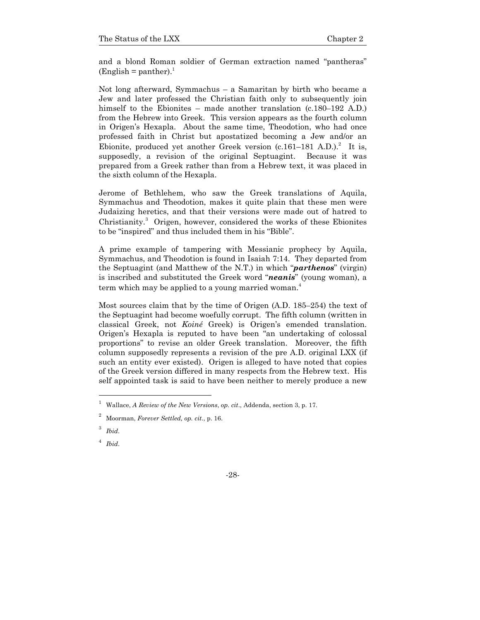and a blond Roman soldier of German extraction named "pantheras"  $(English = panther).$ <sup>1</sup>

Not long afterward, Symmachus – a Samaritan by birth who became a Jew and later professed the Christian faith only to subsequently join himself to the Ebionites – made another translation (c.180–192 A.D.) from the Hebrew into Greek. This version appears as the fourth column in Origen's Hexapla. About the same time, Theodotion, who had once professed faith in Christ but apostatized becoming a Jew and/or an Ebionite, produced yet another Greek version  $(c.161-181 \text{ A.D.})^2$  It is, supposedly, a revision of the original Septuagint. Because it was prepared from a Greek rather than from a Hebrew text, it was placed in the sixth column of the Hexapla.

Jerome of Bethlehem, who saw the Greek translations of Aquila, Symmachus and Theodotion, makes it quite plain that these men were Judaizing heretics, and that their versions were made out of hatred to Christianity.<sup>3</sup> Origen, however, considered the works of these Ebionites to be "inspired" and thus included them in his "Bible".

A prime example of tampering with Messianic prophecy by Aquila, Symmachus, and Theodotion is found in Isaiah 7:14. They departed from the Septuagint (and Matthew of the N.T.) in which "*parthenos*" (virgin) is inscribed and substituted the Greek word "*neanis*" (young woman), a term which may be applied to a young married woman.<sup>4</sup>

Most sources claim that by the time of Origen (A.D. 185–254) the text of the Septuagint had become woefully corrupt. The fifth column (written in classical Greek, not *Koiné* Greek) is Origen's emended translation. Origen's Hexapla is reputed to have been "an undertaking of colossal proportions" to revise an older Greek translation. Moreover, the fifth column supposedly represents a revision of the pre A.D. original LXX (if such an entity ever existed). Origen is alleged to have noted that copies of the Greek version differed in many respects from the Hebrew text. His self appointed task is said to have been neither to merely produce a new

l

-28-

<sup>1</sup> Wallace, *A Review of the New Versions*, *op. cit*., Addenda, section 3, p. 17.

<sup>2</sup> Moorman, *Forever Settled, op. cit*., p. 16.

<sup>3</sup> *Ibid*.

<sup>4</sup> *Ibid*.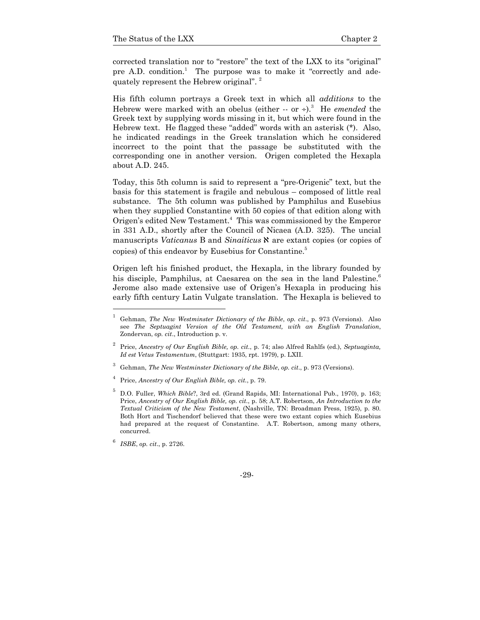corrected translation nor to "restore" the text of the LXX to its "original" pre A.D. condition.<sup>1</sup> The purpose was to make it "correctly and adequately represent the Hebrew original". 2

His fifth column portrays a Greek text in which all *additions* to the Hebrew were marked with an obelus (either -- or ÷).<sup>3</sup> He *emended* the Greek text by supplying words missing in it, but which were found in the Hebrew text. He flagged these "added" words with an asterisk (\*). Also, he indicated readings in the Greek translation which he considered incorrect to the point that the passage be substituted with the corresponding one in another version. Origen completed the Hexapla about A.D. 245.

Today, this 5th column is said to represent a "pre-Origenic" text, but the basis for this statement is fragile and nebulous – composed of little real substance. The 5th column was published by Pamphilus and Eusebius when they supplied Constantine with 50 copies of that edition along with Origen's edited New Testament.<sup>4</sup> This was commissioned by the Emperor in 331 A.D., shortly after the Council of Nicaea (A.D. 325). The uncial manuscripts *Vaticanus* B and *Sinaiticus*  $\aleph$  are extant copies (or copies of copies) of this endeavor by Eusebius for Constantine.<sup>5</sup>

Origen left his finished product, the Hexapla, in the library founded by his disciple, Pamphilus, at Caesarea on the sea in the land Palestine.<sup>6</sup> Jerome also made extensive use of Origen's Hexapla in producing his early fifth century Latin Vulgate translation. The Hexapla is believed to

l

-29-

<sup>1</sup> Gehman, *The New Westminster Dictionary of the Bible*, *op. cit*., p. 973 (Versions). Also see *The Septuagint Version of the Old Testament, with an English Translation*, Zondervan, *op. cit*., Introduction p. v.

<sup>2</sup> Price, *Ancestry of Our English Bible, op. cit.*, p. 74; also Alfred Rahlfs (ed.), *Septuaginta, Id est Vetus Testamentum*, (Stuttgart: 1935, rpt. 1979), p. LXII.

<sup>3</sup> Gehman, *The New Westminster Dictionary of the Bible*, *op. cit*., p. 973 (Versions).

<sup>4</sup> Price, *Ancestry of Our English Bible, op. cit.*, p. 79.

<sup>5</sup> D.O. Fuller, *Which Bible*?, 3rd ed. (Grand Rapids, MI: International Pub., 1970), p. 163; Price, *Ancestry of Our English Bible, op. cit.*, p. 58; A.T. Robertson, *An Introduction to the Textual Criticism of the New Testament*, (Nashville, TN: Broadman Press, 1925), p. 80. Both Hort and Tischendorf believed that these were two extant copies which Eusebius had prepared at the request of Constantine. A.T. Robertson, among many others, concurred.

<sup>6</sup> *ISBE*, *op. cit*., p. 2726.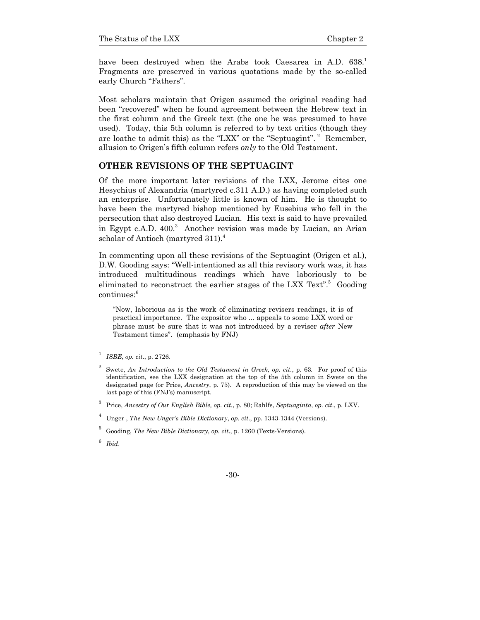have been destroyed when the Arabs took Caesarea in A.D. 638. Fragments are preserved in various quotations made by the so-called early Church "Fathers".

Most scholars maintain that Origen assumed the original reading had been "recovered" when he found agreement between the Hebrew text in the first column and the Greek text (the one he was presumed to have used). Today, this 5th column is referred to by text critics (though they are loathe to admit this) as the "LXX" or the "Septuagint".<sup>2</sup> Remember, allusion to Origen's fifth column refers *only* to the Old Testament.

#### **OTHER REVISIONS OF THE SEPTUAGINT**

Of the more important later revisions of the LXX, Jerome cites one Hesychius of Alexandria (martyred c.311 A.D.) as having completed such an enterprise. Unfortunately little is known of him. He is thought to have been the martyred bishop mentioned by Eusebius who fell in the persecution that also destroyed Lucian. His text is said to have prevailed in Egypt c.A.D. 400.<sup>3</sup> Another revision was made by Lucian, an Arian scholar of Antioch (martyred 311).<sup>4</sup>

In commenting upon all these revisions of the Septuagint (Origen et al.), D.W. Gooding says: "Well-intentioned as all this revisory work was, it has introduced multitudinous readings which have laboriously to be eliminated to reconstruct the earlier stages of the LXX Text".<sup>5</sup> Gooding continues:<sup>6</sup>

"Now, laborious as is the work of eliminating revisers readings, it is of practical importance. The expositor who ... appeals to some LXX word or phrase must be sure that it was not introduced by a reviser *after* New Testament times". (emphasis by FNJ)

<sup>1</sup> *ISBE*, *op. cit*., p. 2726.

<sup>2</sup> Swete, *An Introduction to the Old Testament in Greek, op. cit.*, p. 63*.* For proof of this identification, see the LXX designation at the top of the 5th column in Swete on the designated page (or Price, *Ancestry*, p. 75). A reproduction of this may be viewed on the last page of this (FNJ's) manuscript.

<sup>3</sup> Price, *Ancestry of Our English Bible, op. cit.*, p. 80; Rahlfs, *Septuaginta*, *op. cit*., p. LXV.

<sup>4</sup> Unger , *The New Unger's Bible Dictionary*, *op. cit*., pp. 1343-1344 (Versions).

<sup>5</sup> Gooding, *The New Bible Dictionary*, *op. cit*., p. 1260 (Texts-Versions).

<sup>6</sup> *Ibid*.

<sup>-30-</sup>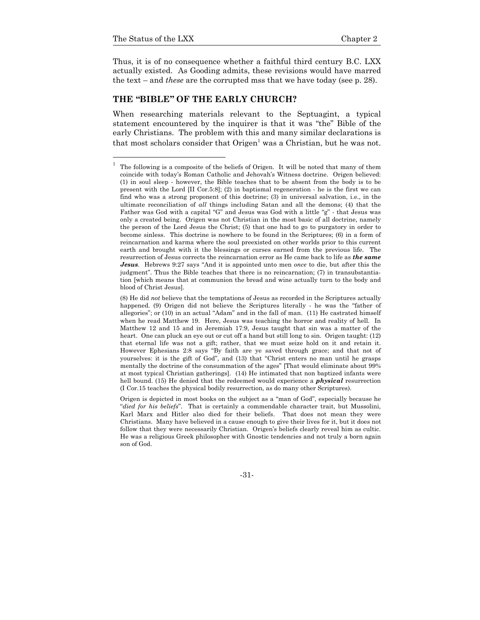1

Thus, it is of no consequence whether a faithful third century B.C. LXX actually existed. As Gooding admits, these revisions would have marred the text – and *these* are the corrupted mss that we have today (see p. 28).

# **THE "BIBLE" OF THE EARLY CHURCH?**

When researching materials relevant to the Septuagint, a typical statement encountered by the inquirer is that it was "the" Bible of the early Christians. The problem with this and many similar declarations is that most scholars consider that  $\text{Origen}^1$  was a Christian, but he was not.

-31-

<sup>1</sup> The following is a composite of the beliefs of Origen. It will be noted that many of them coincide with today's Roman Catholic and Jehovah's Witness doctrine. Origen believed: (1) in soul sleep - however, the Bible teaches that to be absent from the body is to be present with the Lord  $[II \text{ Cor.}5.8]$ ; (2) in baptismal regeneration - he is the first we can find who was a strong proponent of this doctrine; (3) in universal salvation, i.e., in the ultimate reconciliation of *all* things including Satan and all the demons; (4) that the Father was God with a capital "G" and Jesus was God with a little "g" - that Jesus was only a created being. Origen was not Christian in the most basic of all doctrine, namely the person of the Lord Jesus the Christ; (5) that one had to go to purgatory in order to become sinless. This doctrine is nowhere to be found in the Scriptures; (6) in a form of reincarnation and karma where the soul preexisted on other worlds prior to this current earth and brought with it the blessings or curses earned from the previous life. The resurrection of Jesus corrects the reincarnation error as He came back to life as *the same Jesus*. Hebrews 9:27 says "And it is appointed unto men *once* to die, but after this the judgment". Thus the Bible teaches that there is no reincarnation; (7) in transubstantiation [which means that at communion the bread and wine actually turn to the body and blood of Christ Jesus].

 <sup>(8)</sup> He did *not* believe that the temptations of Jesus as recorded in the Scriptures actually happened. (9) Origen did not believe the Scriptures literally - he was the "father of allegories"; or (10) in an actual "Adam" and in the fall of man. (11) He castrated himself when he read Matthew 19. Here, Jesus was teaching the horror and reality of hell. In Matthew 12 and 15 and in Jeremiah 17:9, Jesus taught that sin was a matter of the heart. One can pluck an eye out or cut off a hand but still long to sin. Origen taught:  $(12)$ that eternal life was not a gift; rather, that we must seize hold on it and retain it. However Ephesians 2:8 says "By faith are ye saved through grace; and that not of yourselves: it is the gift of God", and (13) that "Christ enters no man until he grasps mentally the doctrine of the consummation of the ages" [That would eliminate about 99% at most typical Christian gatherings]. (14) He intimated that non baptized infants were hell bound. (15) He denied that the redeemed would experience a *physical* resurrection (I Cor.15 teaches the physical bodily resurrection, as do many other Scriptures).

Origen is depicted in most books on the subject as a "man of God", especially because he "*died for his beliefs*". That is certainly a commendable character trait, but Mussolini, Karl Marx and Hitler also died for their beliefs. That does not mean they were Christians. Many have believed in a cause enough to give their lives for it, but it does not follow that they were necessarily Christian. Origen's beliefs clearly reveal him as cultic. He was a religious Greek philosopher with Gnostic tendencies and not truly a born again son of God.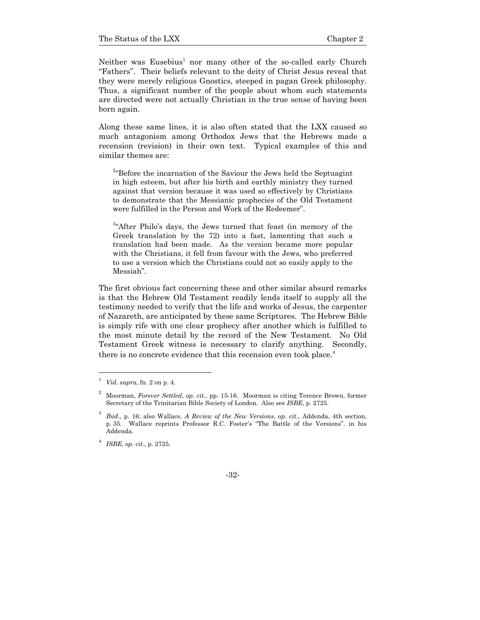Neither was Eusebius<sup>1</sup> nor many other of the so-called early Church "Fathers". Their beliefs relevant to the deity of Christ Jesus reveal that they were merely religious Gnostics, steeped in pagan Greek philosophy. Thus, a significant number of the people about whom such statements are directed were not actually Christian in the true sense of having been born again.

Along these same lines, it is also often stated that the LXX caused so much antagonism among Orthodox Jews that the Hebrews made a recension (revision) in their own text. Typical examples of this and similar themes are:

<sup>2</sup> Before the incarnation of the Saviour the Jews held the Septuagint in high esteem, but after his birth and earthly ministry they turned against that version because it was used so effectively by Christians to demonstrate that the Messianic prophecies of the Old Testament were fulfilled in the Person and Work of the Redeemer".

<sup>3</sup>"After Philo's days, the Jews turned that feast (in memory of the Greek translation by the 72) into a fast, lamenting that such a translation had been made. As the version became more popular with the Christians, it fell from favour with the Jews, who preferred to use a version which the Christians could not so easily apply to the Messiah".

The first obvious fact concerning these and other similar absurd remarks is that the Hebrew Old Testament readily lends itself to supply all the testimony needed to verify that the life and works of Jesus, the carpenter of Nazareth, are anticipated by these same Scriptures. The Hebrew Bible is simply rife with one clear prophecy after another which is fulfilled to the most minute detail by the record of the New Testament. No Old Testament Greek witness is necessary to clarify anything. Secondly, there is no concrete evidence that this recension even took place.<sup>4</sup>

-

<sup>4</sup> *ISBE*, *op. cit*., p. 2725.

 $1$  *Vid. supra, fn.* 2 on p. 4.

<sup>2</sup> Moorman, *Forever Settled*, *op. cit*., pp. 15-16. Moorman is citing Terence Brown, former Secretary of the Trinitarian Bible Society of London. Also see *ISBE*, p. 2725.

<sup>3</sup> *Ibid*., p. 16; also Wallace, *A Review of the New Versions*, *op. cit*., Addenda, 4th section, p. 35. Wallace reprints Professor R.C. Foster's "The Battle of the Versions". in his Addenda.

<sup>-32-</sup>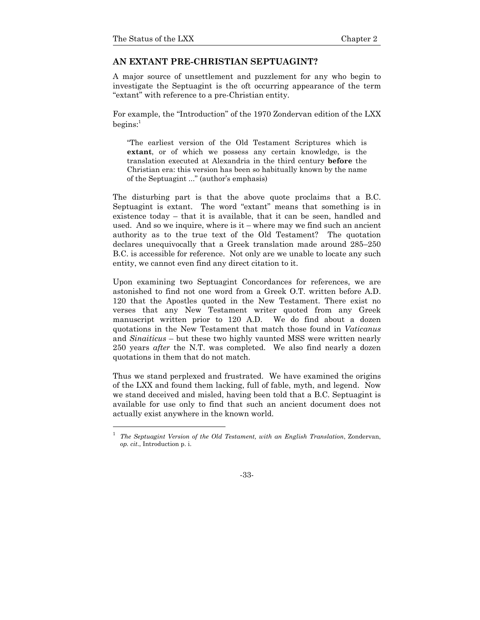### **AN EXTANT PRE-CHRISTIAN SEPTUAGINT?**

A major source of unsettlement and puzzlement for any who begin to investigate the Septuagint is the oft occurring appearance of the term "extant" with reference to a pre-Christian entity.

For example, the "Introduction" of the 1970 Zondervan edition of the LXX  $beqins:$ <sup>1</sup>

"The earliest version of the Old Testament Scriptures which is **extant**, or of which we possess any certain knowledge, is the translation executed at Alexandria in the third century **before** the Christian era: this version has been so habitually known by the name of the Septuagint ..." (author's emphasis)

The disturbing part is that the above quote proclaims that a B.C. Septuagint is extant. The word "extant" means that something is in existence today – that it is available, that it can be seen, handled and used. And so we inquire, where is  $it$  – where may we find such an ancient authority as to the true text of the Old Testament? The quotation declares unequivocally that a Greek translation made around 285–250 B.C. is accessible for reference. Not only are we unable to locate any such entity, we cannot even find any direct citation to it.

Upon examining two Septuagint Concordances for references, we are astonished to find not one word from a Greek O.T. written before A.D. 120 that the Apostles quoted in the New Testament. There exist no verses that any New Testament writer quoted from any Greek manuscript written prior to 120 A.D. We do find about a dozen quotations in the New Testament that match those found in *Vaticanus* and *Sinaiticus* – but these two highly vaunted MSS were written nearly 250 years *after* the N.T. was completed. We also find nearly a dozen quotations in them that do not match.

Thus we stand perplexed and frustrated. We have examined the origins of the LXX and found them lacking, full of fable, myth, and legend. Now we stand deceived and misled, having been told that a B.C. Septuagint is available for use only to find that such an ancient document does not actually exist anywhere in the known world.

<sup>1</sup> *The Septuagint Version of the Old Testament, with an English Translation*, Zondervan, *op. cit*., Introduction p. i.

<sup>-33-</sup>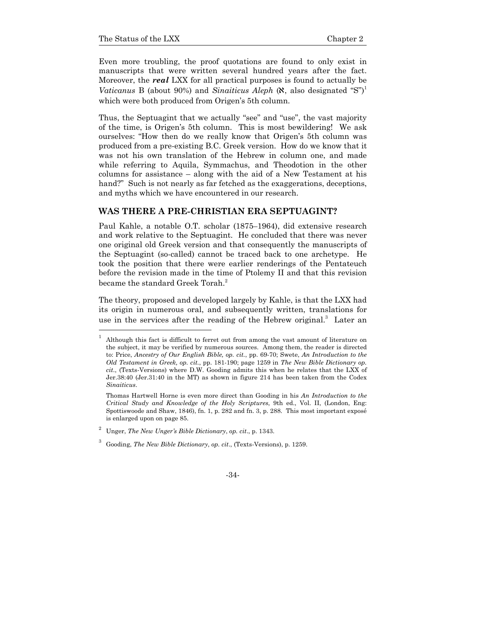1

Even more troubling, the proof quotations are found to only exist in manuscripts that were written several hundred years after the fact. Moreover, the *real* LXX for all practical purposes is found to actually be *Vaticanus* B (about 90%) and *Sinaiticus Aleph*  $(\aleph, \text{ also designated "S")}^1$ which were both produced from Origen's 5th column.

Thus, the Septuagint that we actually "see" and "use", the vast majority of the time, is Origen's 5th column. This is most bewildering! We ask ourselves: "How then do we really know that Origen's 5th column was produced from a pre-existing B.C. Greek version. How do we know that it was not his own translation of the Hebrew in column one, and made while referring to Aquila, Symmachus, and Theodotion in the other columns for assistance – along with the aid of a New Testament at his hand?" Such is not nearly as far fetched as the exaggerations, deceptions, and myths which we have encountered in our research.

# **WAS THERE A PRE-CHRISTIAN ERA SEPTUAGINT?**

Paul Kahle, a notable O.T. scholar (1875–1964), did extensive research and work relative to the Septuagint. He concluded that there was never one original old Greek version and that consequently the manuscripts of the Septuagint (so-called) cannot be traced back to one archetype. He took the position that there were earlier renderings of the Pentateuch before the revision made in the time of Ptolemy II and that this revision became the standard Greek Torah.<sup>2</sup>

The theory, proposed and developed largely by Kahle, is that the LXX had its origin in numerous oral, and subsequently written, translations for use in the services after the reading of the Hebrew original.<sup>3</sup> Later an

<sup>1</sup> Although this fact is difficult to ferret out from among the vast amount of literature on the subject, it may be verified by numerous sources. Among them, the reader is directed to: Price, *Ancestry of Our English Bible, op. cit.*, pp. 69-70; Swete, *An Introduction to the Old Testament in Greek, op. cit.*, pp. 181-190; page 1259 in *The New Bible Dictionary op. cit*., (Texts-Versions) where D.W. Gooding admits this when he relates that the LXX of Jer.38:40 (Jer.31:40 in the MT) as shown in figure 214 has been taken from the Codex *Sinaiticus*.

Thomas Hartwell Horne is even more direct than Gooding in his *An Introduction to the Critical Study and Knowledge of the Holy Scriptures*, 9th ed., Vol. II, (London, Eng: Spottiswoode and Shaw, 1846), fn. 1, p. 282 and fn. 3, p. 288. This most important exposé is enlarged upon on page 85.

<sup>2</sup> Unger, *The New Unger's Bible Dictionary*, *op. cit*., p. 1343.

<sup>3</sup> Gooding, *The New Bible Dictionary*, *op. cit*., (Texts-Versions), p. 1259.

<sup>-34-</sup>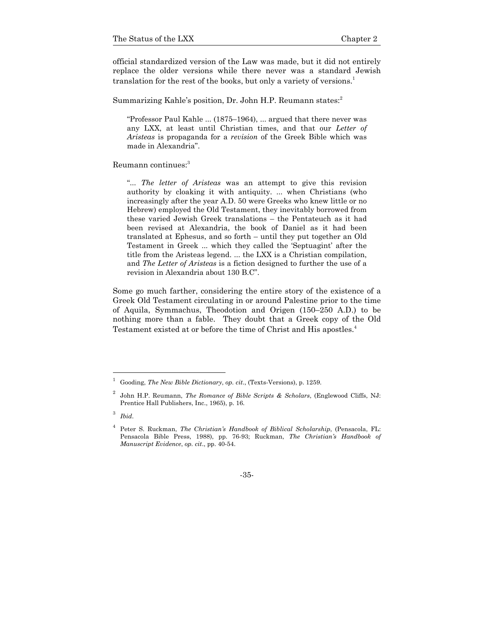official standardized version of the Law was made, but it did not entirely replace the older versions while there never was a standard Jewish translation for the rest of the books, but only a variety of versions.<sup>1</sup>

Summarizing Kahle's position, Dr. John H.P. Reumann states:<sup>2</sup>

"Professor Paul Kahle ... (1875–1964), ... argued that there never was any LXX, at least until Christian times, and that our *Letter of Aristeas* is propaganda for a *revision* of the Greek Bible which was made in Alexandria".

Reumann continues:<sup>3</sup>

"... *The letter of Aristeas* was an attempt to give this revision authority by cloaking it with antiquity. ... when Christians (who increasingly after the year A.D. 50 were Greeks who knew little or no Hebrew) employed the Old Testament, they inevitably borrowed from these varied Jewish Greek translations – the Pentateuch as it had been revised at Alexandria, the book of Daniel as it had been translated at Ephesus, and so forth – until they put together an Old Testament in Greek ... which they called the 'Septuagint' after the title from the Aristeas legend. ... the LXX is a Christian compilation, and *The Letter of Aristeas* is a fiction designed to further the use of a revision in Alexandria about 130 B.C".

Some go much farther, considering the entire story of the existence of a Greek Old Testament circulating in or around Palestine prior to the time of Aquila, Symmachus, Theodotion and Origen (150–250 A.D.) to be nothing more than a fable. They doubt that a Greek copy of the Old Testament existed at or before the time of Christ and His apostles.4

l

<sup>1</sup> Gooding, *The New Bible Dictionary*, *op. cit*., (Texts-Versions), p. 1259.

<sup>2</sup> John H.P. Reumann, *The Romance of Bible Scripts & Scholars*, (Englewood Cliffs, NJ: Prentice Hall Publishers, Inc., 1965), p. 16.

<sup>3</sup> *Ibid*.

<sup>4</sup> Peter S. Ruckman, *The Christian's Handbook of Biblical Scholarship*, (Pensacola, FL: Pensacola Bible Press, 1988), pp. 76-93; Ruckman, *The Christian's Handbook of Manuscript Evidence*, *op. cit*., pp. 40-54.

<sup>-35-</sup>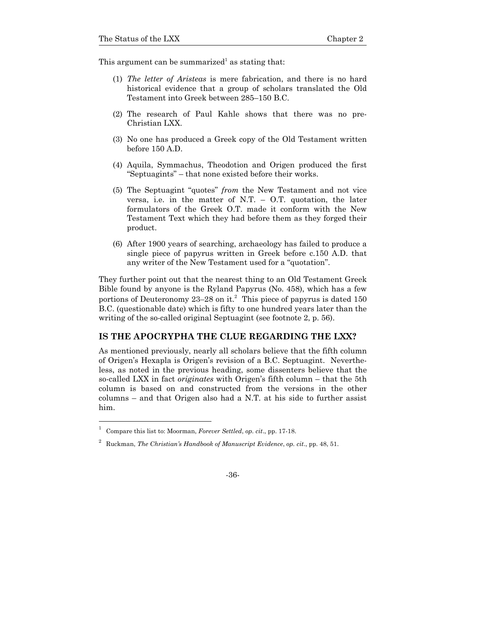This argument can be summarized<sup>1</sup> as stating that:

- (1) *The letter of Aristeas* is mere fabrication, and there is no hard historical evidence that a group of scholars translated the Old Testament into Greek between 285–150 B.C.
- (2) The research of Paul Kahle shows that there was no pre-Christian LXX.
- (3) No one has produced a Greek copy of the Old Testament written before 150 A.D.
- (4) Aquila, Symmachus, Theodotion and Origen produced the first "Septuagints" – that none existed before their works.
- (5) The Septuagint "quotes" *from* the New Testament and not vice versa, i.e. in the matter of N.T.  $-$  O.T. quotation, the later formulators of the Greek O.T. made it conform with the New Testament Text which they had before them as they forged their product.
- (6) After 1900 years of searching, archaeology has failed to produce a single piece of papyrus written in Greek before c.150 A.D. that any writer of the New Testament used for a "quotation".

They further point out that the nearest thing to an Old Testament Greek Bible found by anyone is the Ryland Papyrus (No. 458), which has a few portions of Deuteronomy 23–28 on it.<sup>2</sup> This piece of papyrus is dated 150 B.C. (questionable date) which is fifty to one hundred years later than the writing of the so-called original Septuagint (see footnote 2, p. 56).

### **IS THE APOCRYPHA THE CLUE REGARDING THE LXX?**

As mentioned previously, nearly all scholars believe that the fifth column of Origen's Hexapla is Origen's revision of a B.C. Septuagint. Nevertheless, as noted in the previous heading, some dissenters believe that the so-called LXX in fact *originates* with Origen's fifth column – that the 5th column is based on and constructed from the versions in the other columns – and that Origen also had a N.T. at his side to further assist him.

l

<sup>1</sup> Compare this list to: Moorman, *Forever Settled*, *op. cit*., pp. 17-18.

<sup>2</sup> Ruckman, *The Christian's Handbook of Manuscript Evidence*, *op. cit*., pp. 48, 51.

<sup>-36-</sup>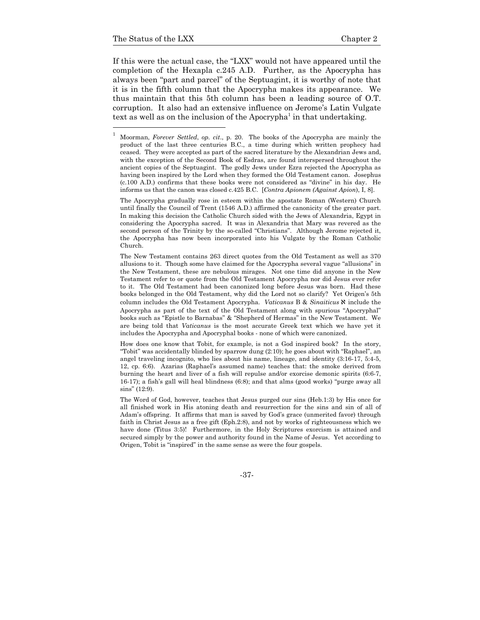If this were the actual case, the "LXX" would not have appeared until the completion of the Hexapla c.245 A.D. Further, as the Apocrypha has always been "part and parcel" of the Septuagint, it is worthy of note that it is in the fifth column that the Apocrypha makes its appearance. We thus maintain that this 5th column has been a leading source of O.T. corruption. It also had an extensive influence on Jerome's Latin Vulgate text as well as on the inclusion of the Apocrypha<sup>1</sup> in that undertaking.

 The Apocrypha gradually rose in esteem within the apostate Roman (Western) Church until finally the Council of Trent (1546 A.D.) affirmed the canonicity of the greater part. In making this decision the Catholic Church sided with the Jews of Alexandria, Egypt in considering the Apocrypha sacred. It was in Alexandria that Mary was revered as the second person of the Trinity by the so-called "Christians". Although Jerome rejected it, the Apocrypha has now been incorporated into his Vulgate by the Roman Catholic Church.

 The New Testament contains 263 direct quotes from the Old Testament as well as 370 allusions to it. Though some have claimed for the Apocrypha several vague "allusions" in the New Testament, these are nebulous mirages. Not one time did anyone in the New Testament refer to or quote from the Old Testament Apocrypha nor did Jesus ever refer to it. The Old Testament had been canonized long before Jesus was born. Had these books belonged in the Old Testament, why did the Lord not so clarify? Yet Origen's 5th column includes the Old Testament Apocrypha. *Vaticanus* B & *Sinaiticus*  $\aleph$  include the Apocrypha as part of the text of the Old Testament along with spurious "Apocryphal" books such as "Epistle to Barnabas" & "Shepherd of Hermas" in the New Testament. We are being told that *Vaticanus* is the most accurate Greek text which we have yet it includes the Apocrypha and Apocryphal books - none of which were canonized.

 How does one know that Tobit, for example, is not a God inspired book? In the story, "Tobit" was accidentally blinded by sparrow dung (2:10); he goes about with "Raphael", an angel traveling incognito, who lies about his name, lineage, and identity (3:16-17, 5:4-5, 12, cp. 6:6). Azarias (Raphael's assumed name) teaches that: the smoke derived from burning the heart and liver of a fish will repulse and/or exorcise demonic spirits (6:6-7, 16-17); a fish's gall will heal blindness (6:8); and that alms (good works) "purge away all sins" (12:9).

 The Word of God, however, teaches that Jesus purged our sins (Heb.1:3) by His once for all finished work in His atoning death and resurrection for the sins and sin of all of Adam's offspring. It affirms that man is saved by God's grace (unmerited favor) through faith in Christ Jesus as a free gift (Eph.2:8), and not by works of righteousness which we have done (Titus 3:5)! Furthermore, in the Holy Scriptures exorcism is attained and secured simply by the power and authority found in the Name of Jesus. Yet according to Origen, Tobit is "inspired" in the same sense as were the four gospels.

-37-

<sup>1</sup> Moorman, *Forever Settled*, *op. cit*., p. 20. The books of the Apocrypha are mainly the product of the last three centuries B.C., a time during which written prophecy had ceased. They were accepted as part of the sacred literature by the Alexandrian Jews and, with the exception of the Second Book of Esdras, are found interspersed throughout the ancient copies of the Septuagint. The godly Jews under Ezra rejected the Apocrypha as having been inspired by the Lord when they formed the Old Testament canon. Josephus (c.100 A.D.) confirms that these books were not considered as "divine" in his day. He informs us that the canon was closed c.425 B.C. [*Contra Apionem (Against Apion*), I, 8].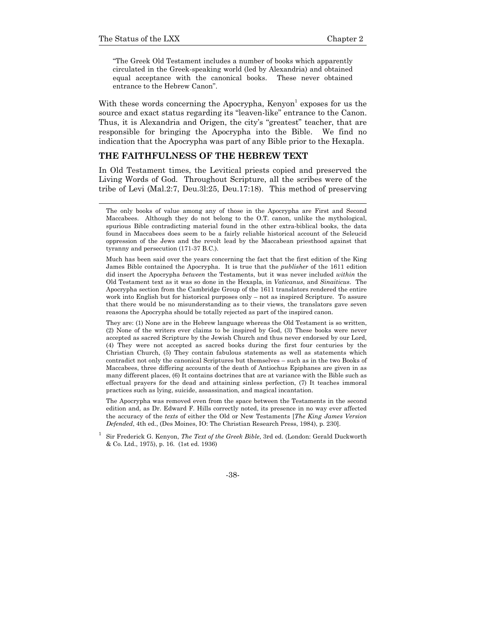"The Greek Old Testament includes a number of books which apparently circulated in the Greek-speaking world (led by Alexandria) and obtained equal acceptance with the canonical books. These never obtained entrance to the Hebrew Canon".

With these words concerning the Apocrypha,  $Kenyon<sup>1</sup>$  exposes for us the source and exact status regarding its "leaven-like" entrance to the Canon. Thus, it is Alexandria and Origen, the city's "greatest" teacher, that are responsible for bringing the Apocrypha into the Bible. We find no indication that the Apocrypha was part of any Bible prior to the Hexapla.

# **THE FAITHFULNESS OF THE HEBREW TEXT**

In Old Testament times, the Levitical priests copied and preserved the Living Words of God. Throughout Scripture, all the scribes were of the tribe of Levi (Mal.2:7, Deu.3l:25, Deu.17:18). This method of preserving

 Much has been said over the years concerning the fact that the first edition of the King James Bible contained the Apocrypha. It is true that the *publisher* of the 1611 edition did insert the Apocrypha *between* the Testaments, but it was never included *within* the Old Testament text as it was so done in the Hexapla, in *Vaticanus*, and *Sinaiticus*. The Apocrypha section from the Cambridge Group of the 1611 translators rendered the entire work into English but for historical purposes only – not as inspired Scripture. To assure that there would be no misunderstanding as to their views, the translators gave seven reasons the Apocrypha should be totally rejected as part of the inspired canon.

 They are: (1) None are in the Hebrew language whereas the Old Testament is so written, (2) None of the writers ever claims to be inspired by God, (3) These books were never accepted as sacred Scripture by the Jewish Church and thus never endorsed by our Lord, (4) They were not accepted as sacred books during the first four centuries by the Christian Church, (5) They contain fabulous statements as well as statements which contradict not only the canonical Scriptures but themselves – such as in the two Books of Maccabees, three differing accounts of the death of Antiochus Epiphanes are given in as many different places, (6) It contains doctrines that are at variance with the Bible such as effectual prayers for the dead and attaining sinless perfection, (7) It teaches immoral practices such as lying, suicide, assassination, and magical incantation.

 The Apocrypha was removed even from the space between the Testaments in the second edition and, as Dr. Edward F. Hills correctly noted, its presence in no way ever affected the accuracy of the *texts* of either the Old or New Testaments [*The King James Version Defended*, 4th ed., (Des Moines, IO: The Christian Research Press, 1984), p. 230].

-38-

The only books of value among any of those in the Apocrypha are First and Second Maccabees. Although they do not belong to the O.T. canon, unlike the mythological, spurious Bible contradicting material found in the other extra-biblical books, the data found in Maccabees does seem to be a fairly reliable historical account of the Seleucid oppression of the Jews and the revolt lead by the Maccabean priesthood against that tyranny and persecution (171-37 B.C.).

<sup>1</sup> Sir Frederick G. Kenyon, *The Text of the Greek Bible*, 3rd ed. (London: Gerald Duckworth & Co. Ltd., 1975), p. 16. (1st ed. 1936)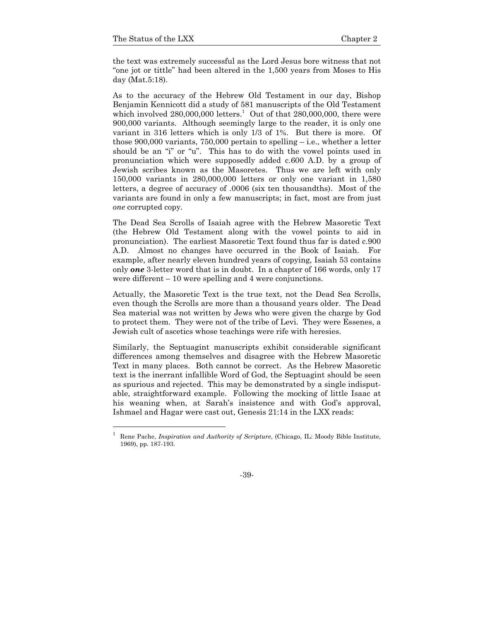the text was extremely successful as the Lord Jesus bore witness that not "one jot or tittle" had been altered in the 1,500 years from Moses to His day (Mat.5:18).

As to the accuracy of the Hebrew Old Testament in our day, Bishop Benjamin Kennicott did a study of 581 manuscripts of the Old Testament which involved  $280,000,000$  letters.<sup>1</sup> Out of that  $280,000,000$ , there were 900,000 variants. Although seemingly large to the reader, it is only one variant in 316 letters which is only 1/3 of 1%. But there is more. Of those  $900,000$  variants,  $750,000$  pertain to spelling – i.e., whether a letter should be an "i" or "u". This has to do with the vowel points used in pronunciation which were supposedly added c.600 A.D. by a group of Jewish scribes known as the Masoretes. Thus we are left with only 150,000 variants in 280,000,000 letters or only one variant in 1,580 letters, a degree of accuracy of .0006 (six ten thousandths). Most of the variants are found in only a few manuscripts; in fact, most are from just *one* corrupted copy.

The Dead Sea Scrolls of Isaiah agree with the Hebrew Masoretic Text (the Hebrew Old Testament along with the vowel points to aid in pronunciation). The earliest Masoretic Text found thus far is dated c.900 A.D. Almost no changes have occurred in the Book of Isaiah. For example, after nearly eleven hundred years of copying, Isaiah 53 contains only *one* 3-letter word that is in doubt. In a chapter of 166 words, only 17 were different – 10 were spelling and 4 were conjunctions.

Actually, the Masoretic Text is the true text, not the Dead Sea Scrolls, even though the Scrolls are more than a thousand years older. The Dead Sea material was not written by Jews who were given the charge by God to protect them. They were not of the tribe of Levi. They were Essenes, a Jewish cult of ascetics whose teachings were rife with heresies.

Similarly, the Septuagint manuscripts exhibit considerable significant differences among themselves and disagree with the Hebrew Masoretic Text in many places. Both cannot be correct. As the Hebrew Masoretic text is the inerrant infallible Word of God, the Septuagint should be seen as spurious and rejected. This may be demonstrated by a single indisputable, straightforward example. Following the mocking of little Isaac at his weaning when, at Sarah's insistence and with God's approval, Ishmael and Hagar were cast out, Genesis 21:14 in the LXX reads:

<sup>1</sup> Rene Pache, *Inspiration and Authority of Scripture*, (Chicago, IL: Moody Bible Institute, 1969), pp. 187-193.

<sup>-39-</sup>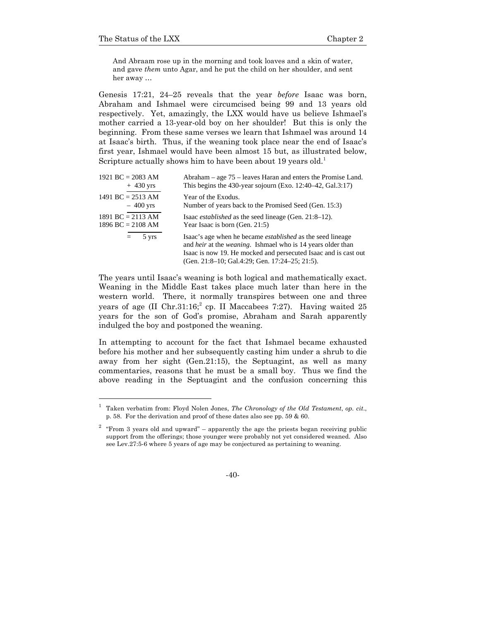And Abraam rose up in the morning and took loaves and a skin of water, and gave *them* unto Agar, and he put the child on her shoulder, and sent her away …

Genesis 17:21, 24–25 reveals that the year *before* Isaac was born, Abraham and Ishmael were circumcised being 99 and 13 years old respectively. Yet, amazingly, the LXX would have us believe Ishmael's mother carried a 13-year-old boy on her shoulder! But this is only the beginning. From these same verses we learn that Ishmael was around 14 at Isaac's birth. Thus, if the weaning took place near the end of Isaac's first year, Ishmael would have been almost 15 but, as illustrated below, Scripture actually shows him to have been about 19 years old.<sup>1</sup>

| 1921 BC = 2083 AM   | Abraham – age 75 – leaves Haran and enters the Promise Land.                                                                                                                                                                                                         |
|---------------------|----------------------------------------------------------------------------------------------------------------------------------------------------------------------------------------------------------------------------------------------------------------------|
| $+$ 430 yrs         | This begins the 430-year sojourn (Exo. 12:40–42, Gal.3:17)                                                                                                                                                                                                           |
| 1491 BC = $2513$ AM | Year of the Exodus.                                                                                                                                                                                                                                                  |
| $-400$ yrs          | Number of years back to the Promised Seed (Gen. 15:3)                                                                                                                                                                                                                |
| $1891 BC = 2113 AM$ | Isaac <i>established</i> as the seed lineage (Gen. 21:8–12).                                                                                                                                                                                                         |
| $1896$ BC = 2108 AM | Year Isaac is born (Gen. 21:5)                                                                                                                                                                                                                                       |
| 5 yrs<br>$=$        | Isaac's age when he became <i>established</i> as the seed lineage<br>and <i>heir</i> at the <i>weaning</i> . Ishmael who is 14 years older than<br>Isaac is now 19. He mocked and persecuted Isaac and is cast out<br>(Gen. 21:8–10; Gal.4:29; Gen. 17:24–25; 21:5). |

The years until Isaac's weaning is both logical and mathematically exact. Weaning in the Middle East takes place much later than here in the western world. There, it normally transpires between one and three years of age  $(II \ Chr.31:16; ^2 cp. II Maccabees 7:27)$ . Having waited 25 years for the son of God's promise, Abraham and Sarah apparently indulged the boy and postponed the weaning.

In attempting to account for the fact that Ishmael became exhausted before his mother and her subsequently casting him under a shrub to die away from her sight (Gen.21:15), the Septuagint, as well as many commentaries, reasons that he must be a small boy. Thus we find the above reading in the Septuagint and the confusion concerning this

<sup>1</sup> Taken verbatim from: Floyd Nolen Jones, *The Chronology of the Old Testament*, *op. cit*., p. 58. For the derivation and proof of these dates also see pp. 59 & 60.

 $2 \text{ "From 3 years old and upward" - apparently the age the priest began receiving public" }$ support from the offerings; those younger were probably not yet considered weaned. Also see Lev.27:5-6 where 5 years of age may be conjectured as pertaining to weaning.

<sup>-40-</sup>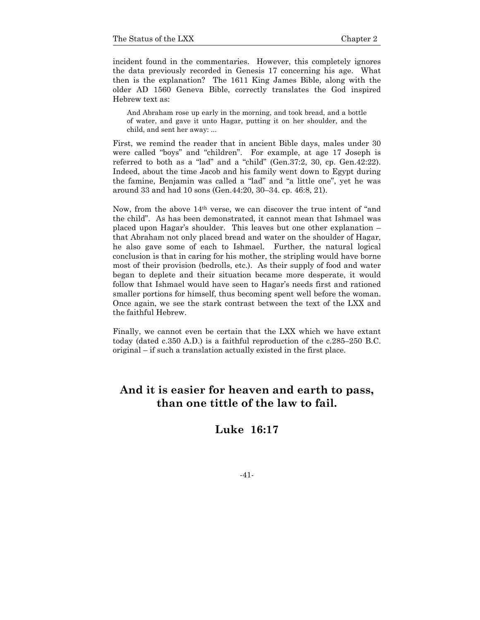incident found in the commentaries. However, this completely ignores the data previously recorded in Genesis 17 concerning his age. What then is the explanation? The 1611 King James Bible, along with the older AD 1560 Geneva Bible, correctly translates the God inspired Hebrew text as:

And Abraham rose up early in the morning, and took bread, and a bottle of water, and gave it unto Hagar, putting it on her shoulder, and the child, and sent her away: ...

First, we remind the reader that in ancient Bible days, males under 30 were called "boys" and "children". For example, at age 17 Joseph is referred to both as a "lad" and a "child" (Gen.37:2, 30, cp. Gen.42:22). Indeed, about the time Jacob and his family went down to Egypt during the famine, Benjamin was called a "lad" and "a little one", yet he was around 33 and had 10 sons (Gen.44:20, 30–34. cp. 46:8, 21).

Now, from the above 14th verse, we can discover the true intent of "and the child". As has been demonstrated, it cannot mean that Ishmael was placed upon Hagar's shoulder. This leaves but one other explanation – that Abraham not only placed bread and water on the shoulder of Hagar, he also gave some of each to Ishmael. Further, the natural logical conclusion is that in caring for his mother, the stripling would have borne most of their provision (bedrolls, etc.). As their supply of food and water began to deplete and their situation became more desperate, it would follow that Ishmael would have seen to Hagar's needs first and rationed smaller portions for himself, thus becoming spent well before the woman. Once again, we see the stark contrast between the text of the LXX and the faithful Hebrew.

Finally, we cannot even be certain that the LXX which we have extant today (dated c.350 A.D.) is a faithful reproduction of the c.285–250 B.C. original – if such a translation actually existed in the first place.

# **And it is easier for heaven and earth to pass, than one tittle of the law to fail.**

# **Luke 16:17**

-41-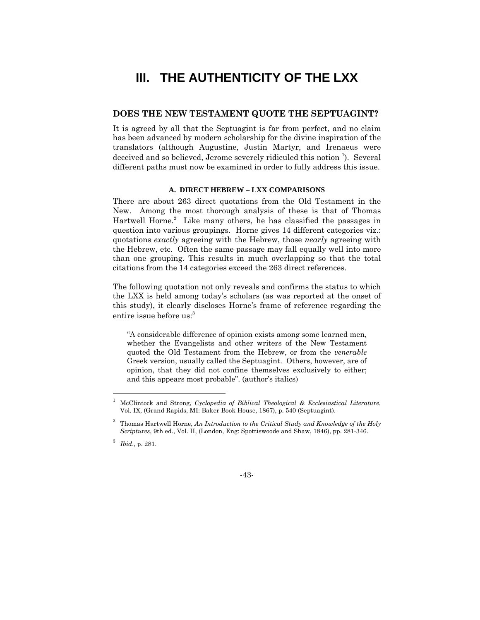# **III. THE AUTHENTICITY OF THE LXX**

### **DOES THE NEW TESTAMENT QUOTE THE SEPTUAGINT?**

It is agreed by all that the Septuagint is far from perfect, and no claim has been advanced by modern scholarship for the divine inspiration of the translators (although Augustine, Justin Martyr, and Irenaeus were deceived and so believed, Jerome severely ridiculed this notion <sup>1</sup>). Several different paths must now be examined in order to fully address this issue.

### **A. DIRECT HEBREW – LXX COMPARISONS**

There are about 263 direct quotations from the Old Testament in the New. Among the most thorough analysis of these is that of Thomas Hartwell Horne.<sup>2</sup> Like many others, he has classified the passages in question into various groupings. Horne gives 14 different categories viz.: quotations *exactly* agreeing with the Hebrew, those *nearly* agreeing with the Hebrew, etc. Often the same passage may fall equally well into more than one grouping. This results in much overlapping so that the total citations from the 14 categories exceed the 263 direct references.

The following quotation not only reveals and confirms the status to which the LXX is held among today's scholars (as was reported at the onset of this study), it clearly discloses Horne's frame of reference regarding the entire issue before us:<sup>3</sup>

"A considerable difference of opinion exists among some learned men, whether the Evangelists and other writers of the New Testament quoted the Old Testament from the Hebrew, or from the *venerable* Greek version, usually called the Septuagint. Others, however, are of opinion, that they did not confine themselves exclusively to either; and this appears most probable". (author's italics)

l



<sup>1</sup> McClintock and Strong, *Cyclopedia of Biblical Theological & Ecclesiastical Literature*, Vol. IX, (Grand Rapids, MI: Baker Book House, 1867), p. 540 (Septuagint).

<sup>2</sup> Thomas Hartwell Horne, *An Introduction to the Critical Study and Knowledge of the Holy Scriptures*, 9th ed., Vol. II, (London, Eng: Spottiswoode and Shaw, 1846), pp. 281-346.

<sup>3</sup> *Ibid*., p. 281.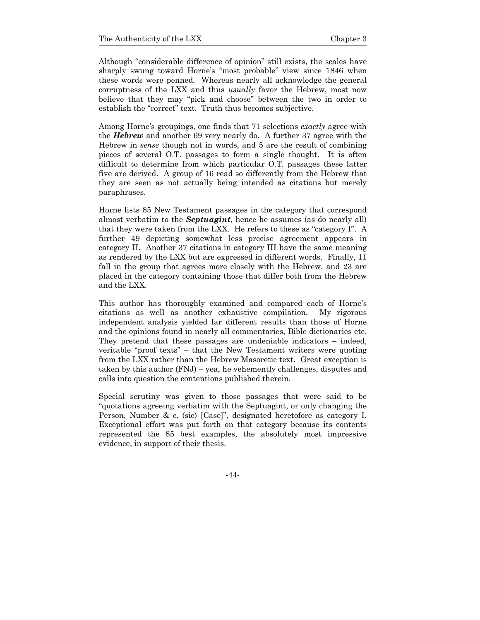Although "considerable difference of opinion" still exists, the scales have sharply swung toward Horne's "most probable" view since 1846 when these words were penned. Whereas nearly all acknowledge the general corruptness of the LXX and thus *usually* favor the Hebrew, most now believe that they may "pick and choose" between the two in order to establish the "correct" text. Truth thus becomes subjective.

Among Horne's groupings, one finds that 71 selections *exactly* agree with the *Hebrew* and another 69 very nearly do. A further 37 agree with the Hebrew in *sense* though not in words, and 5 are the result of combining pieces of several O.T. passages to form a single thought. It is often difficult to determine from which particular O.T. passages these latter five are derived. A group of 16 read so differently from the Hebrew that they are seen as not actually being intended as citations but merely paraphrases.

Horne lists 85 New Testament passages in the category that correspond almost verbatim to the *Septuagint*, hence he assumes (as do nearly all) that they were taken from the LXX. He refers to these as "category I". A further 49 depicting somewhat less precise agreement appears in category II. Another 37 citations in category III have the same meaning as rendered by the LXX but are expressed in different words. Finally, 11 fall in the group that agrees more closely with the Hebrew, and 23 are placed in the category containing those that differ both from the Hebrew and the LXX.

This author has thoroughly examined and compared each of Horne's citations as well as another exhaustive compilation. My rigorous independent analysis yielded far different results than those of Horne and the opinions found in nearly all commentaries, Bible dictionaries etc. They pretend that these passages are undeniable indicators – indeed, veritable "proof texts" – that the New Testament writers were quoting from the LXX rather than the Hebrew Masoretic text. Great exception is taken by this author (FNJ) – yea, he vehemently challenges, disputes and calls into question the contentions published therein.

Special scrutiny was given to those passages that were said to be "quotations agreeing verbatim with the Septuagint, or only changing the Person, Number & c. (sic) [Case]", designated heretofore as category I. Exceptional effort was put forth on that category because its contents represented the 85 best examples, the absolutely most impressive evidence, in support of their thesis.

-44-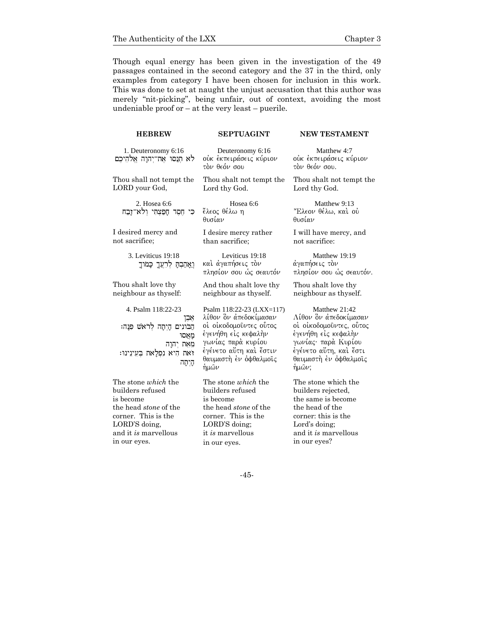Though equal energy has been given in the investigation of the 49 passages contained in the second category and the 37 in the third, only examples from category I have been chosen for inclusion in this work. This was done to set at naught the unjust accusation that this author was merely "nit-picking", being unfair, out of context, avoiding the most undeniable proof or  $-$  at the very least  $-$  puerile.

| <b>HEBREW</b>                                                                                                                                                               | <b>SEPTUAGINT</b>                                                                                                                                                                    | <b>NEW TESTAMENT</b>                                                                                                                                                        |
|-----------------------------------------------------------------------------------------------------------------------------------------------------------------------------|--------------------------------------------------------------------------------------------------------------------------------------------------------------------------------------|-----------------------------------------------------------------------------------------------------------------------------------------------------------------------------|
| 1. Deuteronomy 6:16<br>לא תנסו את־יהוה אלהיכם                                                                                                                               | Deuteronomy 6:16<br>ούκ έκπειράσεις κύριον<br>τὸν θεόν σου                                                                                                                           | Matthew 4:7<br>ούκ έκπειράσεις κύριον<br>τον θεόν σου.                                                                                                                      |
| Thou shall not tempt the<br>LORD your God,                                                                                                                                  | Thou shalt not tempt the<br>Lord thy God.                                                                                                                                            | Thou shalt not tempt the<br>Lord thy God.                                                                                                                                   |
| 2. Hosea 6:6<br>כִּי חֶסֶד חָפַצְתִּי וְלֹא־זָבַח                                                                                                                           | Hosea 6:6<br>ἔλεος θέλω η<br>θυσίαν                                                                                                                                                  | Matthew 9:13<br>"Ελεον θέλω, και ού<br>θυσίαν                                                                                                                               |
| I desired mercy and<br>not sacrifice;                                                                                                                                       | I desire mercy rather<br>than sacrifice;                                                                                                                                             | I will have mercy, and<br>not sacrifice:                                                                                                                                    |
| 3. Leviticus 19:18<br>וַאֲהַבְתָּ לְרֵעֲךָ כָּמֹוּךָ                                                                                                                        | Leviticus 19:18<br>καὶ ἀγαπήσ∈ις τὸν<br>πλησίον σου ώς σεαυτόν                                                                                                                       | Matthew 19:19<br>άγαπήσεις τον<br>πλησίον σου ώς σεαυτόν.                                                                                                                   |
| Thou shalt love thy<br>neighbour as thyself:                                                                                                                                | And thou shalt love thy<br>neighbour as thyself.                                                                                                                                     | Thou shalt love thy<br>neighbour as thyself.                                                                                                                                |
| 4. Psalm 118:22-23<br>אבן<br>הַבֹּונִים הַיְתַה לְרֹאֹשׁ פִּנַּה:<br>מאַסוּ<br>מָאָת יִהְוָה<br>זאת היא נפלאת בעינינו:<br>היתה                                              | Psalm 118:22-23 (LXX=117)<br>λίθον ὃν άπεδοκίμασαν<br>οί οίκοδομοῦντες οὗτος<br>έγενήθη εἰς κεφαλὴν<br>γωνίας παρά κυρίου<br>έγένετο αὕτη καὶ ἔστιν<br>θαυμαστή έν όφθαλμοις<br>ήμων | Matthew 21:42<br>Λίθον ὃν ἀπεδοκίμασαν<br>οί οίκοδομοῦντες, οὗτος<br>έγενήθη είς κεφαλήν<br>γωνίας· παρὰ Κυρίου<br>έγένετο αὕτη, καὶ ἔστι<br>θαυμαστή έν όφθαλμοις<br>ήμων; |
| The stone <i>which</i> the<br>builders refused<br>is become<br>the head <i>stone</i> of the<br>corner. This is the<br>LORD'S doing,<br>and it is marvellous<br>in our eyes. | The stone <i>which</i> the<br>builders refused<br>is become<br>the head <i>stone</i> of the<br>corner. This is the<br>LORD'S doing;<br>it is marvellous<br>in our eyes.              | The stone which the<br>builders rejected,<br>the same is become<br>the head of the<br>corner: this is the<br>Lord's doing;<br>and it is marvellous<br>in our eyes?          |

-45-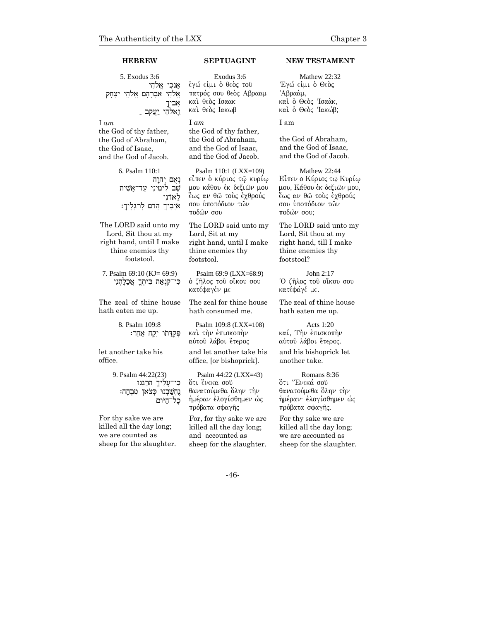5. Exodus 3:6 אנכי אלהי אֵלהֵי אַבְרָהָם אֱלֹהֵי יִצְחָק  $\approx$ וֵאלהֵי יַעֲקֹב <u>-</u>

I *am*  the God of thy father, the God of Abraham, the God of Isaac, and the God of Jacob.

> 6. Psalm 110:1  $n$ נאם יהוה שב לִימִינִי עַד־אַשִׁית לאדני יִבְיךָ הַדֹם לְרַגְלֶיךָ: $\ast$

The LORD said unto my Lord, Sit thou at my right hand, until I make thine enemies thy footstool.

7. Psalm 69:10 (KJ= 69:9) כִּי־קִנְאַת בֵּיתְךָ אֲכָלָתָנִי

The zeal of thine house hath eaten me up.

> 8. Psalm 109:8 פִּקְדַּתוֹ יִקַח אַחֵר:

let another take his office.

> 9. Psalm 44:22(23) ְעַלֵ<sup>י</sup>ִיךָ הֹרֲגְנוּ גֶחְשַׁבְנוּ כְּצֹאן טִבְחָה: היום '

For thy sake we are killed all the day long; we are counted as sheep for the slaughter.

Exodus 3:6 έγώ είμι ο θεος του πατρός σου θεὸς Αβρααμ και θεός Ισαακ και θεός Ιακωβ

I *am*  the God of thy father, the God of Abraham, and the God of Isaac, and the God of Jacob.

Psalm 110:1 (LXX=109) eἶπεν ὁ κύριος τῷ κυρίῳ μου κάθου ἐκ δεξιῶν μου έως αν θώ τους έχθρούς σου υποπόδιον των ποδών σου

The LORD said unto my Lord, Sit at my right hand, until I make thine enemies thy footstool.

Psalm 69:9 (LXX=68:9) <u>ο</u> ζήλος τοῦ οἴκου σου κατέφαγέν με

The zeal for thine house hath consumed me.

Psalm 109:8 (LXX=108) και την επισκοπήν αύτου λάβοι έτερος

and let another take his office, [or bishoprick].

Psalm 44:22 (LXX=43) ότι ένεκα σοῦ θανατούμεθα όλην την ήμέραν έλογίσθημεν ώς πρόβατα σφαγῆς

For, for thy sake we are killed all the day long; and accounted as sheep for the slaughter.

### **HEBREW SEPTUAGINT NEW TESTAMENT**

Mathew 22:32 Έγώ είμι ο Θεος Άβραὰμ. και ο Θεός Ίσαάκ, και ο Θεός Ίακώβ;

I am

the God of Abraham, and the God of Isaac, and the God of Jacob.

Mathew 22:44 Εἶπεν ο Κύριος τω Κυρίω μου, Κάθου έκ δεξιών μου, έως αν θῶ τοὺς έγθρούς σου υποπόδιον των  $ποδων σου:$ 

The LORD said unto my Lord, Sit thou at my right hand, till I make thine enemies thy footstool?

John 2:17 ~O zh/loj tou/ oi;kou sou κατέφάγέ με.

The zeal of thine house hath eaten me up.

Acts 1:20 καί, Την επισκοπήν αύτου λάβοι έτερος.

and his bishoprick let another take.

Romans 8:36 ότι "Ενεκά σού θανατούμεθα όλην την ήμέραν· έλογίσθημεν ώς πρόβατα σφαγής.

For thy sake we are killed all the day long; we are accounted as sheep for the slaughter.

-46-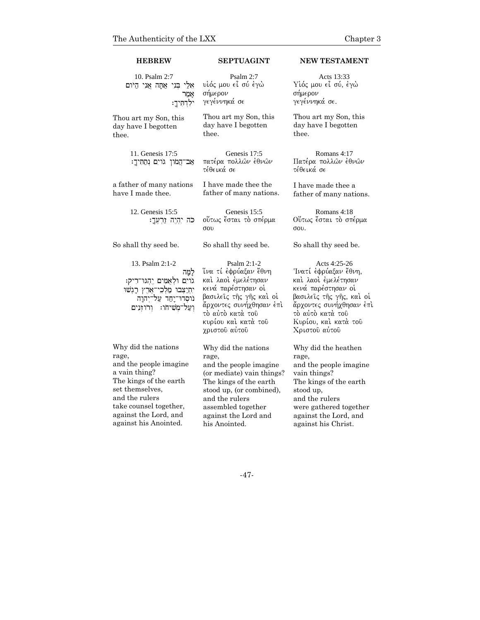| 10. Psalm 2:7                                                                                                                               | Psalm 2:7                                                                                                                                                                                          | Acts 13:33                                                                                                                                                                                            |
|---------------------------------------------------------------------------------------------------------------------------------------------|----------------------------------------------------------------------------------------------------------------------------------------------------------------------------------------------------|-------------------------------------------------------------------------------------------------------------------------------------------------------------------------------------------------------|
| אֵלֵי בִּנִי אֲחָה אֲנִי הַיֹּוּם                                                                                                           | υἱός μου εἶ σύ ἐγὼ                                                                                                                                                                                 | Υίός μου εἶ σύ, έγὼ                                                                                                                                                                                   |
| אמר                                                                                                                                         | σήμερον                                                                                                                                                                                            | σήμερον                                                                                                                                                                                               |
| ילִדְתִּיךָ:                                                                                                                                | γεγέννηκά σε                                                                                                                                                                                       | γεγέννηκά σε.                                                                                                                                                                                         |
| Thou art my Son, this                                                                                                                       | Thou art my Son, this                                                                                                                                                                              | Thou art my Son, this                                                                                                                                                                                 |
| day have I begotten                                                                                                                         | day have I begotten                                                                                                                                                                                | day have I begotten                                                                                                                                                                                   |
| thee.                                                                                                                                       | thee.                                                                                                                                                                                              | thee.                                                                                                                                                                                                 |
| 11. Genesis 17:5<br>אַב־הֲמֹון גֹוים נְחַתִּיךָ:                                                                                            | Genesis 17:5<br>πατέρα πολλών ἐθνών<br>τέθεικά σε                                                                                                                                                  | Romans 4:17<br>Πατέρα πολλών έθνών<br>τέθεικά σε                                                                                                                                                      |
| a father of many nations                                                                                                                    | I have made thee the                                                                                                                                                                               | I have made thee a                                                                                                                                                                                    |
| have I made thee.                                                                                                                           | father of many nations.                                                                                                                                                                            | father of many nations.                                                                                                                                                                               |
| 12. Genesis 15:5<br>כה יִהְיֶה זַרְעֶּךָ:                                                                                                   | Genesis 15:5<br>ούτως έσται το σπέρμα<br>σου                                                                                                                                                       | Romans 4:18<br>Ούτως έσται το σπέρμα<br>$\sigma$ <sub>0</sub> $\alpha$                                                                                                                                |
| So shall thy seed be.                                                                                                                       | So shall thy seed be.                                                                                                                                                                              | So shall thy seed be.                                                                                                                                                                                 |
| 13. Psalm 2:1-2<br>למַה<br>גוים ולאמים יהגו־ריק:<br>י <u>תי</u> צבו מלכי־ארץ רגשו<br>נוסדו־יָחַד עַל־יִהוָה<br>וְעַל־מְשִׁיחֹו: וְרֹוזְנִים | Psalm 2:1-2<br>ἵνα τί ἐφρύαξαν ἔθνη<br>καὶ λαοὶ ἐμελέτησαν<br>κενά παρέστησαν οί<br>βασιλείς της γης και οί<br>άρχοντες συνήχθησαν έπι<br>τὸ αὐτὸ κατὰ τοῦ<br>κυρίου και κατά του<br>χριστού αύτου | Acts 4:25-26<br>Ίνατί έφρύαξαν έθνη,<br>καὶ λαοὶ ἐμελέτησαν<br>κενά παρέστησαν οί<br>βασιλεῖς τῆς γῆς, καὶ οἱ<br>άρχοντες συνήχθησαν έπι<br>τὸ αὐτὸ κατὰ τοῦ<br>Κυρίου, και κατά του<br>Χριστού αύτου |
| Why did the nations                                                                                                                         | Why did the nations                                                                                                                                                                                | Why did the heathen                                                                                                                                                                                   |
| rage,                                                                                                                                       | rage,                                                                                                                                                                                              | rage,                                                                                                                                                                                                 |
| and the people imagine                                                                                                                      | and the people imagine                                                                                                                                                                             | and the people imagine                                                                                                                                                                                |
| a vain thing?                                                                                                                               | (or mediate) vain things?                                                                                                                                                                          | vain things?                                                                                                                                                                                          |
| The kings of the earth                                                                                                                      | The kings of the earth                                                                                                                                                                             | The kings of the earth                                                                                                                                                                                |
| set themselves,                                                                                                                             | stood up, (or combined),                                                                                                                                                                           | stood up,                                                                                                                                                                                             |
| and the rulers                                                                                                                              | and the rulers                                                                                                                                                                                     | and the rulers                                                                                                                                                                                        |
| take counsel together,                                                                                                                      | assembled together                                                                                                                                                                                 | were gathered together                                                                                                                                                                                |
| against the Lord, and                                                                                                                       | against the Lord and                                                                                                                                                                               | against the Lord, and                                                                                                                                                                                 |
| against his Anointed.                                                                                                                       | his Anointed.                                                                                                                                                                                      | against his Christ.                                                                                                                                                                                   |

**HEBREW SEPTUAGINT NEW TESTAMENT**

-47-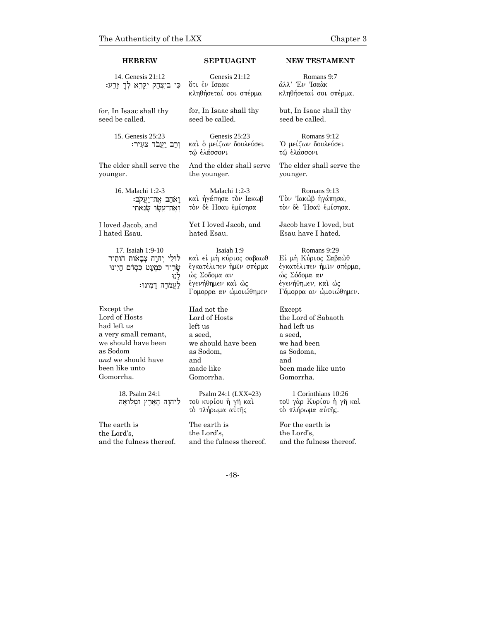### **HEBREW SEPTUAGINT NEW TESTAMENT**

14. Genesis 21:12 כִּי בִיצְחָק יִקָּרֵא לְךָ זָרַע:

Genesis 21:12 ότι έν Ισαακ κληθήσεταί σοι σπέρμα

for, In Isaac shall thy seed be called.

younger.

15. Genesis 25:23 וְרַב יַעֲבֹד צעִיר:

16. Malachi 1:2-3

17. Isaiah 1:9-10 לוּלֵי יִהוָה צִבָאות הותִיר  $m$ שריד כמעט כסדם הַיִנוּ

I loved Jacob, and I hated Esau.

Except the Lord of Hosts had left us

as Sodom

Gomorrha.

 $i$ יָאמין אַת־יַעֲקֹב ו את־עשר שנאתי seed be called. Genesis 25:23

for, In Isaac shall thy

καὶ ὁ μείζων δουλεύσει τῷ ἐλάσσονι

The elder shall serve the And the elder shall serve the younger.

> Malachi 1:2-3 και ήγάπησα τον Ιακωβ τον δε Ησαυ εμίσησα

Yet I loved Jacob, and hated Esau.

Isaiah 1:9 καί εί μή κύριος σαβαωθ έγκατέλιπεν ήμιν σπέρμα ώς Σοδομα αν έγενήθημεν και ώς Γομορρα αν ώμοιώθημεν

a very small remant, we should have been *and* we should have been like unto left us a seed, and Gomorrha.

לנו

לעמרה דמינו:

18. Psalm 24:1 ליהוה הַאָרֵץ וּמְלוּאָהּ

The earth is the Lord's, and the fulness thereof. Had not the Lord of Hosts we should have been as Sodom, made like

Psalm 24:1 (LXX=23) τοῦ κυρίου ἡ γῆ καὶ το πλήρωμα αυτής

The earth is the Lord's, and the fulness thereof.

Romans 9:7 άλλ' Έν Ίσαάκ κληθήσεταί σοι σπέρμα.

but, In Isaac shall thy seed be called.

Romans 9:12 `Ο μείζων δουλεύσει τῶ ἐλάσσονι

The elder shall serve the younger.

Romans 9:13 Τον Ίακώβ ήγάπησα, τον δε Ήσαυ έμίσησα.

Jacob have I loved, but Esau have I hated.

Romans 9:29 Εί μή Κύριος Σαβαώθ έγκατέλιπεν ήμιν σπέρμα, ώς Σόδομα αν έγενήθημεν, και ώς Γόμορρα αν ώμοιώθημεν.

Except the Lord of Sabaoth had left us a seed, we had been as Sodoma, and been made like unto Gomorrha.

1 Corinthians 10:26 του γάρ Κυρίου ή γη καί το πλήρωμα αύτης.

For the earth is the Lord's, and the fulness thereof.

-48-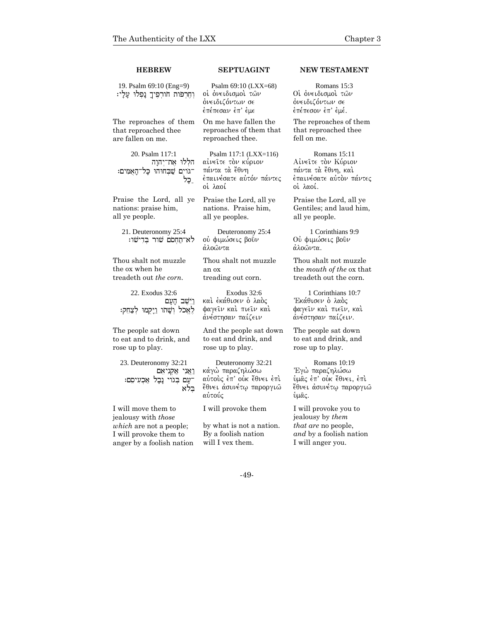| <b>HEBREW</b>                                                                                                                       | SEPTUAGINT                                                                                           | <b>NEW TESTAMENT</b>                                                                                             |
|-------------------------------------------------------------------------------------------------------------------------------------|------------------------------------------------------------------------------------------------------|------------------------------------------------------------------------------------------------------------------|
| 19. Psalm 69:10 (Eng=9)<br>וְחָרְפֹּוֹת חֹורְפִיךָ נַפְלוּ עֲלָי:                                                                   | Psalm 69:10 (LXX=68)<br>οί όνειδισμοί τών<br>όνειδιζόντων σε<br>έπέπεσαν έπ' έμε                     | Romans 15:3<br>Οί όνειδισμοί τών<br>όνειδιζόντων σε<br>έπέπεσον έπ' έμέ.                                         |
| The reproaches of them<br>that reproached thee<br>are fallen on me.                                                                 | On me have fallen the<br>reproaches of them that<br>reproached thee.                                 | The reproaches of them<br>that reproached thee<br>fell on me.                                                    |
| 20. Psalm 117:1<br>הללו את־יהוה<br>־גוים שבחוהו כַל־הָאָמִים:<br>ַכָּל                                                              | Psalm 117:1 (LXX=116)<br>αίνειτε τον κύριον<br>πάντα τὰ ἔθνη<br>έπαινέσατε αὐτόν πάντες<br>οί λαοί   | Romans 15:11<br>Αίνειτε τον Κύριον<br>πάντα τὰ ἔθνη, καὶ<br>έπαινέσατε αύτον πάντες<br>οί λαοί.                  |
| Praise the Lord, all ye<br>nations: praise him,<br>all ye people.                                                                   | Praise the Lord, all ye<br>nations. Praise him,<br>all ye peoples.                                   | Praise the Lord, all ye<br>Gentiles; and laud him,<br>all ye people.                                             |
| 21. Deuteronomy 25:4<br>לא־תַחִסׂם שור בִּדְישׁו:                                                                                   | Deuteronomy 25:4<br>ού φιμώσεις βούν<br>άλοῶντα                                                      | 1 Corinthians 9:9<br>Ού φιμώσεις βούν<br>άλοωντα.                                                                |
| Thou shalt not muzzle<br>the ox when he<br>treadeth out the corn.                                                                   | Thou shalt not muzzle<br>an ox<br>treading out corn.                                                 | Thou shalt not muzzle<br>the <i>mouth</i> of the ox that<br>treadeth out the corn.                               |
| 22. Exodus 32:6<br>וישב העם<br>לאכל ושתו ויקמו לצחק:                                                                                | Exodus 32:6<br>και έκάθισεν ο λαός<br>φαγείν καί πιείν καί<br>άνέστησαν παίζειν                      | 1 Corinthians 10:7<br>Έκάθισεν ο λαός<br>φαγείν καί πιείν, καί<br>άνέστησαν παίζειν.                             |
| The people sat down<br>to eat and to drink, and<br>rose up to play.                                                                 | And the people sat down<br>to eat and drink, and<br>rose up to play.                                 | The people sat down<br>to eat and drink, and<br>rose up to play.                                                 |
| 23. Deuteronomy 32:21<br>ואוי אקויאם<br>־עָם בְּגוֹי נָבָל אַכְעִיסָם:<br>בלא                                                       | Deuteronomy 32:21<br>κάγὼ παραζηλώσω<br>αύτους έπ' ούκ έθνει έπι<br>ἔθν∈ι ἀσυνέτῳ παροργιῶ<br>αὐτούς | Romans 10:19<br>Έγώ παραζηλώσω<br>ύμας έπ' ούκ έθνει, έπι<br><b>ἔθνει ἀσυνέτω παροργιῶ</b><br>ὺμᾶς.              |
| I will move them to<br>jealousy with those<br><i>which</i> are not a people;<br>I will provoke them to<br>anger by a foolish nation | I will provoke them<br>by what is not a nation.<br>By a foolish nation<br>will I vex them.           | I will provoke you to<br>jealousy by them<br>that are no people,<br>and by a foolish nation<br>I will anger you. |

-49-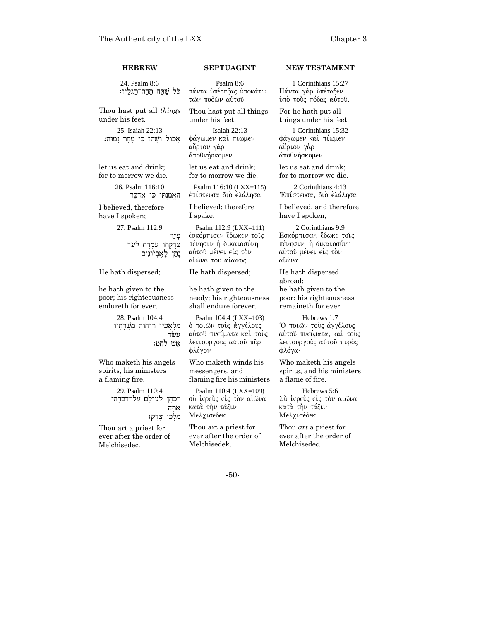| <b>HEBREW</b>                                                             | <b>SEPTUAGINT</b>                                                                                                  | <b>NEW TESTAMENT</b>                                                                                  |
|---------------------------------------------------------------------------|--------------------------------------------------------------------------------------------------------------------|-------------------------------------------------------------------------------------------------------|
| 24. Psalm 8:6<br>כל שתה תחת־רגליו:                                        | Psalm $8:6$<br>πάντα ὑπέταξας ὑποκάτω<br>τών ποδών αύτοῦ                                                           | 1 Corinthians 15:27<br>Πάντα γάρ υπέταξεν<br>ύπὸ τοὺς πόδας αὐτοῦ.                                    |
| Thou hast put all <i>things</i>                                           | Thou hast put all things                                                                                           | For he hath put all                                                                                   |
| under his feet.                                                           | under his feet.                                                                                                    | things under his feet.                                                                                |
| 25. Isaiah 22:13<br>אַכול וְשַׁתוּ כִּי מַחַר נַמוּת:                     | Isaiah 22:13<br>φάγωμεν και πίωμεν<br>αὔριον γὰρ<br>άποθνήσκομεν                                                   | 1 Corinthians 15:32<br>φάγωμεν και πίωμεν,<br>αὔριον γὰρ<br>άποθνήσκομεν.                             |
| let us eat and drink;                                                     | let us eat and drink;                                                                                              | let us eat and drink;                                                                                 |
| for to morrow we die.                                                     | for to morrow we die.                                                                                              | for to morrow we die.                                                                                 |
| 26. Psalm 116:10                                                          | Psalm 116:10 (LXX=115)                                                                                             | 2 Corinthians 4:13                                                                                    |
| האמנתי כי אדבר                                                            | έπίστευσα διὸ ἐλάλησα                                                                                              | Έπίστευσα, διὸ ἐλάλησα                                                                                |
| I believed, therefore                                                     | I believed; therefore                                                                                              | I believed, and therefore                                                                             |
| have I spoken;                                                            | I spake.                                                                                                           | have I spoken;                                                                                        |
| 27. Psalm 112:9<br>פּוַר<br>צְרְקָתוּ עֹמְרֶת לַעֲד<br>נַתַן לַאֲבִיונִים | Psalm 112:9 (LXX=111)<br>έσκόρπισεν ἔδωκεν τοῖς<br>πένησιν ή δικαιοσύνη<br>αύτου μένει είς τον<br>αίῶνα τοῦ αίῶνος | 2 Corinthians 9:9<br>Εσκόρπισεν, έδωκε τοις<br>πένησιν· ή δικαιοσύνη<br>αύτου μένει είς τον<br>αίωνα. |
| He hath dispersed;                                                        | He hath dispersed;                                                                                                 | He hath dispersed<br>abroad;                                                                          |
| he hath given to the                                                      | he hath given to the                                                                                               | he hath given to the                                                                                  |
| poor; his righteousness                                                   | needy; his righteousness                                                                                           | poor: his righteousness                                                                               |
| endureth for ever.                                                        | shall endure forever.                                                                                              | remaineth for ever.                                                                                   |
| 28. Psalm 104:4<br>מַלְאָכָיו רוּחות מִשַׁרְחַיו<br>עשה<br>אשׁ להט:       | Psalm 104:4 (LXX=103)<br>ο ποιών τους άγγέλους<br>αύτου πνεύματα καί τούς<br>λειτουργούς αύτου πυρ<br>φλέγον       | Hebrews 1:7<br>Ό ποιών τους άγγέλους<br>αύτου πνεύματα, και τους<br>λειτουργούς αύτου πυρός<br>φλόγα· |
| Who maketh his angels                                                     | Who maketh winds his                                                                                               | Who maketh his angels                                                                                 |
| spirits, his ministers                                                    | messengers, and                                                                                                    | spirits, and his ministers                                                                            |
| a flaming fire.                                                           | flaming fire his ministers                                                                                         | a flame of fire.                                                                                      |

Hebrews 5:6 Σὺ ἱερεὺς εἰς τὸν αἰῶνα κατὰ τὴν τάξιν Μελχισέδεκ.

Thou *art* a priest for ever after the order of Melchisedec.

-50-

Psalm 110:4 (LXX=109) σύ ίερεύς είς τον αίωνα

κατά την τάξιν Μελχισεδεκ

Melchisedek.

Thou art a priest for ever after the order of

29. Psalm 110:4 ־כֹהֵן לְעֹולָם עַל־דִּבְרָתִי  $\eta$ אַתָה

**מַלְכִּי־צֶדֶק:** 

Thou art a priest for ever after the order of Melchisedec.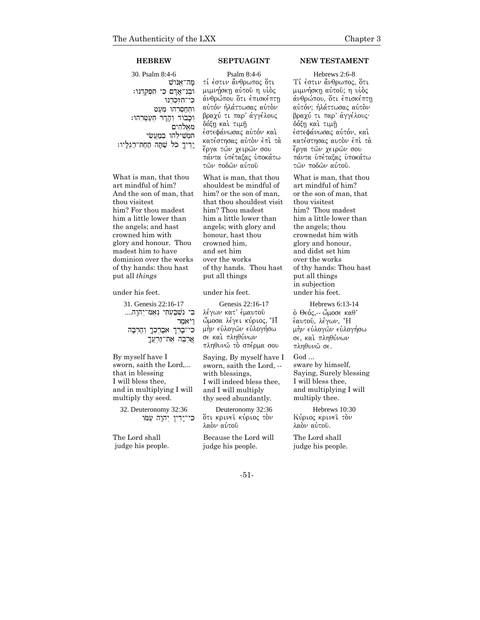30. Psalm 8:4-6  $\ddot{\rm w}$ מה־אֱנו וּבִנ־אַדַם כִּי תִפְקְדֶנּוּ: כי־תוכרנו  $f$ ותחסרהו מעט וכבוד והדר העטרהו: מאֱלהִים המשילהו במעשי יֵדִיךָ כֹּל שַׁתָּה תַחַת־רַגִלַיו:

What is man, that thou art mindful of him? And the son of man, that thou visitest him? For thou madest him a little lower than the angels; and hast crowned him with glory and honour. Thou madest him to have dominion over the works of thy hands: thou hast put all *things* 

### under his feet.

31. Genesis 22:16-17 בִּי נִשְׁבַּעָתִּי נִאָמ<sup>ְ–</sup>יִהוַה.... וַ לאמר כּי־בָּרֵךְ אבְרֶכְךָ וְהַרְבָּה  $r$ אַרִבְּה אֶת־זַרְעֲךָ

By myself have I sworn, saith the Lord,... that in blessing I will bless thee, and in multiplying I will multiply thy seed.

32. Deuteronomy 32:36  $u^*$ כּי־יָדִין יִהוָה עַמּו

The Lord shall judge his people.

Psalm 8:4-6 τί έστιν ἄνθρωπος ὅτι μιμνήσκη αύτοῦ η υἱὸς άνθρώπου ότι έπισκέπτη αύτόν ήλάττωσας αύτον βραχύ τι παρ' άγγέλους δόξη καὶ τιμῆ έστεφάνωσας αὐτόν καὶ κατέστησας αύτον έπι τα ἔργα τῶν χειρῶν σου πάντα υπέταξας υποκάτω τών ποδών αύτου

What is man, that thou shouldest be mindful of him? or the son of man, that thou shouldest visit him? Thou madest him a little lower than angels; with glory and honour, hast thou crowned him, and set him over the works of thy hands. Thou hast put all things

### under his feet.

Genesis 22:16-17 λέγων κατ' έμαυτού ώμοσα λέγει κύριος, <sup>3</sup>H μήν εὐλογών εὐλογήσω σε και πληθύνων πληθυνώ τὸ σπέρμα σου

Saying, By myself have I sworn, saith the Lord, - with blessings, I will indeed bless thee, and I will multiply thy seed abundantly.

Deuteronomy 32:36 ότι κρινεῖ κύριος τὸν λαόν αύτου

Because the Lord will judge his people.

### **HEBREW SEPTUAGINT NEW TESTAMENT**

Hebrews 2:6-8 Tί έστιν ἄνθρωπος, ότι μιμνήσκη αύτου; η υίος άνθρώπου, ότι έπισκέπτη αύτόν; ήλάττωσας αύτον βραχύ τι παρ' άγγέλους· δόξη και τιμή έστεφάνωσας αύτόν, καί κατέστησας αυτον έπι τα έργα τῶν χειρῶν σου πάντα υπέταξας υποκάτω  $των$  ποδών αύτου.

What is man, that thou art mindful of him? or the son of man, that thou visitest him? Thou madest him a little lower than the angels; thou crownedst him with glory and honour, and didst set him over the works of thy hands: Thou hast put all things in subjection under his feet.

Hebrews 6:13-14 ό Θεός, -- ὤμοσε καθ' έαυτού, λέγων, <sup>\*</sup>H μήν εύλογών εύλογήσω σε, και πληθύνων πληθυνώ σε.

God ... sware by himself, Saying, Surely blessing I will bless thee,

and multiplying I will multiply thee.

Hebrews 10:30 Κύριος κρινεί τον λαόν αύτου.

The Lord shall judge his people.

### -51-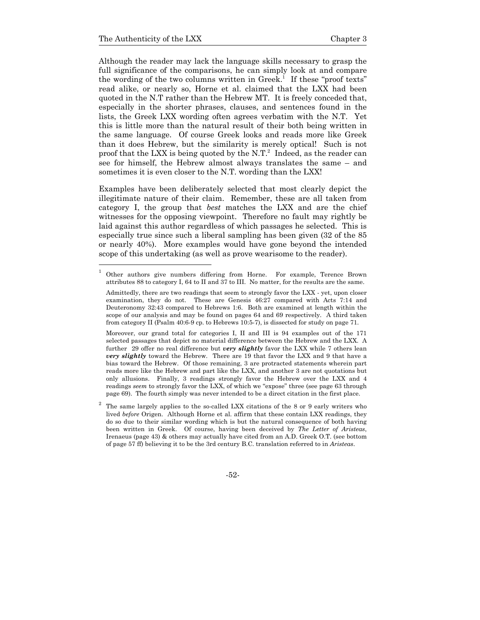Although the reader may lack the language skills necessary to grasp the full significance of the comparisons, he can simply look at and compare the wording of the two columns written in Greek.<sup>1</sup> If these "proof texts" read alike, or nearly so, Horne et al. claimed that the LXX had been quoted in the N.T rather than the Hebrew MT. It is freely conceded that, especially in the shorter phrases, clauses, and sentences found in the lists, the Greek LXX wording often agrees verbatim with the N.T. Yet this is little more than the natural result of their both being written in the same language. Of course Greek looks and reads more like Greek than it does Hebrew, but the similarity is merely optical! Such is not proof that the LXX is being quoted by the N.T.<sup>2</sup> Indeed, as the reader can see for himself, the Hebrew almost always translates the same – and sometimes it is even closer to the N.T. wording than the LXX!

Examples have been deliberately selected that most clearly depict the illegitimate nature of their claim. Remember, these are all taken from category I, the group that *best* matches the LXX and are the chief witnesses for the opposing viewpoint. Therefore no fault may rightly be laid against this author regardless of which passages he selected. This is especially true since such a liberal sampling has been given (32 of the 85 or nearly 40%). More examples would have gone beyond the intended scope of this undertaking (as well as prove wearisome to the reader).

 Moreover, our grand total for categories I, II and III is 94 examples out of the 171 selected passages that depict no material difference between the Hebrew and the LXX. A further 29 offer no real difference but *very slightly* favor the LXX while 7 others lean *very slightly* toward the Hebrew. There are 19 that favor the LXX and 9 that have a bias toward the Hebrew. Of those remaining, 3 are protracted statements wherein part reads more like the Hebrew and part like the LXX, and another 3 are not quotations but only allusions. Finally, 3 readings strongly favor the Hebrew over the LXX and 4 readings *seem* to strongly favor the LXX, of which we "expose" three (see page 63 through page 69). The fourth simply was never intended to be a direct citation in the first place.

-52-

<sup>1</sup> Other authors give numbers differing from Horne. For example, Terence Brown attributes 88 to category I, 64 to II and 37 to III. No matter, for the results are the same.

Admittedly, there are two readings that seem to strongly favor the LXX - yet, upon closer examination, they do not. These are Genesis 46:27 compared with Acts 7:14 and Deuteronomy 32:43 compared to Hebrews 1:6. Both are examined at length within the scope of our analysis and may be found on pages 64 and 69 respectively. A third taken from category II (Psalm 40:6-9 cp. to Hebrews 10:5-7), is dissected for study on page 71.

<sup>2</sup> The same largely applies to the so-called LXX citations of the 8 or 9 early writers who lived *before* Origen. Although Horne et al. affirm that these contain LXX readings, they do so due to their similar wording which is but the natural consequence of both having been written in Greek. Of course, having been deceived by *The Letter of Aristeas*, Irenaeus (page 43) & others may actually have cited from an A.D. Greek O.T. (see bottom of page 57 ff) believing it to be the 3rd century B.C. translation referred to in *Aristeas*.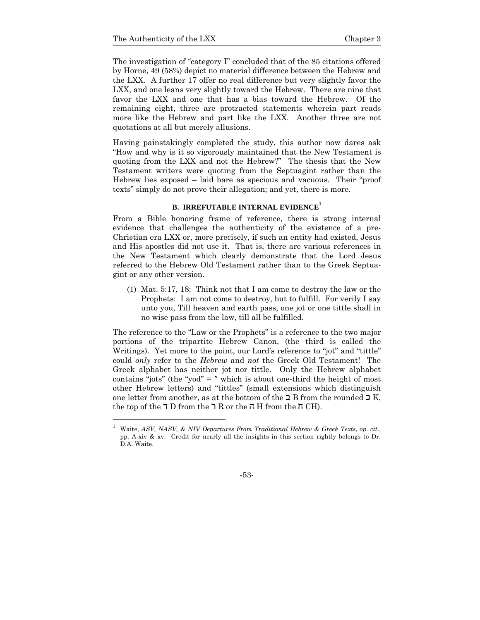1

The investigation of "category I" concluded that of the 85 citations offered by Horne, 49 (58%) depict no material difference between the Hebrew and the LXX. A further 17 offer no real difference but very slightly favor the LXX, and one leans very slightly toward the Hebrew. There are nine that favor the LXX and one that has a bias toward the Hebrew. Of the remaining eight, three are protracted statements wherein part reads more like the Hebrew and part like the LXX. Another three are not quotations at all but merely allusions.

Having painstakingly completed the study, this author now dares ask "How and why is it so vigorously maintained that the New Testament is quoting from the LXX and not the Hebrew?" The thesis that the New Testament writers were quoting from the Septuagint rather than the Hebrew lies exposed – laid bare as specious and vacuous. Their "proof texts" simply do not prove their allegation; and yet, there is more.

# **B. IRREFUTABLE INTERNAL EVIDENCE<sup>1</sup>**

From a Bible honoring frame of reference, there is strong internal evidence that challenges the authenticity of the existence of a pre-Christian era LXX or, more precisely, if such an entity had existed, Jesus and His apostles did not use it. That is, there are various references in the New Testament which clearly demonstrate that the Lord Jesus referred to the Hebrew Old Testament rather than to the Greek Septuagint or any other version.

(1) Mat. 5:17, 18: Think not that I am come to destroy the law or the Prophets: I am not come to destroy, but to fulfill. For verily I say unto you, Till heaven and earth pass, one jot or one tittle shall in no wise pass from the law, till all be fulfilled.

The reference to the "Law or the Prophets" is a reference to the two major portions of the tripartite Hebrew Canon, (the third is called the Writings). Yet more to the point, our Lord's reference to "jot" and "tittle" could *only* refer to the *Hebrew* and *not* the Greek Old Testament! The Greek alphabet has neither jot nor tittle. Only the Hebrew alphabet contains "jots" (the "yod"  $=$  ' which is about one-third the height of most other Hebrew letters) and "tittles" (small extensions which distinguish one letter from another, as at the bottom of the  $\supseteq B$  from the rounded  $\Sigma$  K, the top of the  $\overline{\phantom{a}}$  D from the  $\overline{\phantom{a}}$  R or the  $\overline{\phantom{a}}$  H from the  $\overline{\phantom{a}}$  CH).

<sup>1</sup> Waite, *ASV, NASV, & NIV Departures From Traditional Hebrew & Greek Texts*, *op. cit*., pp. A-xiv & xv. Credit for nearly all the insights in this section rightly belongs to Dr. D.A. Waite.

<sup>-53-</sup>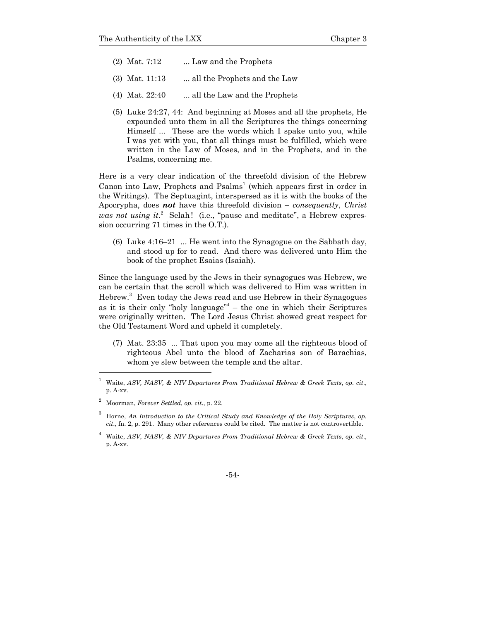- (2) Mat.  $7:12$  ... Law and the Prophets
- (3) Mat.  $11:13$  ... all the Prophets and the Law
- (4) Mat.  $22:40$  ... all the Law and the Prophets
- (5) Luke 24:27, 44: And beginning at Moses and all the prophets, He expounded unto them in all the Scriptures the things concerning Himself ... These are the words which I spake unto you, while I was yet with you, that all things must be fulfilled, which were written in the Law of Moses, and in the Prophets, and in the Psalms, concerning me.

Here is a very clear indication of the threefold division of the Hebrew Canon into Law, Prophets and  $Psalms<sup>1</sup>$  (which appears first in order in the Writings). The Septuagint, interspersed as it is with the books of the Apocrypha, does *not* have this threefold division – *consequently*, *Christ*  was not using it.<sup>2</sup> Selah! (i.e., "pause and meditate", a Hebrew expression occurring 71 times in the O.T.).

(6) Luke  $4:16-21$  ... He went into the Synagogue on the Sabbath day, and stood up for to read. And there was delivered unto Him the book of the prophet Esaias (Isaiah).

Since the language used by the Jews in their synagogues was Hebrew, we can be certain that the scroll which was delivered to Him was written in Hebrew.3 Even today the Jews read and use Hebrew in their Synagogues as it is their only "holy language" $4$  – the one in which their Scriptures were originally written. The Lord Jesus Christ showed great respect for the Old Testament Word and upheld it completely.

(7) Mat. 23:35 ... That upon you may come all the righteous blood of righteous Abel unto the blood of Zacharias son of Barachias, whom ye slew between the temple and the altar.

l

<sup>1</sup> Waite, *ASV, NASV, & NIV Departures From Traditional Hebrew & Greek Texts*, *op. cit*., p. A-xv.

<sup>2</sup> Moorman, *Forever Settled*, *op. cit*., p. 22.

<sup>3</sup> Horne, *An Introduction to the Critical Study and Knowledge of the Holy Scriptures*, *op. cit*., fn. 2, p. 291. Many other references could be cited. The matter is not controvertible.

<sup>4</sup> Waite, *ASV, NASV, & NIV Departures From Traditional Hebrew & Greek Texts*, *op. cit*., p. A-xv.

<sup>-54-</sup>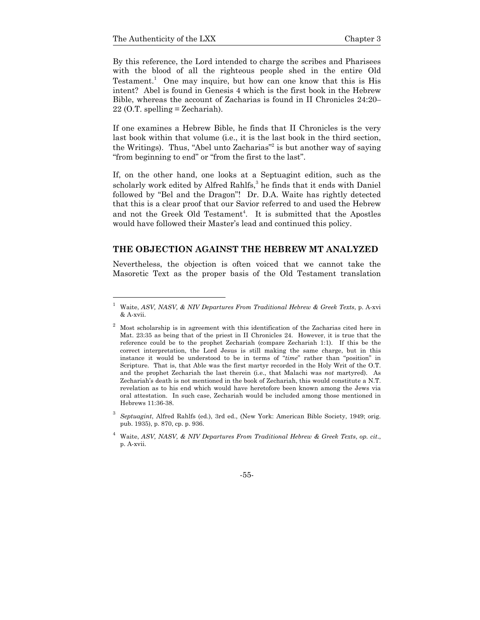By this reference, the Lord intended to charge the scribes and Pharisees with the blood of all the righteous people shed in the entire Old Testament.<sup>1</sup> One may inquire, but how can one know that this is His intent? Abel is found in Genesis 4 which is the first book in the Hebrew Bible, whereas the account of Zacharias is found in II Chronicles 24:20–  $22$  (O.T. spelling = Zechariah).

If one examines a Hebrew Bible, he finds that II Chronicles is the very last book within that volume (i.e., it is the last book in the third section, the Writings). Thus, "Abel unto Zacharias"<sup>2</sup> is but another way of saying "from beginning to end" or "from the first to the last".

If, on the other hand, one looks at a Septuagint edition, such as the scholarly work edited by Alfred Rahlfs,<sup>3</sup> he finds that it ends with Daniel followed by "Bel and the Dragon"! Dr. D.A. Waite has rightly detected that this is a clear proof that our Savior referred to and used the Hebrew and not the Greek Old Testament<sup>4</sup>. It is submitted that the Apostles would have followed their Master's lead and continued this policy.

### **THE OBJECTION AGAINST THE HEBREW MT ANALYZED**

Nevertheless, the objection is often voiced that we cannot take the Masoretic Text as the proper basis of the Old Testament translation

<sup>1</sup> Waite, *ASV, NASV, & NIV Departures From Traditional Hebrew & Greek Texts*, p. A-xvi & A-xvii.

<sup>2</sup> Most scholarship is in agreement with this identification of the Zacharias cited here in Mat. 23:35 as being that of the priest in II Chronicles 24. However, it is true that the reference could be to the prophet Zechariah (compare Zechariah 1:1). If this be the correct interpretation, the Lord Jesus is still making the same charge, but in this instance it would be understood to be in terms of "*time*" rather than "position" in Scripture. That is, that Able was the first martyr recorded in the Holy Writ of the O.T. and the prophet Zechariah the last therein (i.e., that Malachi was *not* martyred). As Zechariah's death is not mentioned in the book of Zechariah, this would constitute a N.T. revelation as to his end which would have heretofore been known among the Jews via oral attestation. In such case, Zechariah would be included among those mentioned in Hebrews 11:36-38.

<sup>3</sup> *Septuagint*, Alfred Rahlfs (ed.), 3rd ed., (New York: American Bible Society, 1949; orig. pub. 1935), p. 870, cp. p. 936.

<sup>4</sup> Waite, *ASV, NASV, & NIV Departures From Traditional Hebrew & Greek Texts*, *op. cit*., p. A-xvii.

<sup>-55-</sup>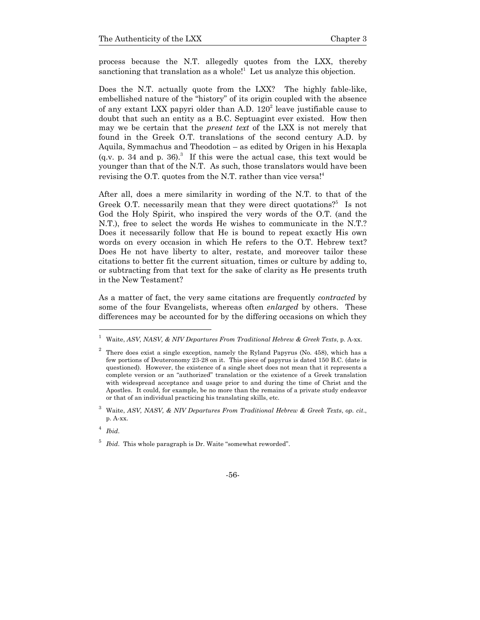process because the N.T. allegedly quotes from the LXX, thereby sanctioning that translation as a whole!<sup>1</sup> Let us analyze this objection.

Does the N.T. actually quote from the LXX? The highly fable-like, embellished nature of the "history" of its origin coupled with the absence of any extant LXX papyri older than A.D.  $120<sup>2</sup>$  leave justifiable cause to doubt that such an entity as a B.C. Septuagint ever existed. How then may we be certain that the *present text* of the LXX is not merely that found in the Greek O.T. translations of the second century A.D. by Aquila, Symmachus and Theodotion – as edited by Origen in his Hexapla  $(q.v. p. 34 and p. 36)<sup>3</sup>$  If this were the actual case, this text would be younger than that of the N.T. As such, those translators would have been revising the O.T. quotes from the N.T. rather than vice versa!<sup>4</sup>

After all, does a mere similarity in wording of the N.T. to that of the Greek O.T. necessarily mean that they were direct quotations?<sup>5</sup> Is not God the Holy Spirit, who inspired the very words of the O.T. (and the N.T.), free to select the words He wishes to communicate in the N.T.? Does it necessarily follow that He is bound to repeat exactly His own words on every occasion in which He refers to the O.T. Hebrew text? Does He not have liberty to alter, restate, and moreover tailor these citations to better fit the current situation, times or culture by adding to, or subtracting from that text for the sake of clarity as He presents truth in the New Testament?

As a matter of fact, the very same citations are frequently *contracted* by some of the four Evangelists, whereas often *enlarged* by others. These differences may be accounted for by the differing occasions on which they

1

<sup>5</sup> *Ibid*. This whole paragraph is Dr. Waite "somewhat reworded".



<sup>1</sup> Waite, *ASV, NASV, & NIV Departures From Traditional Hebrew & Greek Texts*, p. A-xx.

<sup>2</sup> There does exist a single exception, namely the Ryland Papyrus (No. 458), which has a few portions of Deuteronomy 23-28 on it. This piece of papyrus is dated 150 B.C. (date is questioned). However, the existence of a single sheet does not mean that it represents a complete version or an "authorized" translation or the existence of a Greek translation with widespread acceptance and usage prior to and during the time of Christ and the Apostles. It could, for example, be no more than the remains of a private study endeavor or that of an individual practicing his translating skills, etc.

<sup>3</sup> Waite, *ASV, NASV, & NIV Departures From Traditional Hebrew & Greek Texts*, *op. cit*., p. A-xx.

<sup>4</sup> *Ibid*.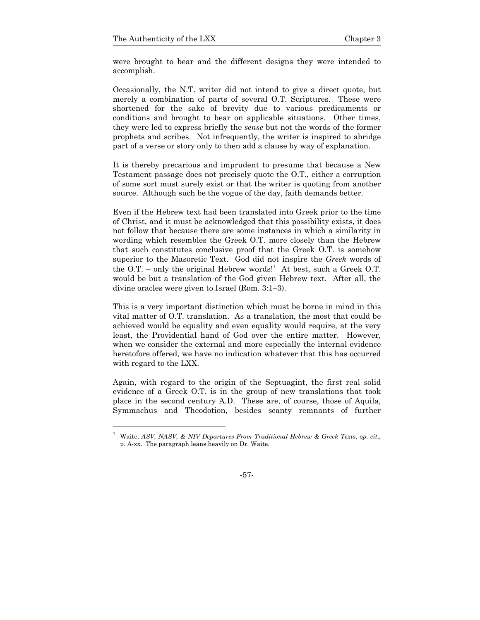1

were brought to bear and the different designs they were intended to accomplish.

Occasionally, the N.T. writer did not intend to give a direct quote, but merely a combination of parts of several O.T. Scriptures. These were shortened for the sake of brevity due to various predicaments or conditions and brought to bear on applicable situations. Other times, they were led to express briefly the *sense* but not the words of the former prophets and scribes. Not infrequently, the writer is inspired to abridge part of a verse or story only to then add a clause by way of explanation.

It is thereby precarious and imprudent to presume that because a New Testament passage does not precisely quote the O.T., either a corruption of some sort must surely exist or that the writer is quoting from another source. Although such be the vogue of the day, faith demands better.

Even if the Hebrew text had been translated into Greek prior to the time of Christ, and it must be acknowledged that this possibility exists, it does not follow that because there are some instances in which a similarity in wording which resembles the Greek O.T. more closely than the Hebrew that such constitutes conclusive proof that the Greek O.T. is somehow superior to the Masoretic Text. God did not inspire the *Greek* words of the O.T. – only the original Hebrew words!<sup>1</sup> At best, such a Greek O.T. would be but a translation of the God given Hebrew text. After all, the divine oracles were given to Israel (Rom. 3:1–3).

This is a very important distinction which must be borne in mind in this vital matter of O.T. translation. As a translation, the most that could be achieved would be equality and even equality would require, at the very least, the Providential hand of God over the entire matter. However, when we consider the external and more especially the internal evidence heretofore offered, we have no indication whatever that this has occurred with regard to the LXX.

Again, with regard to the origin of the Septuagint, the first real solid evidence of a Greek O.T. is in the group of new translations that took place in the second century A.D. These are, of course, those of Aquila, Symmachus and Theodotion, besides scanty remnants of further

<sup>1</sup> Waite, *ASV, NASV, & NIV Departures From Traditional Hebrew & Greek Texts*, *op. cit*., p. A-xx. The paragraph leans heavily on Dr. Waite.

<sup>-57-</sup>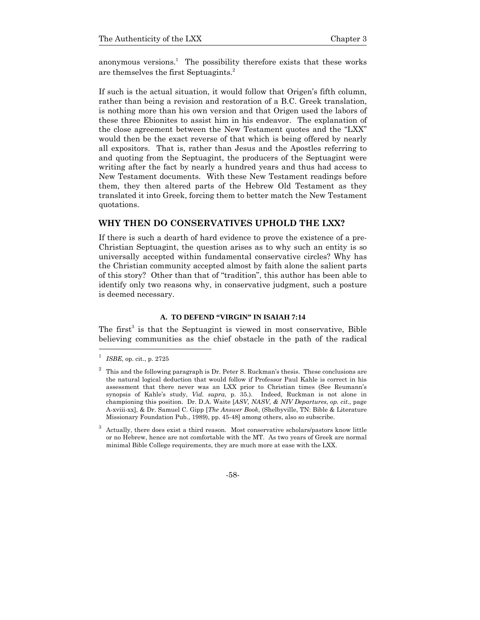anonymous versions.<sup>1</sup> The possibility therefore exists that these works are themselves the first Septuagints.<sup>2</sup>

If such is the actual situation, it would follow that Origen's fifth column, rather than being a revision and restoration of a B.C. Greek translation, is nothing more than his own version and that Origen used the labors of these three Ebionites to assist him in his endeavor. The explanation of the close agreement between the New Testament quotes and the "LXX" would then be the exact reverse of that which is being offered by nearly all expositors. That is, rather than Jesus and the Apostles referring to and quoting from the Septuagint, the producers of the Septuagint were writing after the fact by nearly a hundred years and thus had access to New Testament documents. With these New Testament readings before them, they then altered parts of the Hebrew Old Testament as they translated it into Greek, forcing them to better match the New Testament quotations.

### **WHY THEN DO CONSERVATIVES UPHOLD THE LXX?**

If there is such a dearth of hard evidence to prove the existence of a pre-Christian Septuagint, the question arises as to why such an entity is so universally accepted within fundamental conservative circles? Why has the Christian community accepted almost by faith alone the salient parts of this story? Other than that of "tradition", this author has been able to identify only two reasons why, in conservative judgment, such a posture is deemed necessary.

### **A. TO DEFEND "VIRGIN" IN ISAIAH 7:14**

The first<sup>3</sup> is that the Septuagint is viewed in most conservative, Bible believing communities as the chief obstacle in the path of the radical

1

<sup>1</sup> *ISBE*, op. cit., p. 2725

<sup>2</sup> This and the following paragraph is Dr. Peter S. Ruckman's thesis. These conclusions are the natural logical deduction that would follow if Professor Paul Kahle is correct in his assessment that there never was an LXX prior to Christian times (See Reumann's synopsis of Kahle's study, *Vid. supra*, p. 35.). Indeed, Ruckman is not alone in championing this position. Dr. D.A. Waite [*ASV, NASV, & NIV Departures*, *op. cit*., page A-xviii-xx], & Dr. Samuel C. Gipp [*The Answer Book*, (Shelbyville, TN: Bible & Literature Missionary Foundation Pub., 1989), pp. 45-48] among others, also so subscribe.

<sup>3</sup> Actually, there does exist a third reason. Most conservative scholars/pastors know little or no Hebrew, hence are not comfortable with the MT. As two years of Greek are normal minimal Bible College requirements, they are much more at ease with the LXX.

<sup>-58-</sup>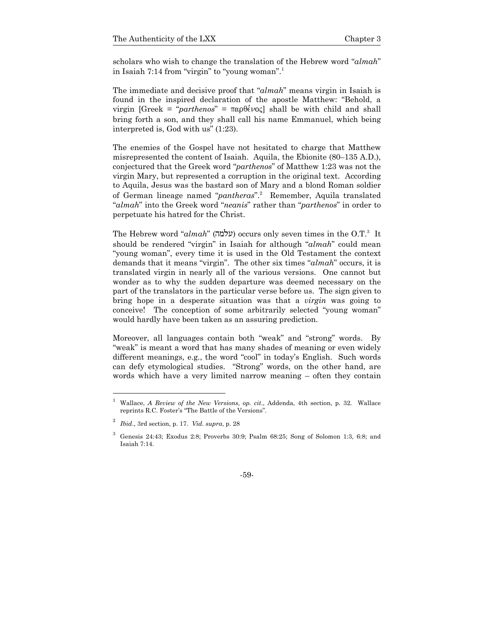scholars who wish to change the translation of the Hebrew word "*almah*" in Isaiah 7:14 from "virgin" to "young woman".<sup>1</sup>

The immediate and decisive proof that "*almah*" means virgin in Isaiah is found in the inspired declaration of the apostle Matthew: "Behold, a virgin [Greek = "*parthenos*" =  $\pi \alpha \beta \epsilon \nu o \zeta$ ] shall be with child and shall bring forth a son, and they shall call his name Emmanuel, which being interpreted is, God with us" (1:23).

The enemies of the Gospel have not hesitated to charge that Matthew misrepresented the content of Isaiah. Aquila, the Ebionite (80–135 A.D.), conjectured that the Greek word "*parthenos*" of Matthew 1:23 was not the virgin Mary, but represented a corruption in the original text. According to Aquila, Jesus was the bastard son of Mary and a blond Roman soldier of German lineage named "*pantheras*".<sup>2</sup> Remember, Aquila translated "*almah*" into the Greek word "*neanis*" rather than "*parthenos*" in order to perpetuate his hatred for the Christ.

The Hebrew word "*almah*" (hmlu) occurs only seven times in the O.T.<sup>3</sup> It should be rendered "virgin" in Isaiah for although "*almah*" could mean "young woman", every time it is used in the Old Testament the context demands that it means "virgin". The other six times "*almah*" occurs, it is translated virgin in nearly all of the various versions. One cannot but wonder as to why the sudden departure was deemed necessary on the part of the translators in the particular verse before us. The sign given to bring hope in a desperate situation was that a *virgin* was going to conceive! The conception of some arbitrarily selected "young woman" would hardly have been taken as an assuring prediction.

Moreover, all languages contain both "weak" and "strong" words. By "weak" is meant a word that has many shades of meaning or even widely different meanings, e.g., the word "cool" in today's English. Such words can defy etymological studies. "Strong" words, on the other hand, are words which have a very limited narrow meaning – often they contain

-

<sup>1</sup> Wallace, *A Review of the New Versions*, *op. cit*., Addenda, 4th section, p. 32. Wallace reprints R.C. Foster's "The Battle of the Versions".

<sup>2</sup> *Ibid*., 3rd section, p. 17. *Vid. supra*, p. 28

<sup>3</sup> Genesis 24:43; Exodus 2:8; Proverbs 30:9; Psalm 68:25; Song of Solomon 1:3, 6:8; and Isaiah 7:14.

<sup>-59-</sup>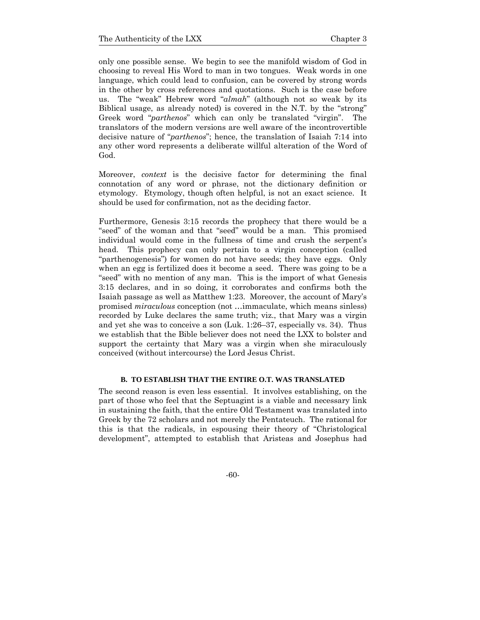only one possible sense. We begin to see the manifold wisdom of God in choosing to reveal His Word to man in two tongues. Weak words in one language, which could lead to confusion, can be covered by strong words in the other by cross references and quotations. Such is the case before us. The "weak" Hebrew word "*almah*" (although not so weak by its Biblical usage, as already noted) is covered in the N.T. by the "strong" Greek word "*parthenos*" which can only be translated "virgin". The translators of the modern versions are well aware of the incontrovertible decisive nature of "*parthenos*"; hence, the translation of Isaiah 7:14 into any other word represents a deliberate willful alteration of the Word of God.

Moreover, *context* is the decisive factor for determining the final connotation of any word or phrase, not the dictionary definition or etymology. Etymology, though often helpful, is not an exact science. It should be used for confirmation, not as the deciding factor.

Furthermore, Genesis 3:15 records the prophecy that there would be a "seed" of the woman and that "seed" would be a man. This promised individual would come in the fullness of time and crush the serpent's head. This prophecy can only pertain to a virgin conception (called "parthenogenesis") for women do not have seeds; they have eggs. Only when an egg is fertilized does it become a seed. There was going to be a "seed" with no mention of any man. This is the import of what Genesis 3:15 declares, and in so doing, it corroborates and confirms both the Isaiah passage as well as Matthew 1:23. Moreover, the account of Mary's promised *miraculous* conception (not …immaculate, which means sinless) recorded by Luke declares the same truth; viz., that Mary was a virgin and yet she was to conceive a son (Luk. 1:26–37, especially vs. 34). Thus we establish that the Bible believer does not need the LXX to bolster and support the certainty that Mary was a virgin when she miraculously conceived (without intercourse) the Lord Jesus Christ.

### **B. TO ESTABLISH THAT THE ENTIRE O.T. WAS TRANSLATED**

The second reason is even less essential. It involves establishing, on the part of those who feel that the Septuagint is a viable and necessary link in sustaining the faith, that the entire Old Testament was translated into Greek by the 72 scholars and not merely the Pentateuch. The rational for this is that the radicals, in espousing their theory of "Christological development", attempted to establish that Aristeas and Josephus had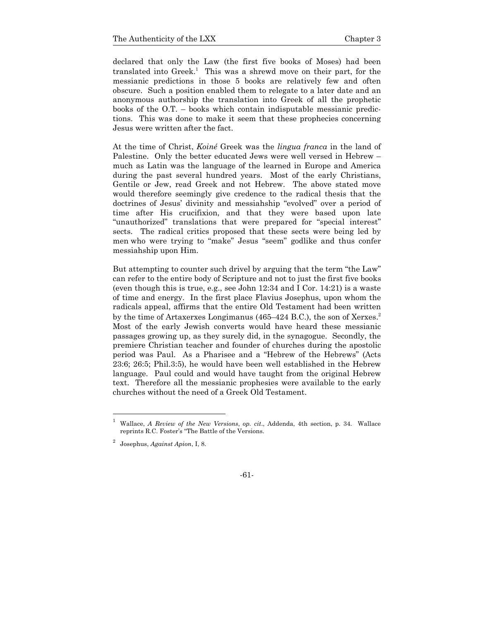declared that only the Law (the first five books of Moses) had been translated into Greek.<sup>1</sup> This was a shrewd move on their part, for the messianic predictions in those 5 books are relatively few and often obscure. Such a position enabled them to relegate to a later date and an anonymous authorship the translation into Greek of all the prophetic books of the O.T. – books which contain indisputable messianic predictions. This was done to make it seem that these prophecies concerning Jesus were written after the fact.

At the time of Christ, *Koiné* Greek was the *lingua franca* in the land of Palestine. Only the better educated Jews were well versed in Hebrew – much as Latin was the language of the learned in Europe and America during the past several hundred years. Most of the early Christians, Gentile or Jew, read Greek and not Hebrew. The above stated move would therefore seemingly give credence to the radical thesis that the doctrines of Jesus' divinity and messiahship "evolved" over a period of time after His crucifixion, and that they were based upon late "unauthorized" translations that were prepared for "special interest" sects. The radical critics proposed that these sects were being led by men who were trying to "make" Jesus "seem" godlike and thus confer messiahship upon Him.

But attempting to counter such drivel by arguing that the term "the Law" can refer to the entire body of Scripture and not to just the first five books (even though this is true, e.g., see John 12:34 and I Cor. 14:21) is a waste of time and energy. In the first place Flavius Josephus, upon whom the radicals appeal, affirms that the entire Old Testament had been written by the time of Artaxerxes Longimanus (465–424 B.C.), the son of Xerxes. $^{2}$ Most of the early Jewish converts would have heard these messianic passages growing up, as they surely did, in the synagogue. Secondly, the premiere Christian teacher and founder of churches during the apostolic period was Paul. As a Pharisee and a "Hebrew of the Hebrews" (Acts 23:6; 26:5; Phil.3:5), he would have been well established in the Hebrew language. Paul could and would have taught from the original Hebrew text. Therefore all the messianic prophesies were available to the early churches without the need of a Greek Old Testament.

l

<sup>1</sup> Wallace, *A Review of the New Versions*, *op. cit*., Addenda, 4th section, p. 34. Wallace reprints R.C. Foster's "The Battle of the Versions.

<sup>2</sup> Josephus, *Against Apion*, I, 8.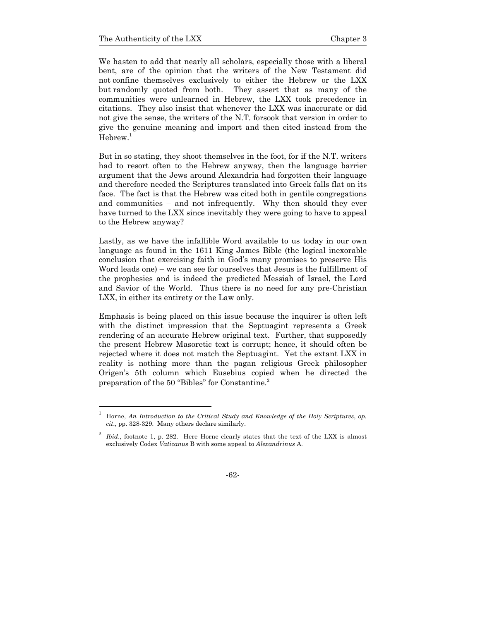We hasten to add that nearly all scholars, especially those with a liberal bent, are of the opinion that the writers of the New Testament did not confine themselves exclusively to either the Hebrew or the LXX but randomly quoted from both. They assert that as many of the communities were unlearned in Hebrew, the LXX took precedence in citations. They also insist that whenever the LXX was inaccurate or did not give the sense, the writers of the N.T. forsook that version in order to give the genuine meaning and import and then cited instead from the  $Hebrew.<sup>1</sup>$ 

But in so stating, they shoot themselves in the foot, for if the N.T. writers had to resort often to the Hebrew anyway, then the language barrier argument that the Jews around Alexandria had forgotten their language and therefore needed the Scriptures translated into Greek falls flat on its face. The fact is that the Hebrew was cited both in gentile congregations and communities – and not infrequently. Why then should they ever have turned to the LXX since inevitably they were going to have to appeal to the Hebrew anyway?

Lastly, as we have the infallible Word available to us today in our own language as found in the 1611 King James Bible (the logical inexorable conclusion that exercising faith in God's many promises to preserve His Word leads one) – we can see for ourselves that Jesus is the fulfillment of the prophesies and is indeed the predicted Messiah of Israel, the Lord and Savior of the World. Thus there is no need for any pre-Christian LXX, in either its entirety or the Law only.

Emphasis is being placed on this issue because the inquirer is often left with the distinct impression that the Septuagint represents a Greek rendering of an accurate Hebrew original text. Further, that supposedly the present Hebrew Masoretic text is corrupt; hence, it should often be rejected where it does not match the Septuagint. Yet the extant LXX in reality is nothing more than the pagan religious Greek philosopher Origen's 5th column which Eusebius copied when he directed the preparation of the 50 "Bibles" for Constantine.<sup>2</sup>

<sup>1</sup> Horne, *An Introduction to the Critical Study and Knowledge of the Holy Scriptures*, *op. cit*., pp. 328-329. Many others declare similarly.

<sup>2</sup> *Ibid*., footnote 1, p. 282. Here Horne clearly states that the text of the LXX is almost exclusively Codex *Vaticanus* B with some appeal to *Alexandrinus* A.

<sup>-62-</sup>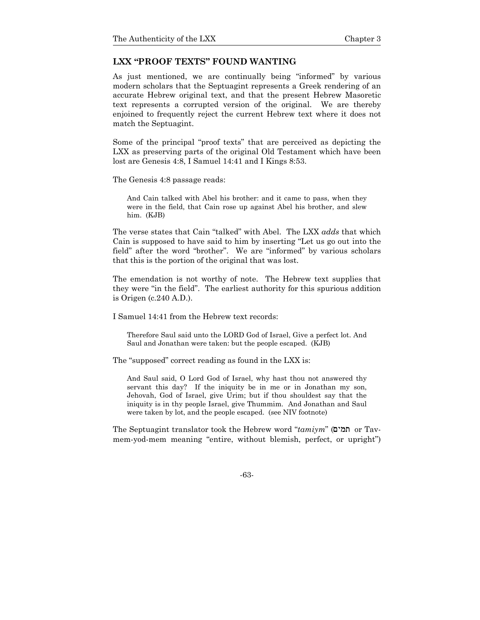### **LXX "PROOF TEXTS" FOUND WANTING**

As just mentioned, we are continually being "informed" by various modern scholars that the Septuagint represents a Greek rendering of an accurate Hebrew original text, and that the present Hebrew Masoretic text represents a corrupted version of the original. We are thereby enjoined to frequently reject the current Hebrew text where it does not match the Septuagint.

Some of the principal "proof texts" that are perceived as depicting the LXX as preserving parts of the original Old Testament which have been lost are Genesis 4:8, I Samuel 14:41 and I Kings 8:53.

The Genesis 4:8 passage reads:

And Cain talked with Abel his brother: and it came to pass, when they were in the field, that Cain rose up against Abel his brother, and slew him. (KJB)

The verse states that Cain "talked" with Abel. The LXX *adds* that which Cain is supposed to have said to him by inserting "Let us go out into the field" after the word "brother". We are "informed" by various scholars that this is the portion of the original that was lost.

The emendation is not worthy of note. The Hebrew text supplies that they were "in the field". The earliest authority for this spurious addition is Origen (c.240 A.D.).

I Samuel 14:41 from the Hebrew text records:

Therefore Saul said unto the LORD God of Israel, Give a perfect lot. And Saul and Jonathan were taken: but the people escaped. (KJB)

The "supposed" correct reading as found in the LXX is:

And Saul said, O Lord God of Israel, why hast thou not answered thy servant this day? If the iniquity be in me or in Jonathan my son, Jehovah, God of Israel, give Urim; but if thou shouldest say that the iniquity is in thy people Israel, give Thummim. And Jonathan and Saul were taken by lot, and the people escaped. (see NIV footnote)

The Septuagint translator took the Hebrew word "*tamiym*" (ממים or Tavmem-yod-mem meaning "entire, without blemish, perfect, or upright")

-63-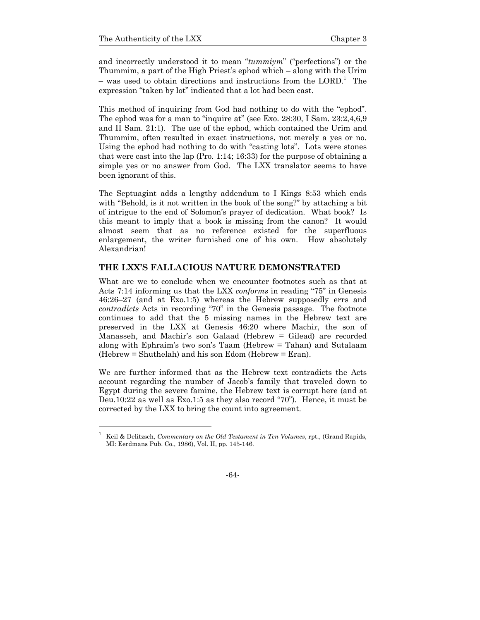and incorrectly understood it to mean "*tummiym*" ("perfections") or the Thummim, a part of the High Priest's ephod which – along with the Urim  $-$  was used to obtain directions and instructions from the LORD.<sup>1</sup> The expression "taken by lot" indicated that a lot had been cast.

This method of inquiring from God had nothing to do with the "ephod". The ephod was for a man to "inquire at" (see Exo. 28:30, I Sam. 23:2,4,6,9 and II Sam. 21:1). The use of the ephod, which contained the Urim and Thummim, often resulted in exact instructions, not merely a yes or no. Using the ephod had nothing to do with "casting lots". Lots were stones that were cast into the lap (Pro.  $1:14$ ;  $16:33$ ) for the purpose of obtaining a simple yes or no answer from God. The LXX translator seems to have been ignorant of this.

The Septuagint adds a lengthy addendum to I Kings 8:53 which ends with "Behold, is it not written in the book of the song?" by attaching a bit of intrigue to the end of Solomon's prayer of dedication. What book? Is this meant to imply that a book is missing from the canon? It would almost seem that as no reference existed for the superfluous enlargement, the writer furnished one of his own. How absolutely Alexandrian!

# **THE LXX'S FALLACIOUS NATURE DEMONSTRATED**

What are we to conclude when we encounter footnotes such as that at Acts 7:14 informing us that the LXX *conforms* in reading "75" in Genesis 46:26–27 (and at Exo.1:5) whereas the Hebrew supposedly errs and *contradicts* Acts in recording "70" in the Genesis passage. The footnote continues to add that the 5 missing names in the Hebrew text are preserved in the LXX at Genesis 46:20 where Machir, the son of Manasseh, and Machir's son Galaad (Hebrew = Gilead) are recorded along with Ephraim's two son's Taam (Hebrew = Tahan) and Sutalaam (Hebrew = Shuthelah) and his son Edom (Hebrew = Eran).

We are further informed that as the Hebrew text contradicts the Acts account regarding the number of Jacob's family that traveled down to Egypt during the severe famine, the Hebrew text is corrupt here (and at Deu.10:22 as well as Exo.1:5 as they also record "70"). Hence, it must be corrected by the LXX to bring the count into agreement.

<sup>1</sup> Keil & Delitzsch, *Commentary on the Old Testament in Ten Volumes*, rpt., (Grand Rapids, MI: Eerdmans Pub. Co., 1986), Vol. II, pp. 145-146.

<sup>-64-</sup>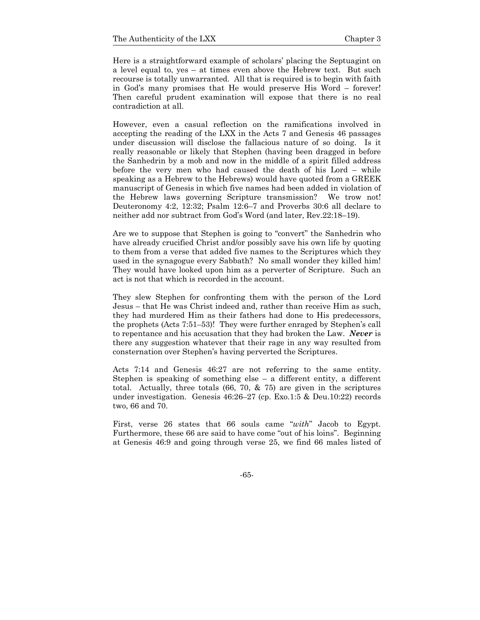Here is a straightforward example of scholars' placing the Septuagint on a level equal to, yes – at times even above the Hebrew text. But such recourse is totally unwarranted. All that is required is to begin with faith in God's many promises that He would preserve His Word – forever! Then careful prudent examination will expose that there is no real contradiction at all.

However, even a casual reflection on the ramifications involved in accepting the reading of the LXX in the Acts 7 and Genesis 46 passages under discussion will disclose the fallacious nature of so doing. Is it really reasonable or likely that Stephen (having been dragged in before the Sanhedrin by a mob and now in the middle of a spirit filled address before the very men who had caused the death of his Lord – while speaking as a Hebrew to the Hebrews) would have quoted from a GREEK manuscript of Genesis in which five names had been added in violation of the Hebrew laws governing Scripture transmission? We trow not! Deuteronomy 4:2, 12:32; Psalm 12:6–7 and Proverbs 30:6 all declare to neither add nor subtract from God's Word (and later, Rev.22:18–19).

Are we to suppose that Stephen is going to "convert" the Sanhedrin who have already crucified Christ and/or possibly save his own life by quoting to them from a verse that added five names to the Scriptures which they used in the synagogue every Sabbath? No small wonder they killed him! They would have looked upon him as a perverter of Scripture. Such an act is not that which is recorded in the account.

They slew Stephen for confronting them with the person of the Lord Jesus – that He was Christ indeed and, rather than receive Him as such, they had murdered Him as their fathers had done to His predecessors, the prophets (Acts 7:51–53)! They were further enraged by Stephen's call to repentance and his accusation that they had broken the Law. *Never* is there any suggestion whatever that their rage in any way resulted from consternation over Stephen's having perverted the Scriptures.

Acts 7:14 and Genesis 46:27 are not referring to the same entity. Stephen is speaking of something else – a different entity, a different total. Actually, three totals  $(66, 70, \& 75)$  are given in the scriptures under investigation. Genesis 46:26–27 (cp. Exo.1:5 & Deu.10:22) records two, 66 and 70.

First, verse 26 states that 66 souls came "*with*" Jacob to Egypt. Furthermore, these 66 are said to have come "out of his loins". Beginning at Genesis 46:9 and going through verse 25, we find 66 males listed of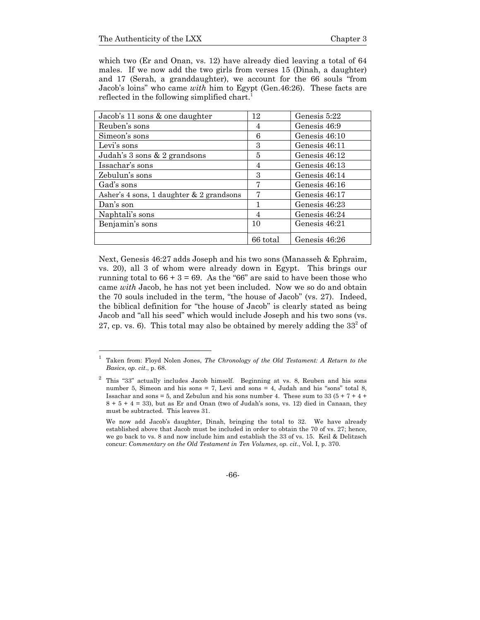which two (Er and Onan, vs. 12) have already died leaving a total of 64 males. If we now add the two girls from verses 15 (Dinah, a daughter) and 17 (Serah, a granddaughter), we account for the 66 souls "from Jacob's loins" who came *with* him to Egypt (Gen.46:26). These facts are reflected in the following simplified chart.

| Jacob's 11 sons & one daughter             | 12       | Genesis 5:22  |
|--------------------------------------------|----------|---------------|
| Reuben's sons                              | 4        | Genesis 46:9  |
| Simeon's sons                              | 6        | Genesis 46:10 |
| Levi's sons                                | 3        | Genesis 46:11 |
| Judah's 3 sons & 2 grandsons               | 5        | Genesis 46:12 |
| Issachar's sons                            | 4        | Genesis 46:13 |
| Zebulun's sons                             | 3        | Genesis 46:14 |
| Gad's sons                                 | 7        | Genesis 46:16 |
| Asher's 4 sons, 1 daughter $& 2$ grandsons | 7        | Genesis 46:17 |
| Dan's son                                  | 1        | Genesis 46:23 |
| Naphtali's sons                            | 4        | Genesis 46:24 |
| Benjamin's sons                            | 10       | Genesis 46:21 |
|                                            | 66 total | Genesis 46:26 |

Next, Genesis 46:27 adds Joseph and his two sons (Manasseh & Ephraim, vs. 20), all 3 of whom were already down in Egypt. This brings our running total to  $66 + 3 = 69$ . As the "66" are said to have been those who came *with* Jacob, he has not yet been included. Now we so do and obtain the 70 souls included in the term, "the house of Jacob" (vs. 27). Indeed, the biblical definition for "the house of Jacob" is clearly stated as being Jacob and "all his seed" which would include Joseph and his two sons (vs. 27, cp. vs. 6). This total may also be obtained by merely adding the  $33<sup>2</sup>$  of

-66-

<sup>1</sup> Taken from: Floyd Nolen Jones, *The Chronology of the Old Testament: A Return to the Basics*, *op. cit*., p. 68.

 $2^2$  This "33" actually includes Jacob himself. Beginning at vs. 8, Reuben and his sons number 5, Simeon and his sons = 7, Levi and sons = 4, Judah and his "sons" total 8, Issachar and sons = 5, and Zebulun and his sons number 4. These sum to 33 ( $5 + 7 + 4 +$  $8 + 5 + 4 = 33$ ), but as Er and Onan (two of Judah's sons, vs. 12) died in Canaan, they must be subtracted. This leaves 31.

We now add Jacob's daughter, Dinah, bringing the total to 32. We have already established above that Jacob must be included in order to obtain the 70 of vs. 27; hence, we go back to vs. 8 and now include him and establish the 33 of vs. 15. Keil & Delitzsch concur: *Commentary on the Old Testament in Ten Volumes*, *op. cit*., Vol. I, p. 370.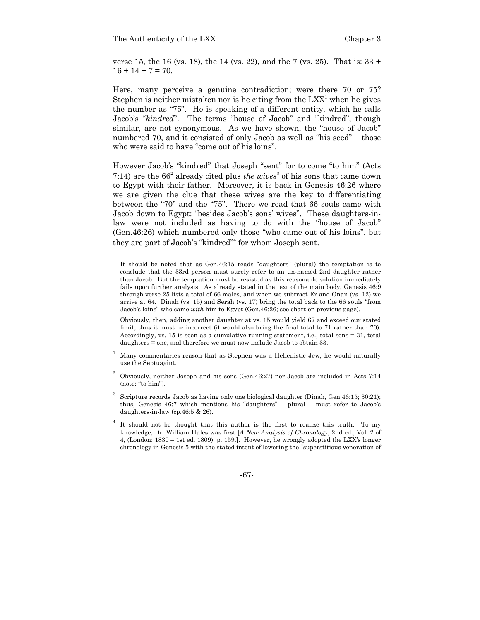verse 15, the 16 (vs. 18), the 14 (vs. 22), and the 7 (vs. 25). That is: 33 +  $16 + 14 + 7 = 70.$ 

Here, many perceive a genuine contradiction; were there 70 or 75? Stephen is neither mistaken nor is he citing from the  $LXX<sup>1</sup>$  when he gives the number as "75". He is speaking of a different entity, which he calls Jacob's "*kindred*". The terms "house of Jacob" and "kindred", though similar, are not synonymous. As we have shown, the "house of Jacob" numbered 70, and it consisted of only Jacob as well as "his seed" – those who were said to have "come out of his loins".

However Jacob's "kindred" that Joseph "sent" for to come "to him" (Acts 7:14) are the  $66<sup>2</sup>$  already cited plus *the wives*<sup>3</sup> of his sons that came down to Egypt with their father. Moreover, it is back in Genesis 46:26 where we are given the clue that these wives are the key to differentiating between the "70" and the "75". There we read that 66 souls came with Jacob down to Egypt: "besides Jacob's sons' wives". These daughters-inlaw were not included as having to do with the "house of Jacob" (Gen.46:26) which numbered only those "who came out of his loins", but they are part of Jacob's "kindred"4 for whom Joseph sent.

- 1 Many commentaries reason that as Stephen was a Hellenistic Jew, he would naturally use the Septuagint.
- 2 Obviously, neither Joseph and his sons (Gen.46:27) nor Jacob are included in Acts 7:14 (note: "to him").

It should be noted that as Gen.46:15 reads "daughters" (plural) the temptation is to conclude that the 33rd person must surely refer to an un-named 2nd daughter rather than Jacob. But the temptation must be resisted as this reasonable solution immediately fails upon further analysis. As already stated in the text of the main body, Genesis 46:9 through verse 25 lists a total of 66 males, and when we subtract Er and Onan (vs. 12) we arrive at 64. Dinah (vs. 15) and Serah (vs. 17) bring the total back to the 66 souls "from Jacob's loins" who came *with* him to Egypt (Gen.46:26; see chart on previous page).

Obviously, then, adding another daughter at vs. 15 would yield 67 and exceed our stated limit; thus it must be incorrect (it would also bring the final total to 71 rather than 70). Accordingly, vs. 15 is seen as a cumulative running statement, i.e., total sons  $=$  31, total daughters = one, and therefore we must now include Jacob to obtain 33.

<sup>3</sup> Scripture records Jacob as having only one biological daughter (Dinah, Gen.46:15; 30:21); thus, Genesis 46:7 which mentions his "daughters" – plural – must refer to Jacob's daughters-in-law (cp.46:5 & 26).

<sup>4</sup> It should not be thought that this author is the first to realize this truth. To my knowledge, Dr. William Hales was first [*A New Analysis of Chronology*, 2nd ed., Vol. 2 of 4, (London: 1830 – 1st ed. 1809), p. 159.]. However, he wrongly adopted the LXX's longer chronology in Genesis 5 with the stated intent of lowering the "superstitious veneration of

<sup>-67-</sup>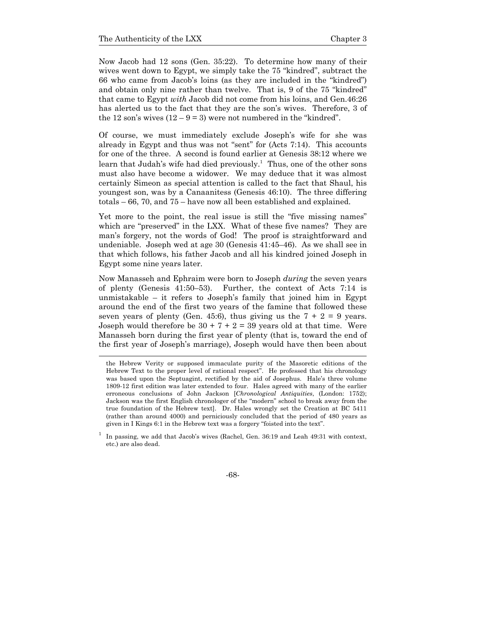1

Now Jacob had 12 sons (Gen. 35:22). To determine how many of their wives went down to Egypt, we simply take the 75 "kindred", subtract the 66 who came from Jacob's loins (as they are included in the "kindred") and obtain only nine rather than twelve. That is, 9 of the 75 "kindred" that came to Egypt *with* Jacob did not come from his loins, and Gen.46:26 has alerted us to the fact that they are the son's wives. Therefore, 3 of the 12 son's wives  $(12 - 9 = 3)$  were not numbered in the "kindred".

Of course, we must immediately exclude Joseph's wife for she was already in Egypt and thus was not "sent" for (Acts 7:14). This accounts for one of the three. A second is found earlier at Genesis 38:12 where we learn that Judah's wife had died previously.<sup>1</sup> Thus, one of the other sons must also have become a widower. We may deduce that it was almost certainly Simeon as special attention is called to the fact that Shaul, his youngest son, was by a Canaanitess (Genesis 46:10). The three differing totals – 66, 70, and 75 – have now all been established and explained.

Yet more to the point, the real issue is still the "five missing names" which are "preserved" in the LXX. What of these five names? They are man's forgery, not the words of God! The proof is straightforward and undeniable. Joseph wed at age 30 (Genesis 41:45–46). As we shall see in that which follows, his father Jacob and all his kindred joined Joseph in Egypt some nine years later.

Now Manasseh and Ephraim were born to Joseph *during* the seven years of plenty (Genesis 41:50–53). Further, the context of Acts 7:14 is unmistakable – it refers to Joseph's family that joined him in Egypt around the end of the first two years of the famine that followed these seven years of plenty (Gen. 45:6), thus giving us the  $7 + 2 = 9$  years. Joseph would therefore be  $30 + 7 + 2 = 39$  years old at that time. Were Manasseh born during the first year of plenty (that is, toward the end of the first year of Joseph's marriage), Joseph would have then been about

the Hebrew Verity or supposed immaculate purity of the Masoretic editions of the Hebrew Text to the proper level of rational respect". He professed that his chronology was based upon the Septuagint, rectified by the aid of Josephus. Hale's three volume 1809-12 first edition was later extended to four. Hales agreed with many of the earlier erroneous conclusions of John Jackson [*Chronological Antiquities*, (London: 1752); Jackson was the first English chronologer of the "modern" school to break away from the true foundation of the Hebrew text]. Dr. Hales wrongly set the Creation at BC 5411 (rather than around 4000) and perniciously concluded that the period of 480 years as given in I Kings 6:1 in the Hebrew text was a forgery "foisted into the text".

<sup>1</sup> In passing, we add that Jacob's wives (Rachel, Gen. 36:19 and Leah 49:31 with context, etc.) are also dead.

<sup>-68-</sup>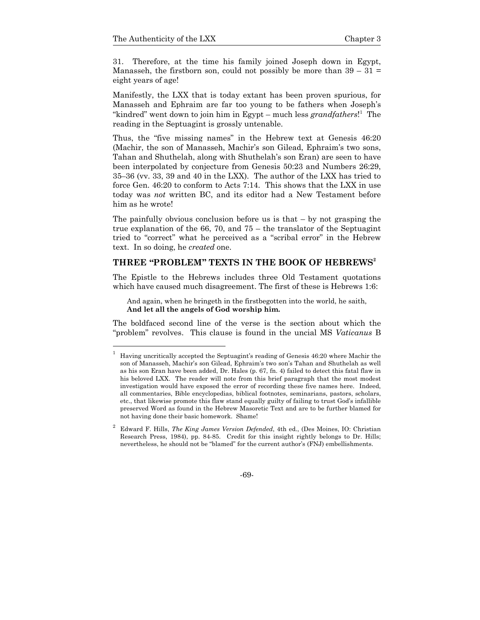31. Therefore, at the time his family joined Joseph down in Egypt, Manasseh, the firstborn son, could not possibly be more than  $39 - 31 =$ eight years of age!

Manifestly, the LXX that is today extant has been proven spurious, for Manasseh and Ephraim are far too young to be fathers when Joseph's "kindred" went down to join him in Egypt – much less *grandfathers*!<sup>1</sup> The reading in the Septuagint is grossly untenable.

Thus, the "five missing names" in the Hebrew text at Genesis 46:20 (Machir, the son of Manasseh, Machir's son Gilead, Ephraim's two sons, Tahan and Shuthelah, along with Shuthelah's son Eran) are seen to have been interpolated by conjecture from Genesis 50:23 and Numbers 26:29, 35–36 (vv. 33, 39 and 40 in the LXX). The author of the LXX has tried to force Gen. 46:20 to conform to Acts 7:14. This shows that the LXX in use today was *not* written BC, and its editor had a New Testament before him as he wrote!

The painfully obvious conclusion before us is that  $-$  by not grasping the true explanation of the 66, 70, and 75 – the translator of the Septuagint tried to "correct" what he perceived as a "scribal error" in the Hebrew text. In so doing, he *created* one.

### THREE "PROBLEM" TEXTS IN THE BOOK OF HEBREWS<sup>2</sup>

The Epistle to the Hebrews includes three Old Testament quotations which have caused much disagreement. The first of these is Hebrews 1:6:

And again, when he bringeth in the firstbegotten into the world, he saith, **And let all the angels of God worship him.**

The boldfaced second line of the verse is the section about which the "problem" revolves. This clause is found in the uncial MS *Vaticanus* B

<sup>1</sup> Having uncritically accepted the Septuagint's reading of Genesis 46:20 where Machir the son of Manasseh, Machir's son Gilead, Ephraim's two son's Tahan and Shuthelah as well as his son Eran have been added, Dr. Hales (p. 67, fn. 4) failed to detect this fatal flaw in his beloved LXX. The reader will note from this brief paragraph that the most modest investigation would have exposed the error of recording these five names here. Indeed, all commentaries, Bible encyclopedias, biblical footnotes, seminarians, pastors, scholars, etc., that likewise promote this flaw stand equally guilty of failing to trust God's infallible preserved Word as found in the Hebrew Masoretic Text and are to be further blamed for not having done their basic homework. Shame!

<sup>2</sup> Edward F. Hills, *The King James Version Defended*, 4th ed., (Des Moines, IO: Christian Research Press, 1984), pp. 84-85. Credit for this insight rightly belongs to Dr. Hills; nevertheless, he should not be "blamed" for the current author's (FNJ) embellishments.

<sup>-69-</sup>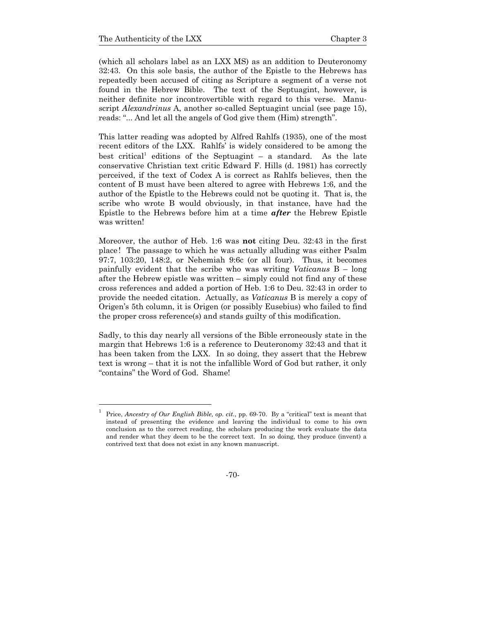1 1

(which all scholars label as an LXX MS) as an addition to Deuteronomy 32:43. On this sole basis, the author of the Epistle to the Hebrews has repeatedly been accused of citing as Scripture a segment of a verse not found in the Hebrew Bible. The text of the Septuagint, however, is neither definite nor incontrovertible with regard to this verse. Manuscript *Alexandrinus* A, another so-called Septuagint uncial (see page 15), reads: "... And let all the angels of God give them (Him) strength".

This latter reading was adopted by Alfred Rahlfs (1935), one of the most recent editors of the LXX. Rahlfs' is widely considered to be among the best critical<sup>1</sup> editions of the Septuagint  $-$  a standard. As the late conservative Christian text critic Edward F. Hills (d. 1981) has correctly perceived, if the text of Codex A is correct as Rahlfs believes, then the content of B must have been altered to agree with Hebrews 1:6, and the author of the Epistle to the Hebrews could not be quoting it. That is, the scribe who wrote B would obviously, in that instance, have had the Epistle to the Hebrews before him at a time *after* the Hebrew Epistle was written!

Moreover, the author of Heb. 1:6 was **not** citing Deu. 32:43 in the first place! The passage to which he was actually alluding was either Psalm 97:7, 103:20, 148:2, or Nehemiah 9:6c (or all four). Thus, it becomes painfully evident that the scribe who was writing *Vaticanus* B – long after the Hebrew epistle was written – simply could not find any of these cross references and added a portion of Heb. 1:6 to Deu. 32:43 in order to provide the needed citation. Actually, as *Vaticanus* B is merely a copy of Origen's 5th column, it is Origen (or possibly Eusebius) who failed to find the proper cross reference(s) and stands guilty of this modification.

Sadly, to this day nearly all versions of the Bible erroneously state in the margin that Hebrews 1:6 is a reference to Deuteronomy 32:43 and that it has been taken from the LXX. In so doing, they assert that the Hebrew text is wrong – that it is not the infallible Word of God but rather, it only "contains" the Word of God. Shame!

-70-

Price, *Ancestry of Our English Bible, op. cit.*, pp. 69-70. By a "critical" text is meant that instead of presenting the evidence and leaving the individual to come to his own conclusion as to the correct reading, the scholars producing the work evaluate the data and render what they deem to be the correct text. In so doing, they produce (invent) a contrived text that does not exist in any known manuscript.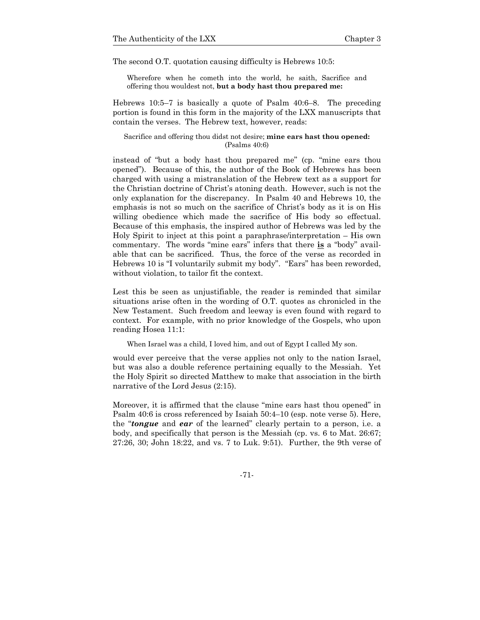The second O.T. quotation causing difficulty is Hebrews 10:5:

Wherefore when he cometh into the world, he saith, Sacrifice and offering thou wouldest not, **but a body hast thou prepared me:**

Hebrews 10:5–7 is basically a quote of Psalm 40:6–8. The preceding portion is found in this form in the majority of the LXX manuscripts that contain the verses. The Hebrew text, however, reads:

#### Sacrifice and offering thou didst not desire; **mine ears hast thou opened:**  (Psalms 40:6)

instead of "but a body hast thou prepared me" (cp. "mine ears thou opened"). Because of this, the author of the Book of Hebrews has been charged with using a mistranslation of the Hebrew text as a support for the Christian doctrine of Christ's atoning death. However, such is not the only explanation for the discrepancy. In Psalm 40 and Hebrews 10, the emphasis is not so much on the sacrifice of Christ's body as it is on His willing obedience which made the sacrifice of His body so effectual. Because of this emphasis, the inspired author of Hebrews was led by the Holy Spirit to inject at this point a paraphrase/interpretation – His own commentary. The words "mine ears" infers that there **is** a "body" available that can be sacrificed. Thus, the force of the verse as recorded in Hebrews 10 is "I voluntarily submit my body". "Ears" has been reworded, without violation, to tailor fit the context.

Lest this be seen as unjustifiable, the reader is reminded that similar situations arise often in the wording of O.T. quotes as chronicled in the New Testament. Such freedom and leeway is even found with regard to context. For example, with no prior knowledge of the Gospels, who upon reading Hosea 11:1:

When Israel was a child, I loved him, and out of Egypt I called My son.

would ever perceive that the verse applies not only to the nation Israel, but was also a double reference pertaining equally to the Messiah. Yet the Holy Spirit so directed Matthew to make that association in the birth narrative of the Lord Jesus (2:15).

Moreover, it is affirmed that the clause "mine ears hast thou opened" in Psalm 40:6 is cross referenced by Isaiah 50:4–10 (esp. note verse 5). Here, the "*tongue* and *ear* of the learned" clearly pertain to a person, i.e. a body, and specifically that person is the Messiah (cp. vs. 6 to Mat. 26:67; 27:26, 30; John 18:22, and vs. 7 to Luk. 9:51). Further, the 9th verse of

-71-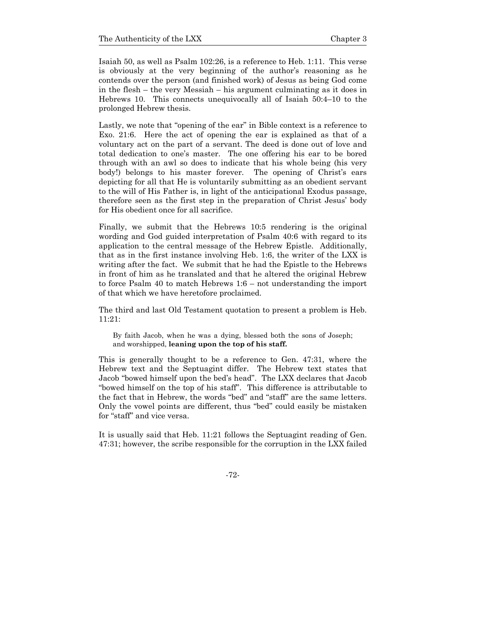Isaiah 50, as well as Psalm 102:26, is a reference to Heb. 1:11. This verse is obviously at the very beginning of the author's reasoning as he contends over the person (and finished work) of Jesus as being God come in the flesh – the very Messiah – his argument culminating as it does in Hebrews 10. This connects unequivocally all of Isaiah 50:4–10 to the prolonged Hebrew thesis.

Lastly, we note that "opening of the ear" in Bible context is a reference to Exo. 21:6. Here the act of opening the ear is explained as that of a voluntary act on the part of a servant. The deed is done out of love and total dedication to one's master. The one offering his ear to be bored through with an awl so does to indicate that his whole being (his very body!) belongs to his master forever. The opening of Christ's ears depicting for all that He is voluntarily submitting as an obedient servant to the will of His Father is, in light of the anticipational Exodus passage, therefore seen as the first step in the preparation of Christ Jesus' body for His obedient once for all sacrifice.

Finally, we submit that the Hebrews 10:5 rendering is the original wording and God guided interpretation of Psalm 40:6 with regard to its application to the central message of the Hebrew Epistle. Additionally, that as in the first instance involving Heb. 1:6, the writer of the LXX is writing after the fact. We submit that he had the Epistle to the Hebrews in front of him as he translated and that he altered the original Hebrew to force Psalm 40 to match Hebrews 1:6 – not understanding the import of that which we have heretofore proclaimed.

The third and last Old Testament quotation to present a problem is Heb. 11:21:

By faith Jacob, when he was a dying, blessed both the sons of Joseph; and worshipped, **leaning upon the top of his staff.**

This is generally thought to be a reference to Gen. 47:31, where the Hebrew text and the Septuagint differ. The Hebrew text states that Jacob "bowed himself upon the bed's head". The LXX declares that Jacob "bowed himself on the top of his staff". This difference is attributable to the fact that in Hebrew, the words "bed" and "staff" are the same letters. Only the vowel points are different, thus "bed" could easily be mistaken for "staff" and vice versa.

It is usually said that Heb. 11:21 follows the Septuagint reading of Gen. 47:31; however, the scribe responsible for the corruption in the LXX failed

-72-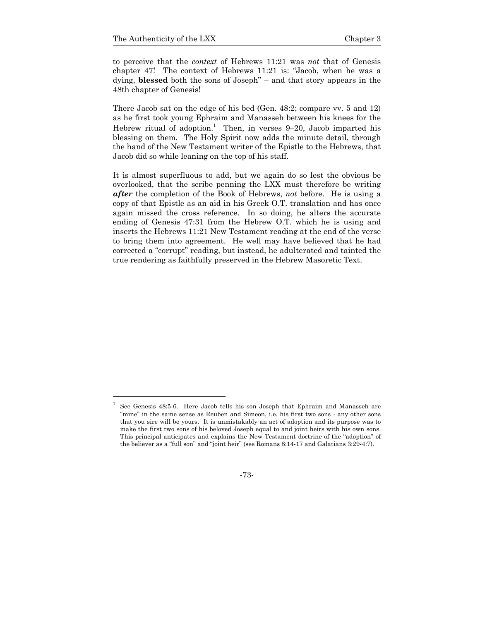to perceive that the *context* of Hebrews 11:21 was *not* that of Genesis chapter 47! The context of Hebrews 11:21 is: "Jacob, when he was a dying, **blessed** both the sons of Joseph" – and that story appears in the 48th chapter of Genesis!

There Jacob sat on the edge of his bed (Gen. 48:2; compare vv. 5 and 12) as he first took young Ephraim and Manasseh between his knees for the Hebrew ritual of adoption.<sup>1</sup> Then, in verses  $9-20$ , Jacob imparted his blessing on them. The Holy Spirit now adds the minute detail, through the hand of the New Testament writer of the Epistle to the Hebrews, that Jacob did so while leaning on the top of his staff.

It is almost superfluous to add, but we again do so lest the obvious be overlooked, that the scribe penning the LXX must therefore be writing *after* the completion of the Book of Hebrews, *not* before. He is using a copy of that Epistle as an aid in his Greek O.T. translation and has once again missed the cross reference. In so doing, he alters the accurate ending of Genesis 47:31 from the Hebrew O.T. which he is using and inserts the Hebrews 11:21 New Testament reading at the end of the verse to bring them into agreement. He well may have believed that he had corrected a "corrupt" reading, but instead, he adulterated and tainted the true rendering as faithfully preserved in the Hebrew Masoretic Text.

-73-

<sup>1</sup> See Genesis 48:5-6. Here Jacob tells his son Joseph that Ephraim and Manasseh are "mine" in the same sense as Reuben and Simeon, i.e. his first two sons - any other sons that you sire will be yours. It is unmistakably an act of adoption and its purpose was to make the first two sons of his beloved Joseph equal to and joint heirs with his own sons. This principal anticipates and explains the New Testament doctrine of the "adoption" of the believer as a "full son" and "joint heir" (see Romans 8:14-17 and Galatians 3:29-4:7).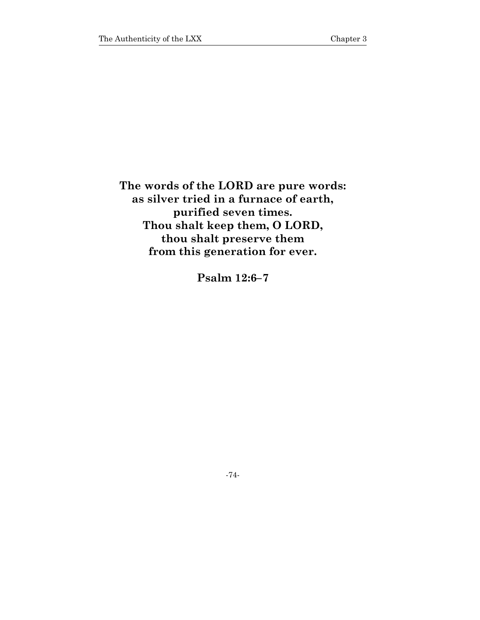**The words of the LORD are pure words: as silver tried in a furnace of earth, purified seven times. Thou shalt keep them, O LORD, thou shalt preserve them from this generation for ever.** 

**Psalm 12:6–7** 

-74-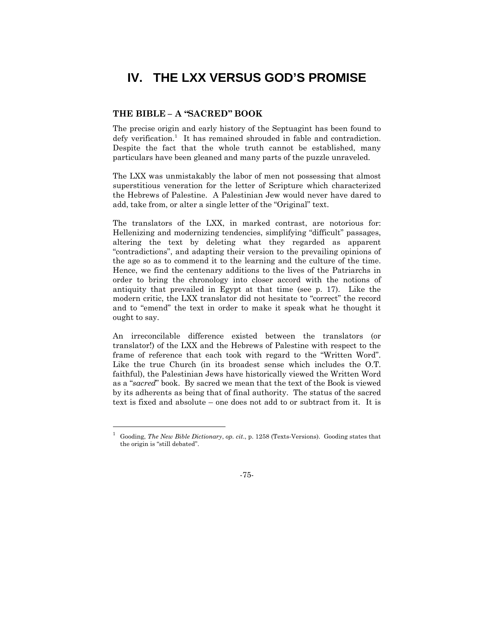# **IV. THE LXX VERSUS GOD'S PROMISE**

### **THE BIBLE – A "SACRED" BOOK**

1

The precise origin and early history of the Septuagint has been found to defy verification.<sup>1</sup> It has remained shrouded in fable and contradiction. Despite the fact that the whole truth cannot be established, many particulars have been gleaned and many parts of the puzzle unraveled.

The LXX was unmistakably the labor of men not possessing that almost superstitious veneration for the letter of Scripture which characterized the Hebrews of Palestine. A Palestinian Jew would never have dared to add, take from, or alter a single letter of the "Original" text.

The translators of the LXX, in marked contrast, are notorious for: Hellenizing and modernizing tendencies, simplifying "difficult" passages, altering the text by deleting what they regarded as apparent "contradictions", and adapting their version to the prevailing opinions of the age so as to commend it to the learning and the culture of the time. Hence, we find the centenary additions to the lives of the Patriarchs in order to bring the chronology into closer accord with the notions of antiquity that prevailed in Egypt at that time (see p. 17). Like the modern critic, the LXX translator did not hesitate to "correct" the record and to "emend" the text in order to make it speak what he thought it ought to say.

An irreconcilable difference existed between the translators (or translator!) of the LXX and the Hebrews of Palestine with respect to the frame of reference that each took with regard to the "Written Word". Like the true Church (in its broadest sense which includes the O.T. faithful), the Palestinian Jews have historically viewed the Written Word as a "*sacred*" book. By sacred we mean that the text of the Book is viewed by its adherents as being that of final authority. The status of the sacred text is fixed and absolute – one does not add to or subtract from it. It is

<sup>1</sup> Gooding, *The New Bible Dictionary*, *op. cit*., p. 1258 (Texts-Versions). Gooding states that the origin is "still debated".

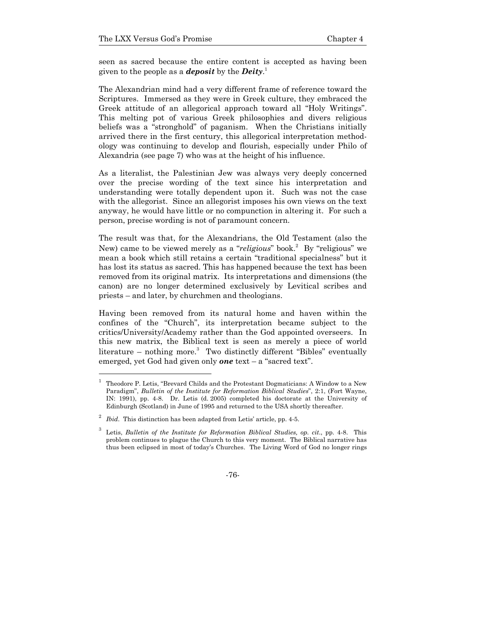seen as sacred because the entire content is accepted as having been given to the people as a *deposit* by the *Deity*. 1

The Alexandrian mind had a very different frame of reference toward the Scriptures. Immersed as they were in Greek culture, they embraced the Greek attitude of an allegorical approach toward all "Holy Writings". This melting pot of various Greek philosophies and divers religious beliefs was a "stronghold" of paganism. When the Christians initially arrived there in the first century, this allegorical interpretation methodology was continuing to develop and flourish, especially under Philo of Alexandria (see page 7) who was at the height of his influence.

As a literalist, the Palestinian Jew was always very deeply concerned over the precise wording of the text since his interpretation and understanding were totally dependent upon it. Such was not the case with the allegorist. Since an allegorist imposes his own views on the text anyway, he would have little or no compunction in altering it. For such a person, precise wording is not of paramount concern.

The result was that, for the Alexandrians, the Old Testament (also the New) came to be viewed merely as a "*religious*" book.<sup>2</sup> By "religious" we mean a book which still retains a certain "traditional specialness" but it has lost its status as sacred. This has happened because the text has been removed from its original matrix. Its interpretations and dimensions (the canon) are no longer determined exclusively by Levitical scribes and priests – and later, by churchmen and theologians.

Having been removed from its natural home and haven within the confines of the "Church", its interpretation became subject to the critics/University/Academy rather than the God appointed overseers. In this new matrix, the Biblical text is seen as merely a piece of world literature – nothing more.<sup>3</sup> Two distinctly different "Bibles" eventually emerged, yet God had given only *one* text – a "sacred text".

l

<sup>1</sup> Theodore P. Letis, "Brevard Childs and the Protestant Dogmaticians: A Window to a New Paradigm", *Bulletin of the Institute for Reformation Biblical Studies*", 2:1, (Fort Wayne, IN: 1991), pp. 4-8. Dr. Letis (d. 2005) completed his doctorate at the University of Edinburgh (Scotland) in June of 1995 and returned to the USA shortly thereafter.

<sup>2</sup> *Ibid*. This distinction has been adapted from Letis' article, pp. 4-5.

<sup>3</sup> Letis, *Bulletin of the Institute for Reformation Biblical Studies, op. cit*., pp. 4-8. This problem continues to plague the Church to this very moment. The Biblical narrative has thus been eclipsed in most of today's Churches. The Living Word of God no longer rings

<sup>-76-</sup>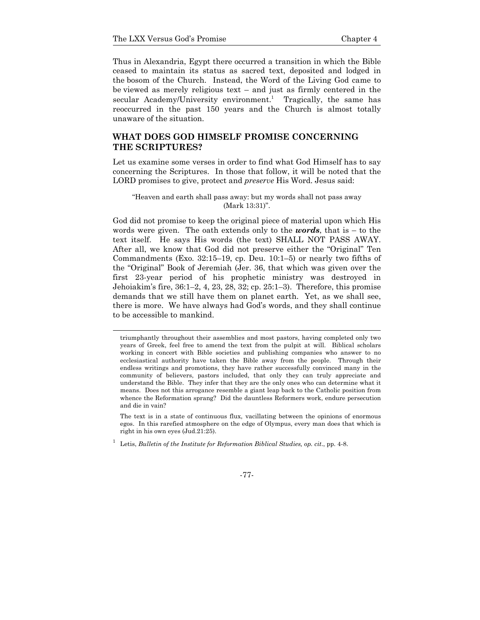Thus in Alexandria, Egypt there occurred a transition in which the Bible ceased to maintain its status as sacred text, deposited and lodged in the bosom of the Church. Instead, the Word of the Living God came to be viewed as merely religious text – and just as firmly centered in the secular Academy/University environment.<sup>1</sup> Tragically, the same has reoccurred in the past 150 years and the Church is almost totally unaware of the situation.

### **WHAT DOES GOD HIMSELF PROMISE CONCERNING THE SCRIPTURES?**

Let us examine some verses in order to find what God Himself has to say concerning the Scriptures. In those that follow, it will be noted that the LORD promises to give, protect and *preserve* His Word. Jesus said:

#### "Heaven and earth shall pass away: but my words shall not pass away (Mark 13:31)".

God did not promise to keep the original piece of material upon which His words were given. The oath extends only to the *words*, that is – to the text itself. He says His words (the text) SHALL NOT PASS AWAY. After all, we know that God did not preserve either the "Original" Ten Commandments (Exo. 32:15–19, cp. Deu. 10:1–5) or nearly two fifths of the "Original" Book of Jeremiah (Jer. 36, that which was given over the first 23-year period of his prophetic ministry was destroyed in Jehoiakim's fire, 36:1–2, 4, 23, 28, 32; cp. 25:1–3). Therefore, this promise demands that we still have them on planet earth. Yet, as we shall see, there is more. We have always had God's words, and they shall continue to be accessible to mankind.

1 Letis, *Bulletin of the Institute for Reformation Biblical Studies, op. cit*., pp. 4-8.

#### -77-

triumphantly throughout their assemblies and most pastors, having completed only two years of Greek, feel free to amend the text from the pulpit at will. Biblical scholars working in concert with Bible societies and publishing companies who answer to no ecclesiastical authority have taken the Bible away from the people. Through their endless writings and promotions, they have rather successfully convinced many in the community of believers, pastors included, that only they can truly appreciate and understand the Bible. They infer that they are the only ones who can determine what it means. Does not this arrogance resemble a giant leap back to the Catholic position from whence the Reformation sprang? Did the dauntless Reformers work, endure persecution and die in vain?

The text is in a state of continuous flux, vacillating between the opinions of enormous egos. In this rarefied atmosphere on the edge of Olympus, every man does that which is right in his own eyes (Jud.21:25).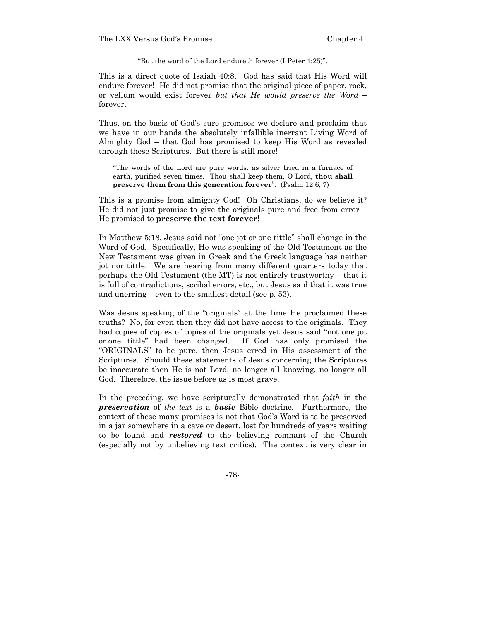"But the word of the Lord endureth forever (I Peter 1:25)".

This is a direct quote of Isaiah 40:8. God has said that His Word will endure forever! He did not promise that the original piece of paper, rock, or vellum would exist forever *but that He would preserve the Word* – forever.

Thus, on the basis of God's sure promises we declare and proclaim that we have in our hands the absolutely infallible inerrant Living Word of Almighty God – that God has promised to keep His Word as revealed through these Scriptures. But there is still more!

"The words of the Lord are pure words: as silver tried in a furnace of earth, purified seven times. Thou shall keep them, O Lord, **thou shall preserve them from this generation forever**". (Psalm 12:6, 7)

This is a promise from almighty God! Oh Christians, do we believe it? He did not just promise to give the originals pure and free from error – He promised to **preserve the text forever!**

In Matthew 5:18, Jesus said not "one jot or one tittle" shall change in the Word of God. Specifically, He was speaking of the Old Testament as the New Testament was given in Greek and the Greek language has neither jot nor tittle. We are hearing from many different quarters today that perhaps the Old Testament (the MT) is not entirely trustworthy – that it is full of contradictions, scribal errors, etc., but Jesus said that it was true and unerring – even to the smallest detail (see p. 53).

Was Jesus speaking of the "originals" at the time He proclaimed these truths? No, for even then they did not have access to the originals. They had copies of copies of copies of the originals yet Jesus said "not one jot or one tittle" had been changed. If God has only promised the "ORIGINALS" to be pure, then Jesus erred in His assessment of the Scriptures. Should these statements of Jesus concerning the Scriptures be inaccurate then He is not Lord, no longer all knowing, no longer all God. Therefore, the issue before us is most grave.

In the preceding, we have scripturally demonstrated that *faith* in the *preservation* of *the text* is a *basic* Bible doctrine*.* Furthermore, the context of these many promises is not that God's Word is to be preserved in a jar somewhere in a cave or desert, lost for hundreds of years waiting to be found and *restored* to the believing remnant of the Church (especially not by unbelieving text critics). The context is very clear in

-78-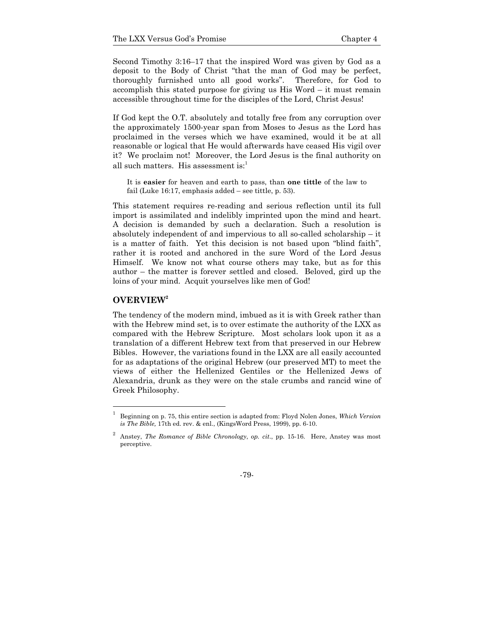Second Timothy 3:16–17 that the inspired Word was given by God as a deposit to the Body of Christ "that the man of God may be perfect, thoroughly furnished unto all good works". Therefore, for God to accomplish this stated purpose for giving us His Word – it must remain accessible throughout time for the disciples of the Lord, Christ Jesus!

If God kept the O.T. absolutely and totally free from any corruption over the approximately 1500-year span from Moses to Jesus as the Lord has proclaimed in the verses which we have examined, would it be at all reasonable or logical that He would afterwards have ceased His vigil over it? We proclaim not! Moreover, the Lord Jesus is the final authority on all such matters. His assessment is: $<sup>1</sup>$ </sup>

It is **easier** for heaven and earth to pass, than **one tittle** of the law to fail (Luke 16:17, emphasis added – see tittle, p. 53).

This statement requires re-reading and serious reflection until its full import is assimilated and indelibly imprinted upon the mind and heart. A decision is demanded by such a declaration. Such a resolution is absolutely independent of and impervious to all so-called scholarship – it is a matter of faith. Yet this decision is not based upon "blind faith", rather it is rooted and anchored in the sure Word of the Lord Jesus Himself. We know not what course others may take, but as for this author – the matter is forever settled and closed. Beloved, gird up the loins of your mind. Acquit yourselves like men of God!

### **OVERVIEW<sup>2</sup>**

l

The tendency of the modern mind, imbued as it is with Greek rather than with the Hebrew mind set, is to over estimate the authority of the LXX as compared with the Hebrew Scripture. Most scholars look upon it as a translation of a different Hebrew text from that preserved in our Hebrew Bibles. However, the variations found in the LXX are all easily accounted for as adaptations of the original Hebrew (our preserved MT) to meet the views of either the Hellenized Gentiles or the Hellenized Jews of Alexandria, drunk as they were on the stale crumbs and rancid wine of Greek Philosophy.

<sup>1</sup> Beginning on p. 75, this entire section is adapted from: Floyd Nolen Jones, *Which Version is The Bible,* 17th ed. rev. & enl., (KingsWord Press, 1999), pp. 6-10.

<sup>2</sup> Anstey, *The Romance of Bible Chronology*, *op. cit*., pp. 15-16. Here, Anstey was most perceptive.

<sup>-79-</sup>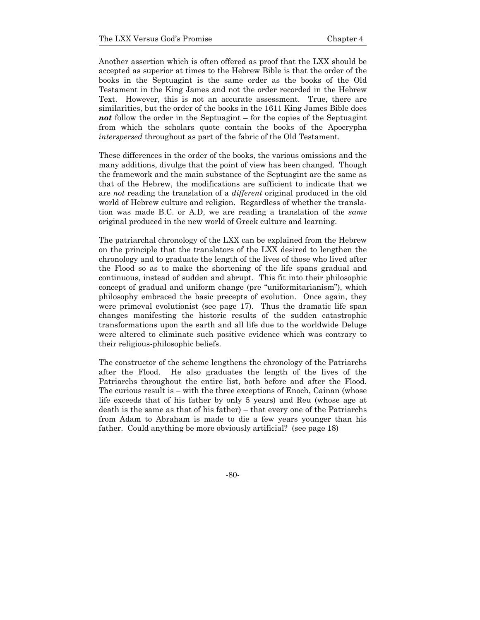Another assertion which is often offered as proof that the LXX should be accepted as superior at times to the Hebrew Bible is that the order of the books in the Septuagint is the same order as the books of the Old Testament in the King James and not the order recorded in the Hebrew Text. However, this is not an accurate assessment. True, there are similarities, but the order of the books in the 1611 King James Bible does *not* follow the order in the Septuagint – for the copies of the Septuagint from which the scholars quote contain the books of the Apocrypha *interspersed* throughout as part of the fabric of the Old Testament.

These differences in the order of the books, the various omissions and the many additions, divulge that the point of view has been changed. Though the framework and the main substance of the Septuagint are the same as that of the Hebrew, the modifications are sufficient to indicate that we are *not* reading the translation of a *different* original produced in the old world of Hebrew culture and religion. Regardless of whether the translation was made B.C. or A.D, we are reading a translation of the *same*  original produced in the new world of Greek culture and learning.

The patriarchal chronology of the LXX can be explained from the Hebrew on the principle that the translators of the LXX desired to lengthen the chronology and to graduate the length of the lives of those who lived after the Flood so as to make the shortening of the life spans gradual and continuous, instead of sudden and abrupt. This fit into their philosophic concept of gradual and uniform change (pre "uniformitarianism"), which philosophy embraced the basic precepts of evolution. Once again, they were primeval evolutionist (see page 17). Thus the dramatic life span changes manifesting the historic results of the sudden catastrophic transformations upon the earth and all life due to the worldwide Deluge were altered to eliminate such positive evidence which was contrary to their religious-philosophic beliefs.

The constructor of the scheme lengthens the chronology of the Patriarchs after the Flood. He also graduates the length of the lives of the Patriarchs throughout the entire list, both before and after the Flood. The curious result is – with the three exceptions of Enoch, Cainan (whose life exceeds that of his father by only 5 years) and Reu (whose age at death is the same as that of his father) – that every one of the Patriarchs from Adam to Abraham is made to die a few years younger than his father. Could anything be more obviously artificial? (see page 18)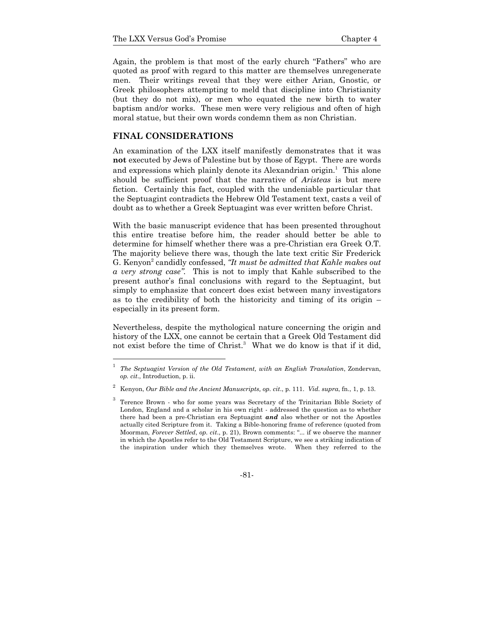Again, the problem is that most of the early church "Fathers" who are quoted as proof with regard to this matter are themselves unregenerate men. Their writings reveal that they were either Arian, Gnostic, or Greek philosophers attempting to meld that discipline into Christianity (but they do not mix), or men who equated the new birth to water baptism and/or works. These men were very religious and often of high moral statue, but their own words condemn them as non Christian.

### **FINAL CONSIDERATIONS**

1

An examination of the LXX itself manifestly demonstrates that it was **not** executed by Jews of Palestine but by those of Egypt. There are words and expressions which plainly denote its Alexandrian origin.<sup>1</sup> This alone should be sufficient proof that the narrative of *Aristeas* is but mere fiction. Certainly this fact, coupled with the undeniable particular that the Septuagint contradicts the Hebrew Old Testament text, casts a veil of doubt as to whether a Greek Septuagint was ever written before Christ.

With the basic manuscript evidence that has been presented throughout this entire treatise before him, the reader should better be able to determine for himself whether there was a pre-Christian era Greek O.T. The majority believe there was, though the late text critic Sir Frederick G. Kenyon<sup>2</sup> candidly confessed, "It must be admitted that Kahle makes out *a very strong case".* This is not to imply that Kahle subscribed to the present author's final conclusions with regard to the Septuagint, but simply to emphasize that concert does exist between many investigators as to the credibility of both the historicity and timing of its origin – especially in its present form.

Nevertheless, despite the mythological nature concerning the origin and history of the LXX, one cannot be certain that a Greek Old Testament did not exist before the time of Christ.<sup>3</sup> What we do know is that if it did,

<sup>3</sup> Terence Brown - who for some years was Secretary of the Trinitarian Bible Society of London, England and a scholar in his own right - addressed the question as to whether there had been a pre-Christian era Septuagint *and* also whether or not the Apostles actually cited Scripture from it. Taking a Bible-honoring frame of reference (quoted from Moorman, *Forever Settled*, *op. cit*., p. 21), Brown comments: "... if we observe the manner in which the Apostles refer to the Old Testament Scripture, we see a striking indication of the inspiration under which they themselves wrote. When they referred to the



<sup>1</sup> *The Septuagint Version of the Old Testament, with an English Translation*, Zondervan, *op. cit*., Introduction, p. ii.

<sup>2</sup> Kenyon, *Our Bible and the Ancient Manuscripts, op. cit*., p. 111. *Vid. supra*, fn., 1, p. 13.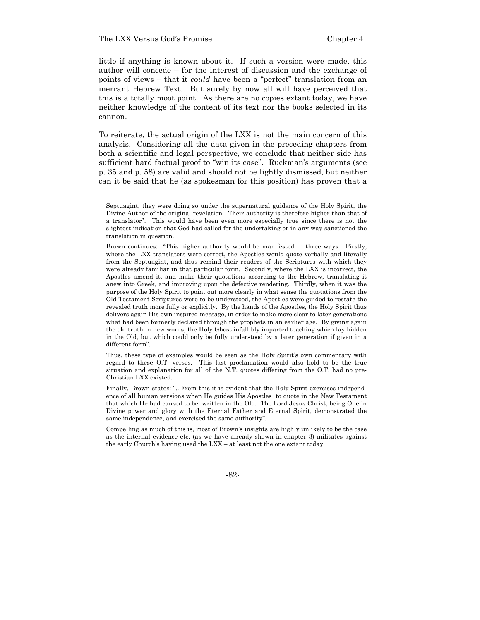little if anything is known about it. If such a version were made, this author will concede – for the interest of discussion and the exchange of points of views – that it *could* have been a "perfect" translation from an inerrant Hebrew Text. But surely by now all will have perceived that this is a totally moot point. As there are no copies extant today, we have neither knowledge of the content of its text nor the books selected in its cannon.

To reiterate, the actual origin of the LXX is not the main concern of this analysis. Considering all the data given in the preceding chapters from both a scientific and legal perspective, we conclude that neither side has sufficient hard factual proof to "win its case". Ruckman's arguments (see p. 35 and p. 58) are valid and should not be lightly dismissed, but neither can it be said that he (as spokesman for this position) has proven that a

 Thus, these type of examples would be seen as the Holy Spirit's own commentary with regard to these O.T. verses. This last proclamation would also hold to be the true situation and explanation for all of the N.T. quotes differing from the O.T. had no pre-Christian LXX existed.

 Finally, Brown states: "...From this it is evident that the Holy Spirit exercises independence of all human versions when He guides His Apostles to quote in the New Testament that which He had caused to be written in the Old. The Lord Jesus Christ, being One in Divine power and glory with the Eternal Father and Eternal Spirit, demonstrated the same independence, and exercised the same authority".

 Compelling as much of this is, most of Brown's insights are highly unlikely to be the case as the internal evidence etc. (as we have already shown in chapter 3) militates against the early Church's having used the LXX – at least not the one extant today.

-82-

Septuagint, they were doing so under the supernatural guidance of the Holy Spirit, the Divine Author of the original revelation. Their authority is therefore higher than that of a translator". This would have been even more especially true since there is not the slightest indication that God had called for the undertaking or in any way sanctioned the translation in question.

Brown continues: "This higher authority would be manifested in three ways. Firstly, where the LXX translators were correct, the Apostles would quote verbally and literally from the Septuagint, and thus remind their readers of the Scriptures with which they were already familiar in that particular form. Secondly, where the LXX is incorrect, the Apostles amend it, and make their quotations according to the Hebrew, translating it anew into Greek, and improving upon the defective rendering. Thirdly, when it was the purpose of the Holy Spirit to point out more clearly in what sense the quotations from the Old Testament Scriptures were to be understood, the Apostles were guided to restate the revealed truth more fully or explicitly. By the hands of the Apostles, the Holy Spirit thus delivers again His own inspired message, in order to make more clear to later generations what had been formerly declared through the prophets in an earlier age. By giving again the old truth in new words, the Holy Ghost infallibly imparted teaching which lay hidden in the Old, but which could only be fully understood by a later generation if given in a different form".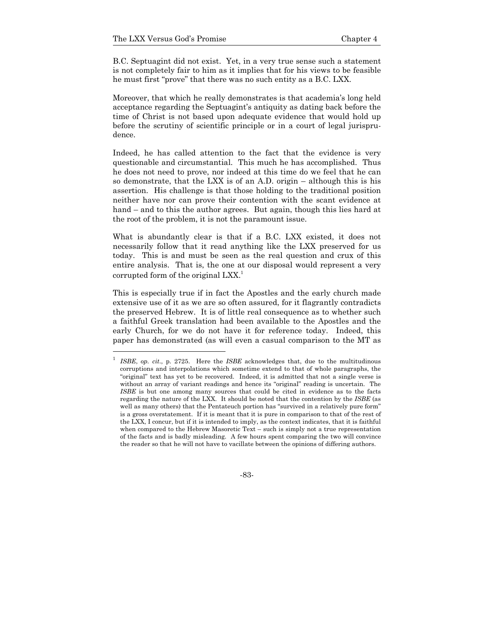B.C. Septuagint did not exist. Yet, in a very true sense such a statement is not completely fair to him as it implies that for his views to be feasible he must first "prove" that there was no such entity as a B.C. LXX.

Moreover, that which he really demonstrates is that academia's long held acceptance regarding the Septuagint's antiquity as dating back before the time of Christ is not based upon adequate evidence that would hold up before the scrutiny of scientific principle or in a court of legal jurisprudence.

Indeed, he has called attention to the fact that the evidence is very questionable and circumstantial. This much he has accomplished. Thus he does not need to prove, nor indeed at this time do we feel that he can so demonstrate, that the LXX is of an A.D. origin – although this is his assertion. His challenge is that those holding to the traditional position neither have nor can prove their contention with the scant evidence at hand – and to this the author agrees. But again, though this lies hard at the root of the problem, it is not the paramount issue.

What is abundantly clear is that if a B.C. LXX existed, it does not necessarily follow that it read anything like the LXX preserved for us today. This is and must be seen as the real question and crux of this entire analysis. That is, the one at our disposal would represent a very corrupted form of the original  $LXX$ <sup>1</sup>

This is especially true if in fact the Apostles and the early church made extensive use of it as we are so often assured, for it flagrantly contradicts the preserved Hebrew. It is of little real consequence as to whether such a faithful Greek translation had been available to the Apostles and the early Church, for we do not have it for reference today. Indeed, this paper has demonstrated (as will even a casual comparison to the MT as

-83-

<sup>1</sup> *ISBE*, *op. cit*., p. 2725. Here the *ISBE* acknowledges that, due to the multitudinous corruptions and interpolations which sometime extend to that of whole paragraphs, the "original" text has yet to be recovered. Indeed, it is admitted that not a single verse is without an array of variant readings and hence its "original" reading is uncertain. The *ISBE* is but one among many sources that could be cited in evidence as to the facts regarding the nature of the LXX. It should be noted that the contention by the *ISBE* (as well as many others) that the Pentateuch portion has "survived in a relatively pure form" is a gross overstatement. If it is meant that it is pure in comparison to that of the rest of the LXX, I concur, but if it is intended to imply, as the context indicates, that it is faithful when compared to the Hebrew Masoretic Text – such is simply not a true representation of the facts and is badly misleading. A few hours spent comparing the two will convince the reader so that he will not have to vacillate between the opinions of differing authors.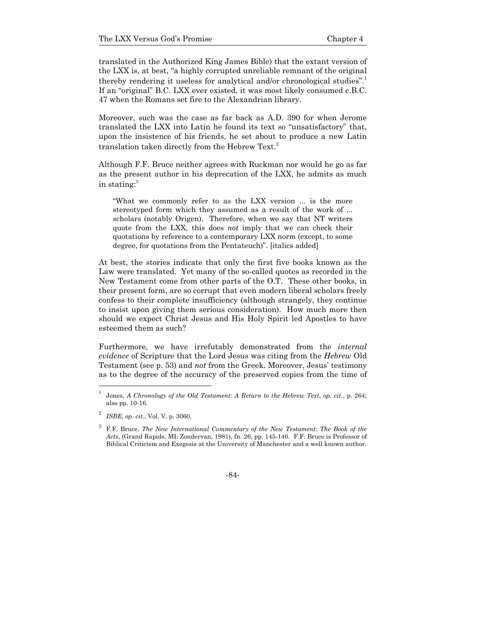translated in the Authorized King James Bible) that the extant version of the LXX is, at best, "a highly corrupted unreliable remnant of the original thereby rendering it useless for analytical and/or chronological studies".<sup>1</sup> If an "original" B.C. LXX ever existed, it was most likely consumed c.B.C. 47 when the Romans set fire to the Alexandrian library.

Moreover, such was the case as far back as A.D. 390 for when Jerome translated the LXX into Latin he found its text so "unsatisfactory" that, upon the insistence of his friends, he set about to produce a new Latin translation taken directly from the Hebrew Text.<sup>2</sup>

Although F.F. Bruce neither agrees with Ruckman nor would he go as far as the present author in his deprecation of the LXX, he admits as much in stating:<sup>3</sup>

"What we commonly refer to as the LXX version ... is the more stereotyped form which they assumed as a result of the work of ... scholars (notably Origen). Therefore, when we say that NT writers quote from the LXX, this does *not* imply that we can check their quotations by reference to a contemporary LXX norm (except, to some degree, for quotations from the Pentateuch)". [italics added]

At best, the stories indicate that only the first five books known as the Law were translated. Yet many of the so-called quotes as recorded in the New Testament come from other parts of the O.T. These other books, in their present form, are so corrupt that even modern liberal scholars freely confess to their complete insufficiency (although strangely, they continue to insist upon giving them serious consideration). How much more then should we expect Christ Jesus and His Holy Spirit led Apostles to have esteemed them as such?

Furthermore, we have irrefutably demonstrated from the *internal evidence* of Scripture that the Lord Jesus was citing from the *Hebrew* Old Testament (see p. 53) and *not* from the Greek. Moreover, Jesus' testimony as to the degree of the accuracy of the preserved copies from the time of

1

<sup>1</sup> Jones, *A Chronology of the Old Testament: A Return to the Hebrew Text*, *op. cit*., p. 264; also pp. 10-16.

<sup>2</sup> *ISBE*, *op. cit*., Vol. V, p. 3060.

<sup>3</sup> F.F. Bruce, *The New International Commentary of the New Testament*: *The Book of the Acts*, (Grand Rapids, MI: Zondervan, 1981), fn. 26, pp. 145-146. F.F. Bruce is Professor of Biblical Criticism and Exegesis at the University of Manchester and a well known author.

<sup>-84-</sup>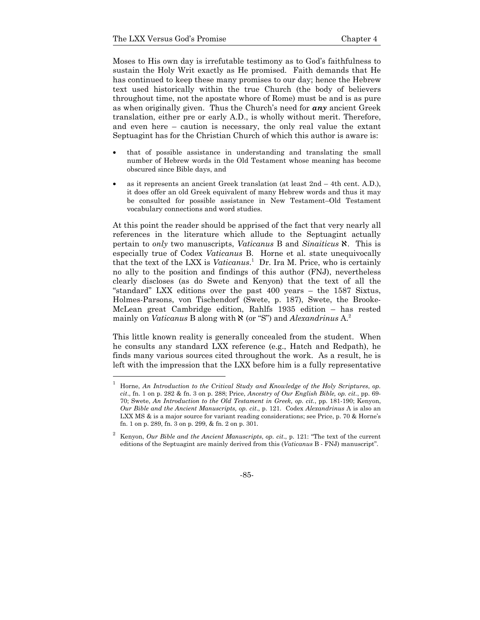Moses to His own day is irrefutable testimony as to God's faithfulness to sustain the Holy Writ exactly as He promised. Faith demands that He has continued to keep these many promises to our day; hence the Hebrew text used historically within the true Church (the body of believers throughout time, not the apostate whore of Rome) must be and is as pure as when originally given. Thus the Church's need for *any* ancient Greek translation, either pre or early A.D., is wholly without merit. Therefore, and even here – caution is necessary, the only real value the extant Septuagint has for the Christian Church of which this author is aware is:

- that of possible assistance in understanding and translating the small number of Hebrew words in the Old Testament whose meaning has become obscured since Bible days, and
- as it represents an ancient Greek translation (at least 2nd 4th cent. A.D.), it does offer an old Greek equivalent of many Hebrew words and thus it may be consulted for possible assistance in New Testament–Old Testament vocabulary connections and word studies.

At this point the reader should be apprised of the fact that very nearly all references in the literature which allude to the Septuagint actually pertain to *only* two manuscripts, *Vaticanus* B and *Sinaiticus*  $\aleph$ . This is especially true of Codex *Vaticanus* B. Horne et al. state unequivocally that the text of the LXX is *Vaticanus*. 1 Dr. Ira M. Price, who is certainly no ally to the position and findings of this author (FNJ), nevertheless clearly discloses (as do Swete and Kenyon) that the text of all the "standard" LXX editions over the past 400 years – the 1587 Sixtus, Holmes-Parsons, von Tischendorf (Swete, p. 187), Swete, the Brooke-McLean great Cambridge edition, Rahlfs 1935 edition – has rested mainly on *Vaticanus* B along with  $\aleph$  (or "S") and *Alexandrinus* A.<sup>2</sup>

This little known reality is generally concealed from the student. When he consults any standard LXX reference (e.g., Hatch and Redpath), he finds many various sources cited throughout the work. As a result, he is left with the impression that the LXX before him is a fully representative

<sup>1</sup> Horne, *An Introduction to the Critical Study and Knowledge of the Holy Scriptures*, *op. cit*., fn. 1 on p. 282 & fn. 3 on p. 288; Price, *Ancestry of Our English Bible, op. cit.*, pp. 69- 70; Swete, *An Introduction to the Old Testament in Greek, op. cit.*, pp. 181-190; Kenyon, *Our Bible and the Ancient Manuscripts, op. cit*., p. 121. Codex *Alexandrinus* A is also an LXX MS & is a major source for variant reading considerations; see Price, p. 70 & Horne's fn. 1 on p. 289, fn. 3 on p. 299, & fn. 2 on p. 301.

<sup>2</sup> Kenyon, *Our Bible and the Ancient Manuscripts*, *op. cit*., p. 121: "The text of the current editions of the Septuagint are mainly derived from this (*Vaticanus* B - FNJ) manuscript".

<sup>-85-</sup>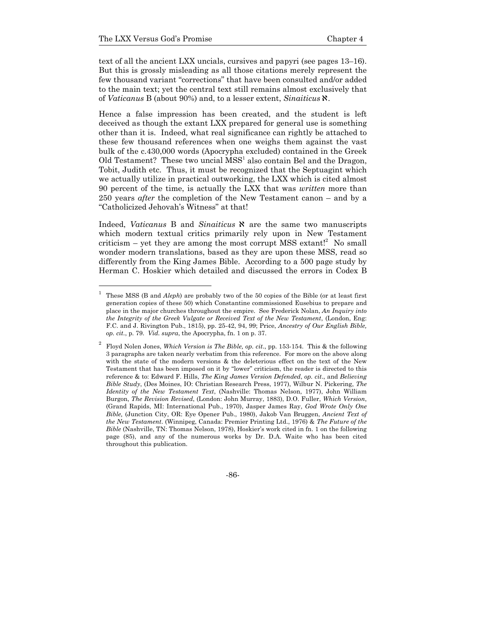text of all the ancient LXX uncials, cursives and papyri (see pages 13–16). But this is grossly misleading as all those citations merely represent the few thousand variant "corrections" that have been consulted and/or added to the main text; yet the central text still remains almost exclusively that of *Vaticanus* B (about 90%) and, to a lesser extent, *Sinaiticus* a.

Hence a false impression has been created, and the student is left deceived as though the extant LXX prepared for general use is something other than it is. Indeed, what real significance can rightly be attached to these few thousand references when one weighs them against the vast bulk of the c.430,000 words (Apocrypha excluded) contained in the Greek Old Testament? These two uncial  $MSS<sup>1</sup>$  also contain Bel and the Dragon, Tobit, Judith etc. Thus, it must be recognized that the Septuagint which we actually utilize in practical outworking, the LXX which is cited almost 90 percent of the time, is actually the LXX that was *written* more than 250 years *after* the completion of the New Testament canon – and by a "Catholicized Jehovah's Witness" at that!

Indeed, *Vaticanus* B and *Sinaiticus*  $\aleph$  are the same two manuscripts which modern textual critics primarily rely upon in New Testament criticism  $-$  yet they are among the most corrupt MSS extant!<sup>2</sup> No small wonder modern translations, based as they are upon these MSS, read so differently from the King James Bible. According to a 500 page study by Herman C. Hoskier which detailed and discussed the errors in Codex B

<sup>2</sup> Floyd Nolen Jones, *Which Version is The Bible, op. cit*., pp. 153-154. This & the following 3 paragraphs are taken nearly verbatim from this reference. For more on the above along with the state of the modern versions & the deleterious effect on the text of the New Testament that has been imposed on it by "lower" criticism, the reader is directed to this reference & to: Edward F. Hills, *The King James Version Defended*, *op. cit*., and *Believing Bible Study*, (Des Moines, IO: Christian Research Press, 1977), Wilbur N. Pickering, *The Identity of the New Testament Text*, (Nashville: Thomas Nelson, 1977), John William Burgon, *The Revision Revised*, (London: John Murray, 1883), D.O. Fuller, *Which Version*, (Grand Rapids, MI: International Pub., 1970), Jasper James Ray, *God Wrote Only One Bible,* (Junction City, OR: Eye Opener Pub., 1980), Jakob Van Bruggen, *Ancient Text of the New Testament*. (Winnipeg, Canada: Premier Printing Ltd., 1976) & *The Future of the Bible* (Nashville, TN: Thomas Nelson, 1978), Hoskier's work cited in fn. 1 on the following page (85), and any of the numerous works by Dr. D.A. Waite who has been cited throughout this publication.



<sup>1</sup> These MSS (B and *Aleph*) are probably two of the 50 copies of the Bible (or at least first generation copies of these 50) which Constantine commissioned Eusebius to prepare and place in the major churches throughout the empire. See Frederick Nolan, *An Inquiry into the Integrity of the Greek Vulgate or Received Text of the New Testament*, (London, Eng: F.C. and J. Rivington Pub., 1815), pp. 25-42, 94, 99; Price, *Ancestry of Our English Bible, op. cit.*, p. 79. *Vid. supra*, the Apocrypha, fn. 1 on p. 37.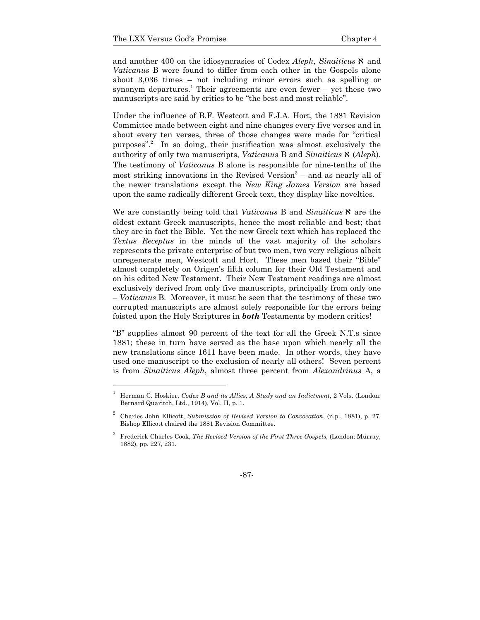and another 400 on the idiosyncrasies of Codex *Aleph*, *Sinaiticus*  $\aleph$  and *Vaticanus* B were found to differ from each other in the Gospels alone about 3,036 times – not including minor errors such as spelling or synonym departures.<sup>1</sup> Their agreements are even fewer  $-$  yet these two manuscripts are said by critics to be "the best and most reliable".

Under the influence of B.F. Westcott and F.J.A. Hort, the 1881 Revision Committee made between eight and nine changes every five verses and in about every ten verses, three of those changes were made for "critical purposes".<sup>2</sup> In so doing, their justification was almost exclusively the authority of only two manuscripts, *Vaticanus* B and *Sinaiticus*  $\aleph$  (*Aleph*). The testimony of *Vaticanus* B alone is responsible for nine-tenths of the most striking innovations in the Revised Version $3$  – and as nearly all of the newer translations except the *New King James Version* are based upon the same radically different Greek text, they display like novelties.

We are constantly being told that *Vaticanus* B and *Sinaiticus*  $\aleph$  are the oldest extant Greek manuscripts, hence the most reliable and best; that they are in fact the Bible. Yet the new Greek text which has replaced the *Textus Receptus* in the minds of the vast majority of the scholars represents the private enterprise of but two men, two very religious albeit unregenerate men, Westcott and Hort. These men based their "Bible" almost completely on Origen's fifth column for their Old Testament and on his edited New Testament. Their New Testament readings are almost exclusively derived from only five manuscripts, principally from only one – *Vaticanus* B. Moreover, it must be seen that the testimony of these two corrupted manuscripts are almost solely responsible for the errors being foisted upon the Holy Scriptures in *both* Testaments by modern critics!

"B" supplies almost 90 percent of the text for all the Greek N.T.s since 1881; these in turn have served as the base upon which nearly all the new translations since 1611 have been made. In other words, they have used one manuscript to the exclusion of nearly all others! Seven percent is from *Sinaiticus Aleph*, almost three percent from *Alexandrinus* A, a

<sup>1</sup> Herman C. Hoskier, *Codex B and its Allies, A Study and an Indictment*, 2 Vols. (London: Bernard Quaritch, Ltd., 1914), Vol. II, p. 1.

<sup>2</sup> Charles John Ellicott, *Submission of Revised Version to Convocation*, (n.p., 1881), p. 27. Bishop Ellicott chaired the 1881 Revision Committee.

<sup>3</sup> Frederick Charles Cook, *The Revised Version of the First Three Gospels*, (London: Murray, 1882), pp. 227, 231.

<sup>-87-</sup>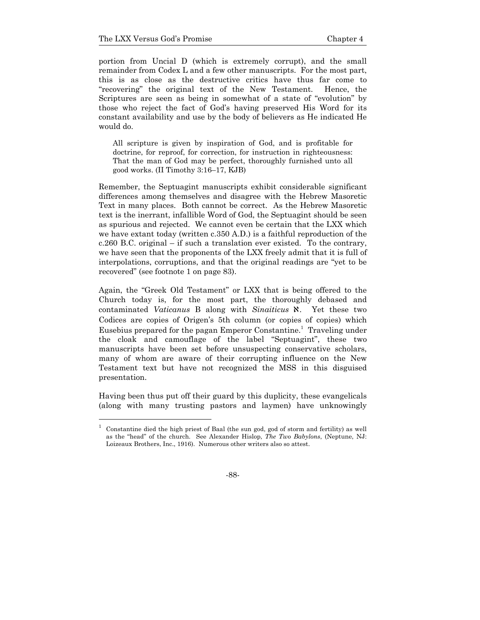1

portion from Uncial D (which is extremely corrupt), and the small remainder from Codex L and a few other manuscripts. For the most part, this is as close as the destructive critics have thus far come to "recovering" the original text of the New Testament. Hence, the Scriptures are seen as being in somewhat of a state of "evolution" by those who reject the fact of God's having preserved His Word for its constant availability and use by the body of believers as He indicated He would do.

All scripture is given by inspiration of God, and is profitable for doctrine, for reproof, for correction, for instruction in righteousness: That the man of God may be perfect, thoroughly furnished unto all good works. (II Timothy 3:16–17, KJB)

Remember, the Septuagint manuscripts exhibit considerable significant differences among themselves and disagree with the Hebrew Masoretic Text in many places. Both cannot be correct. As the Hebrew Masoretic text is the inerrant, infallible Word of God, the Septuagint should be seen as spurious and rejected. We cannot even be certain that the LXX which we have extant today (written c.350 A.D.) is a faithful reproduction of the c.260 B.C. original – if such a translation ever existed. To the contrary, we have seen that the proponents of the LXX freely admit that it is full of interpolations, corruptions, and that the original readings are "yet to be recovered" (see footnote 1 on page 83).

Again, the "Greek Old Testament" or LXX that is being offered to the Church today is, for the most part, the thoroughly debased and contaminated *Vaticanus* B along with *Sinaiticus*  $\aleph$ . Yet these two Codices are copies of Origen's 5th column (or copies of copies) which Eusebius prepared for the pagan Emperor Constantine.<sup>1</sup> Traveling under the cloak and camouflage of the label "Septuagint", these two manuscripts have been set before unsuspecting conservative scholars, many of whom are aware of their corrupting influence on the New Testament text but have not recognized the MSS in this disguised presentation.

Having been thus put off their guard by this duplicity, these evangelicals (along with many trusting pastors and laymen) have unknowingly

<sup>1</sup> Constantine died the high priest of Baal (the sun god, god of storm and fertility) as well as the "head" of the church. See Alexander Hislop, *The Two Babylons*, (Neptune, NJ: Loizeaux Brothers, Inc., 1916). Numerous other writers also so attest.

<sup>-88-</sup>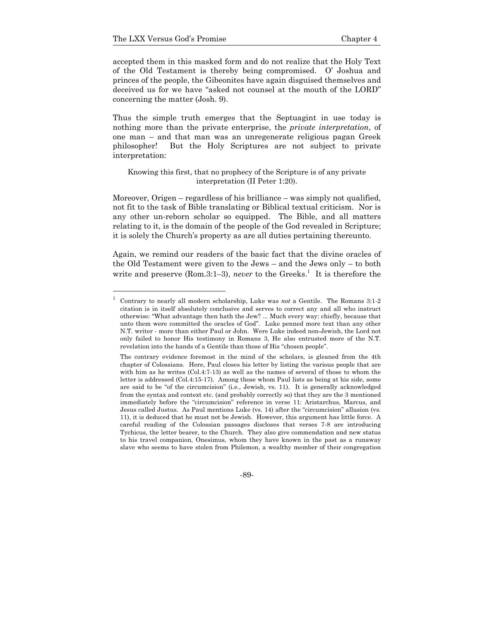accepted them in this masked form and do not realize that the Holy Text of the Old Testament is thereby being compromised. O' Joshua and princes of the people, the Gibeonites have again disguised themselves and deceived us for we have "asked not counsel at the mouth of the LORD" concerning the matter (Josh. 9).

Thus the simple truth emerges that the Septuagint in use today is nothing more than the private enterprise, the *private interpretation*, of one man – and that man was an unregenerate religious pagan Greek philosopher! But the Holy Scriptures are not subject to private interpretation:

### Knowing this first, that no prophecy of the Scripture is of any private interpretation (II Peter 1:20).

Moreover, Origen – regardless of his brilliance – was simply not qualified, not fit to the task of Bible translating or Biblical textual criticism. Nor is any other un-reborn scholar so equipped. The Bible, and all matters relating to it, is the domain of the people of the God revealed in Scripture; it is solely the Church's property as are all duties pertaining thereunto.

Again, we remind our readers of the basic fact that the divine oracles of the Old Testament were given to the Jews – and the Jews only – to both write and preserve (Rom.3:1–3), *never* to the Greeks.<sup>1</sup> It is therefore the

-89-

<sup>1</sup> Contrary to nearly all modern scholarship, Luke was *not* a Gentile. The Romans 3:1-2 citation is in itself absolutely conclusive and serves to correct any and all who instruct otherwise: "What advantage then hath the Jew? ... Much every way: chiefly, because that unto them were committed the oracles of God". Luke penned more text than any other N.T. writer - more than either Paul or John. Were Luke indeed non-Jewish, the Lord not only failed to honor His testimony in Romans 3, He also entrusted more of the N.T. revelation into the hands of a Gentile than those of His "chosen people".

The contrary evidence foremost in the mind of the scholars, is gleaned from the 4th chapter of Colossians. Here, Paul closes his letter by listing the various people that are with him as he writes  $(Col.4:7-13)$  as well as the names of several of those to whom the letter is addressed (Col.4:15-17). Among those whom Paul lists as being at his side, some are said to be "of the circumcision" (i.e., Jewish, vs. 11). It is generally acknowledged from the syntax and context etc. (and probably correctly so) that they are the 3 mentioned immediately before the "circumcision" reference in verse 11: Aristarchus, Marcus, and Jesus called Justus. As Paul mentions Luke (vs. 14) after the "circumcision" allusion (vs. 11), it is deduced that he must not be Jewish. However, this argument has little force. A careful reading of the Colossian passages discloses that verses 7-8 are introducing Tychicus, the letter bearer, to the Church. They also give commendation and new status to his travel companion, Onesimus, whom they have known in the past as a runaway slave who seems to have stolen from Philemon, a wealthy member of their congregation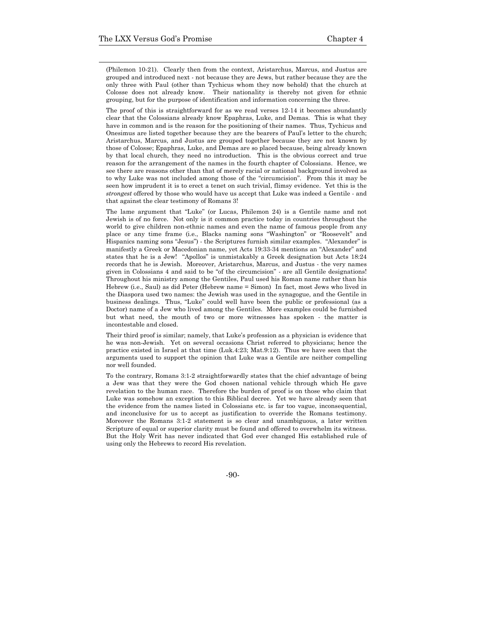1

(Philemon 10-21). Clearly then from the context, Aristarchus, Marcus, and Justus are grouped and introduced next - not because they are Jews, but rather because they are the only three with Paul (other than Tychicus whom they now behold) that the church at Colosse does not already know. Their nationality is thereby not given for ethnic grouping, but for the purpose of identification and information concerning the three.

The proof of this is straightforward for as we read verses 12-14 it becomes abundantly clear that the Colossians already know Epaphras, Luke, and Demas. This is what they have in common and is the reason for the positioning of their names. Thus, Tychicus and Onesimus are listed together because they are the bearers of Paul's letter to the church; Aristarchus, Marcus, and Justus are grouped together because they are not known by those of Colosse; Epaphras, Luke, and Demas are so placed because, being already known by that local church, they need no introduction. This is the obvious correct and true reason for the arrangement of the names in the fourth chapter of Colossians. Hence, we see there are reasons other than that of merely racial or national background involved as to why Luke was not included among those of the "circumcision". From this it may be seen how imprudent it is to erect a tenet on such trivial, flimsy evidence. Yet this is the *strongest* offered by those who would have us accept that Luke was indeed a Gentile - and that against the clear testimony of Romans 3!

 The lame argument that "Luke" (or Lucas, Philemon 24) is a Gentile name and not Jewish is of no force. Not only is it common practice today in countries throughout the world to give children non-ethnic names and even the name of famous people from any place or any time frame (i.e., Blacks naming sons "Washington" or "Roosevelt" and Hispanics naming sons "Jesus") - the Scriptures furnish similar examples. "Alexander" is manifestly a Greek or Macedonian name, yet Acts 19:33-34 mentions an "Alexander" and states that he is a Jew! "Apollos" is unmistakably a Greek designation but Acts 18:24 records that he is Jewish. Moreover, Aristarchus, Marcus, and Justus - the very names given in Colossians 4 and said to be "of the circumcision" - are all Gentile designations! Throughout his ministry among the Gentiles, Paul used his Roman name rather than his Hebrew (i.e., Saul) as did Peter (Hebrew name = Simon) In fact, most Jews who lived in the Diaspora used two names: the Jewish was used in the synagogue, and the Gentile in business dealings. Thus, "Luke" could well have been the public or professional (as a Doctor) name of a Jew who lived among the Gentiles. More examples could be furnished but what need, the mouth of two or more witnesses has spoken - the matter is incontestable and closed.

 Their third proof is similar; namely, that Luke's profession as a physician is evidence that he was non-Jewish. Yet on several occasions Christ referred to physicians; hence the practice existed in Israel at that time (Luk.4:23; Mat.9:12). Thus we have seen that the arguments used to support the opinion that Luke was a Gentile are neither compelling nor well founded.

 To the contrary, Romans 3:1-2 straightforwardly states that the chief advantage of being a Jew was that they were the God chosen national vehicle through which He gave revelation to the human race. Therefore the burden of proof is on those who claim that Luke was somehow an exception to this Biblical decree. Yet we have already seen that the evidence from the names listed in Colossians etc. is far too vague, inconsequential, and inconclusive for us to accept as justification to override the Romans testimony. Moreover the Romans 3:1-2 statement is so clear and unambiguous, a later written Scripture of equal or superior clarity must be found and offered to overwhelm its witness. But the Holy Writ has never indicated that God ever changed His established rule of using only the Hebrews to record His revelation.

-90-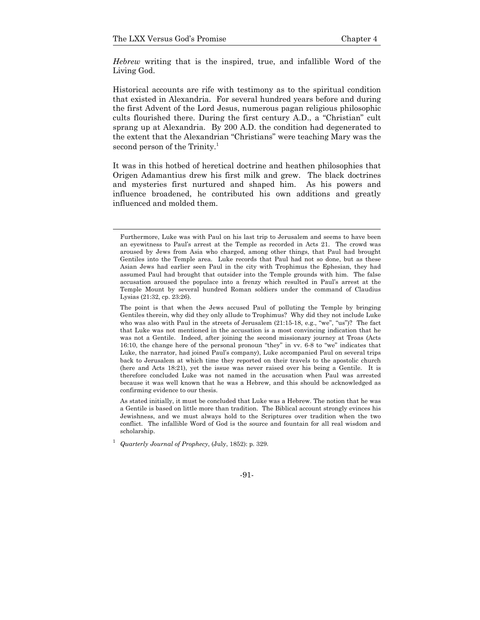*Hebrew* writing that is the inspired, true, and infallible Word of the Living God.

Historical accounts are rife with testimony as to the spiritual condition that existed in Alexandria. For several hundred years before and during the first Advent of the Lord Jesus, numerous pagan religious philosophic cults flourished there. During the first century A.D., a "Christian" cult sprang up at Alexandria. By 200 A.D. the condition had degenerated to the extent that the Alexandrian "Christians" were teaching Mary was the second person of the Trinity.<sup>1</sup>

It was in this hotbed of heretical doctrine and heathen philosophies that Origen Adamantius drew his first milk and grew. The black doctrines and mysteries first nurtured and shaped him. As his powers and influence broadened, he contributed his own additions and greatly influenced and molded them.

<sup>1</sup> *Quarterly Journal of Prophecy*, (July, 1852): p. 329.

Furthermore, Luke was with Paul on his last trip to Jerusalem and seems to have been an eyewitness to Paul's arrest at the Temple as recorded in Acts 21. The crowd was aroused by Jews from Asia who charged, among other things, that Paul had brought Gentiles into the Temple area. Luke records that Paul had not so done, but as these Asian Jews had earlier seen Paul in the city with Trophimus the Ephesian, they had assumed Paul had brought that outsider into the Temple grounds with him. The false accusation aroused the populace into a frenzy which resulted in Paul's arrest at the Temple Mount by several hundred Roman soldiers under the command of Claudius Lysias (21:32, cp. 23:26).

The point is that when the Jews accused Paul of polluting the Temple by bringing Gentiles therein, why did they only allude to Trophimus? Why did they not include Luke who was also with Paul in the streets of Jerusalem (21:15-18, e.g., "we", "us")? The fact that Luke was not mentioned in the accusation is a most convincing indication that he was not a Gentile. Indeed, after joining the second missionary journey at Troas (Acts 16:10, the change here of the personal pronoun "they" in vv. 6-8 to "we" indicates that Luke, the narrator, had joined Paul's company), Luke accompanied Paul on several trips back to Jerusalem at which time they reported on their travels to the apostolic church (here and Acts 18:21), yet the issue was never raised over his being a Gentile. It is therefore concluded Luke was not named in the accusation when Paul was arrested because it was well known that he was a Hebrew, and this should be acknowledged as confirming evidence to our thesis.

As stated initially, it must be concluded that Luke was a Hebrew. The notion that he was a Gentile is based on little more than tradition. The Biblical account strongly evinces his Jewishness, and we must always hold to the Scriptures over tradition when the two conflict. The infallible Word of God is the source and fountain for all real wisdom and scholarship.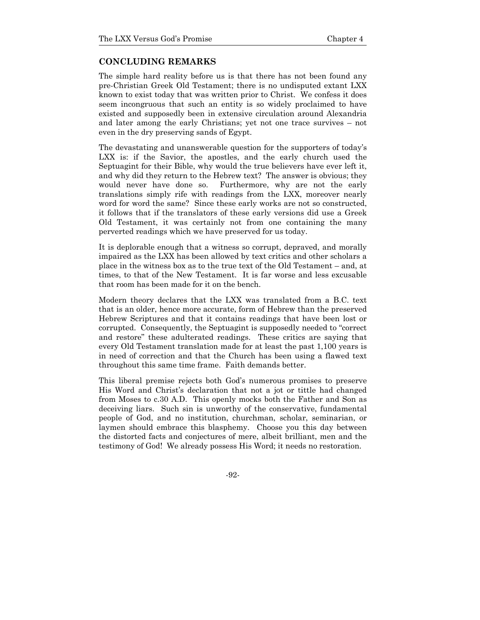### **CONCLUDING REMARKS**

The simple hard reality before us is that there has not been found any pre-Christian Greek Old Testament; there is no undisputed extant LXX known to exist today that was written prior to Christ. We confess it does seem incongruous that such an entity is so widely proclaimed to have existed and supposedly been in extensive circulation around Alexandria and later among the early Christians; yet not one trace survives – not even in the dry preserving sands of Egypt.

The devastating and unanswerable question for the supporters of today's LXX is: if the Savior, the apostles, and the early church used the Septuagint for their Bible, why would the true believers have ever left it, and why did they return to the Hebrew text? The answer is obvious; they would never have done so. Furthermore, why are not the early translations simply rife with readings from the LXX, moreover nearly word for word the same? Since these early works are not so constructed, it follows that if the translators of these early versions did use a Greek Old Testament, it was certainly not from one containing the many perverted readings which we have preserved for us today.

It is deplorable enough that a witness so corrupt, depraved, and morally impaired as the LXX has been allowed by text critics and other scholars a place in the witness box as to the true text of the Old Testament – and, at times, to that of the New Testament. It is far worse and less excusable that room has been made for it on the bench.

Modern theory declares that the LXX was translated from a B.C. text that is an older, hence more accurate, form of Hebrew than the preserved Hebrew Scriptures and that it contains readings that have been lost or corrupted. Consequently, the Septuagint is supposedly needed to "correct and restore" these adulterated readings. These critics are saying that every Old Testament translation made for at least the past 1,100 years is in need of correction and that the Church has been using a flawed text throughout this same time frame. Faith demands better.

This liberal premise rejects both God's numerous promises to preserve His Word and Christ's declaration that not a jot or tittle had changed from Moses to c.30 A.D. This openly mocks both the Father and Son as deceiving liars. Such sin is unworthy of the conservative, fundamental people of God, and no institution, churchman, scholar, seminarian, or laymen should embrace this blasphemy. Choose you this day between the distorted facts and conjectures of mere, albeit brilliant, men and the testimony of God! We already possess His Word; it needs no restoration.

-92-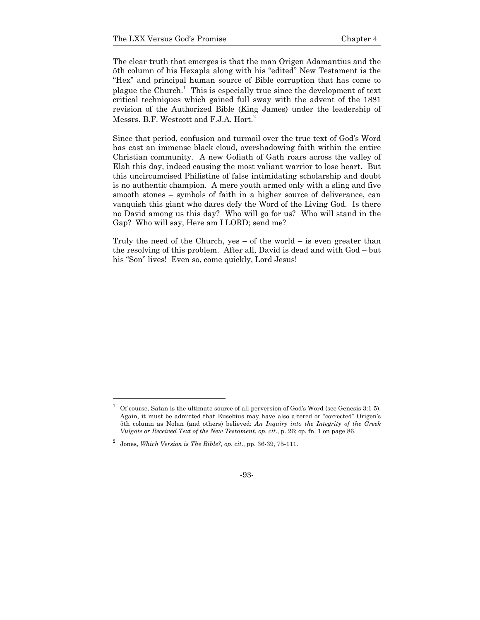The clear truth that emerges is that the man Origen Adamantius and the 5th column of his Hexapla along with his "edited" New Testament is the "Hex" and principal human source of Bible corruption that has come to plague the Church.<sup>1</sup> This is especially true since the development of text critical techniques which gained full sway with the advent of the 1881 revision of the Authorized Bible (King James) under the leadership of Messrs. B.F. Westcott and F.J.A. Hort.<sup>2</sup>

Since that period, confusion and turmoil over the true text of God's Word has cast an immense black cloud, overshadowing faith within the entire Christian community. A new Goliath of Gath roars across the valley of Elah this day, indeed causing the most valiant warrior to lose heart. But this uncircumcised Philistine of false intimidating scholarship and doubt is no authentic champion. A mere youth armed only with a sling and five smooth stones – symbols of faith in a higher source of deliverance, can vanquish this giant who dares defy the Word of the Living God. Is there no David among us this day? Who will go for us? Who will stand in the Gap? Who will say, Here am I LORD; send me?

Truly the need of the Church, yes  $-$  of the world  $-$  is even greater than the resolving of this problem. After all, David is dead and with God – but his "Son" lives! Even so, come quickly, Lord Jesus!

l

<sup>1</sup> Of course, Satan is the ultimate source of all perversion of God's Word (see Genesis 3:1-5). Again, it must be admitted that Eusebius may have also altered or "corrected" Origen's 5th column as Nolan (and others) believed: *An Inquiry into the Integrity of the Greek Vulgate or Received Text of the New Testament*, *op. cit*., p. 26; cp. fn. 1 on page 86.

<sup>2</sup> Jones, *Which Version is The Bible?*, *op. cit*., pp. 36-39, 75-111.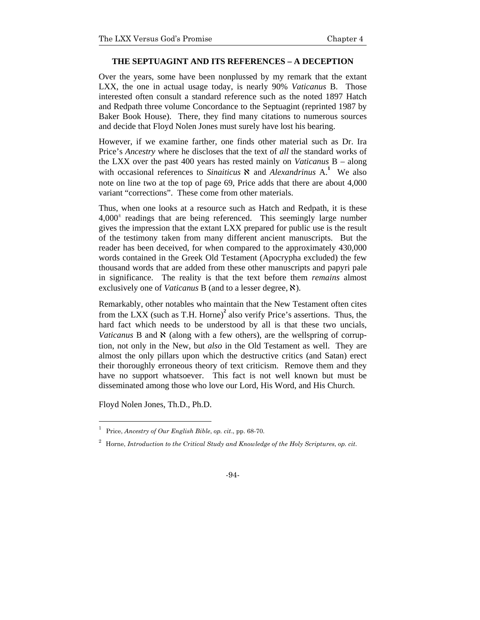#### **THE SEPTUAGINT AND ITS REFERENCES – A DECEPTION**

Over the years, some have been nonplussed by my remark that the extant LXX, the one in actual usage today, is nearly 90% *Vaticanus* B. Those interested often consult a standard reference such as the noted 1897 Hatch and Redpath three volume Concordance to the Septuagint (reprinted 1987 by Baker Book House). There, they find many citations to numerous sources and decide that Floyd Nolen Jones must surely have lost his bearing.

However, if we examine farther, one finds other material such as Dr. Ira Price's *Ancestry* where he discloses that the text of *all* the standard works of the LXX over the past 400 years has rested mainly on *Vaticanus* B – along with occasional references to *Sinaiticus*  $\aleph$  and *Alexandrinus* A.<sup>1</sup> We also note on line two at the top of page 69, Price adds that there are about 4,000 variant "corrections". These come from other materials.

Thus, when one looks at a resource such as Hatch and Redpath, it is these  $4,000<sup>±</sup>$  readings that are being referenced. This seemingly large number gives the impression that the extant LXX prepared for public use is the result of the testimony taken from many different ancient manuscripts. But the reader has been deceived, for when compared to the approximately 430,000 words contained in the Greek Old Testament (Apocrypha excluded) the few thousand words that are added from these other manuscripts and papyri pale in significance. The reality is that the text before them *remains* almost exclusively one of *Vaticanus* B (and to a lesser degree,  $\aleph$ ).

Remarkably, other notables who maintain that the New Testament often cites from the LXX (such as T.H. Horne)<sup>2</sup> also verify Price's assertions. Thus, the hard fact which needs to be understood by all is that these two uncials, *Vaticanus* B and  $\aleph$  (along with a few others), are the wellspring of corruption, not only in the New, but *also* in the Old Testament as well. They are almost the only pillars upon which the destructive critics (and Satan) erect their thoroughly erroneous theory of text criticism. Remove them and they have no support whatsoever. This fact is not well known but must be disseminated among those who love our Lord, His Word, and His Church.

Floyd Nolen Jones, Th.D., Ph.D.

l

<sup>1</sup> Price, *Ancestry of Our English Bible*, *op. cit*., pp. 68-70.

<sup>2</sup> Horne, *Introduction to the Critical Study and Knowledge of the Holy Scriptures*, *op. cit*.

<sup>-94-</sup>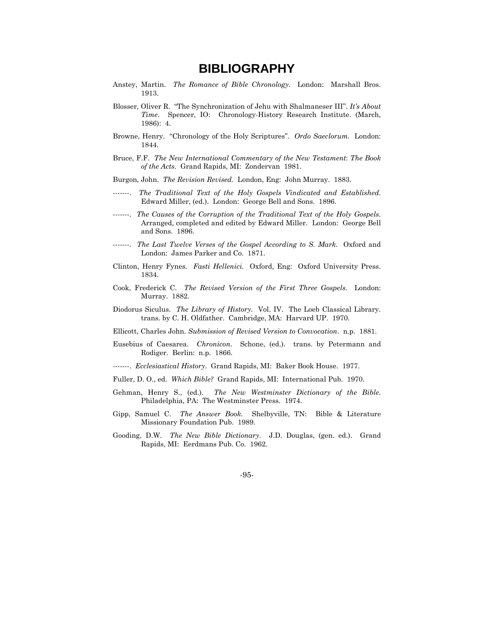# **BIBLIOGRAPHY**

- Anstey, Martin. *The Romance of Bible Chronology*. London: Marshall Bros. 1913.
- Blosser, Oliver R. "The Synchronization of Jehu with Shalmaneser III". *It's About Time*. Spencer, IO: Chronology-History Research Institute. (March, 1986): 4.
- Browne, Henry. "Chronology of the Holy Scriptures". *Ordo Saeclorum.* London: 1844.
- Bruce, F.F. *The New International Commentary of the New Testament*: *The Book of the Acts*. Grand Rapids, MI: Zondervan 1981.
- Burgon, John. *The Revision Revised.* London, Eng: John Murray. 1883.
- -------. *The Traditional Text of the Holy Gospels Vindicated and Established*. Edward Miller, (ed.). London: George Bell and Sons. 1896.
- -------. *The Causes of the Corruption of the Traditional Text of the Holy Gospels*. Arranged, completed and edited by Edward Miller. London: George Bell and Sons. 1896.
- -------. *The Last Twelve Verses of the Gospel According to S. Mark*. Oxford and London: James Parker and Co. 1871.
- Clinton, Henry Fynes. *Fasti Hellenici.* Oxford, Eng: Oxford University Press. 1834.
- Cook, Frederick C. *The Revised Version of the First Three Gospels*. London: Murray. 1882.
- Diodorus Siculus. *The Library of History*. Vol. IV. The Loeb Classical Library. trans. by C. H. Oldfather. Cambridge, MA: Harvard UP. 1970.
- Ellicott, Charles John. *Submission of Revised Version to Convocation*. n.p. 1881.
- Eusebius of Caesarea. *Chronicon*. Schone, (ed.). trans. by Petermann and Rodiger. Berlin: n.p. 1866.
- -------. *Ecclesiastical History*. Grand Rapids, MI: Baker Book House. 1977.
- Fuller, D. O., ed. *Which Bible?* Grand Rapids, MI: International Pub. 1970.
- Gehman, Henry S., (ed.). *The New Westminster Dictionary of the Bible*. Philadelphia, PA: The Westminster Press. 1974.
- Gipp, Samuel C. *The Answer Book.* Shelbyville, TN: Bible & Literature Missionary Foundation Pub. 1989.
- Gooding, D.W. *The New Bible Dictionary*. J.D. Douglas, (gen. ed.). Grand Rapids, MI: Eerdmans Pub. Co. 1962.

-95-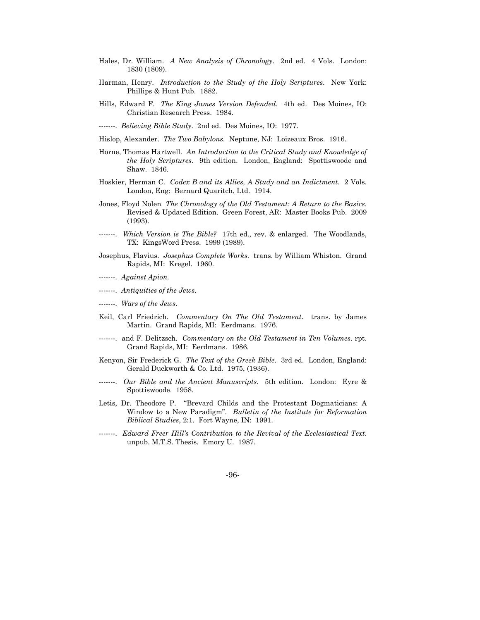- Hales, Dr. William. *A New Analysis of Chronology*. 2nd ed. 4 Vols. London: 1830 (1809).
- Harman, Henry. *Introduction to the Study of the Holy Scriptures*. New York: Phillips & Hunt Pub. 1882.
- Hills, Edward F. *The King James Version Defended*. 4th ed. Des Moines, IO: Christian Research Press. 1984.
- -------. *Believing Bible Study*. 2nd ed. Des Moines, IO: 1977.
- Hislop, Alexander. *The Two Babylons.* Neptune, NJ: Loizeaux Bros. 1916.
- Horne, Thomas Hartwell. *An Introduction to the Critical Study and Knowledge of the Holy Scriptures.* 9th edition. London, England: Spottiswoode and Shaw. 1846.
- Hoskier, Herman C. *Codex B and its Allies, A Study and an Indictment*. 2 Vols. London, Eng: Bernard Quaritch, Ltd. 1914.
- Jones, Floyd Nolen *The Chronology of the Old Testament: A Return to the Basics*. Revised & Updated Edition. Green Forest, AR: Master Books Pub. 2009 (1993).
- -------. *Which Version is The Bible?* 17th ed., rev. & enlarged. The Woodlands, TX: KingsWord Press. 1999 (1989).
- Josephus, Flavius. *Josephus Complete Works.* trans. by William Whiston. Grand Rapids, MI: Kregel. 1960.
- -------. *Against Apion.*
- -------. *Antiquities of the Jews.*
- -------. *Wars of the Jews.*
- Keil, Carl Friedrich. *Commentary On The Old Testament*. trans. by James Martin. Grand Rapids, MI: Eerdmans. 1976.
- -------. and F. Delitzsch. *Commentary on the Old Testament in Ten Volumes.* rpt. Grand Rapids, MI: Eerdmans. 1986.
- Kenyon, Sir Frederick G. *The Text of the Greek Bible*. 3rd ed. London, England: Gerald Duckworth & Co. Ltd. 1975, (1936).
- -------. *Our Bible and the Ancient Manuscripts*. 5th edition. London: Eyre & Spottiswoode. 1958.
- Letis, Dr. Theodore P. "Brevard Childs and the Protestant Dogmaticians: A Window to a New Paradigm". *Bulletin of the Institute for Reformation Biblical Studies*, 2:1. Fort Wayne, IN: 1991.
- -------. *Edward Freer Hill's Contribution to the Revival of the Ecclesiastical Text*. unpub. M.T.S. Thesis. Emory U. 1987.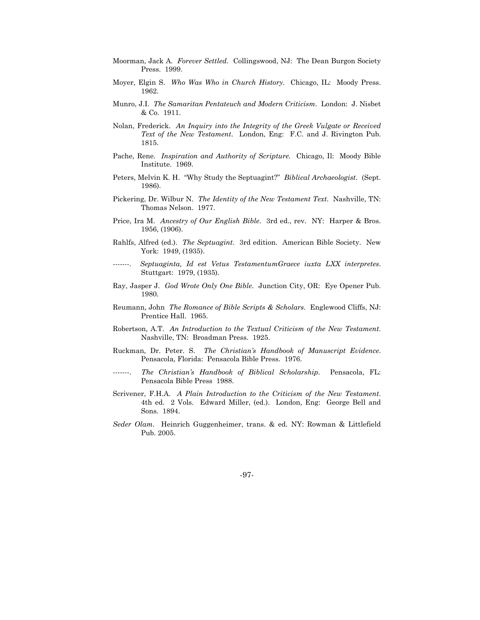- Moorman, Jack A. *Forever Settled.* Collingswood, NJ: The Dean Burgon Society Press. 1999.
- Moyer, Elgin S. *Who Was Who in Church History*. Chicago, IL: Moody Press. 1962.
- Munro, J.I. *The Samaritan Pentateuch and Modern Criticism*. London: J. Nisbet & Co. 1911.
- Nolan, Frederick. *An Inquiry into the Integrity of the Greek Vulgate or Received Text of the New Testament*. London, Eng: F.C. and J. Rivington Pub. 1815.
- Pache, Rene. *Inspiration and Authority of Scripture.* Chicago, Il: Moody Bible Institute. 1969.
- Peters, Melvin K. H. "Why Study the Septuagint?" *Biblical Archaeologist*. (Sept. 1986).
- Pickering, Dr. Wilbur N. *The Identity of the New Testament Text*. Nashville, TN: Thomas Nelson. 1977.
- Price, Ira M. *Ancestry of Our English Bible*. 3rd ed., rev. NY: Harper & Bros. 1956, (1906).
- Rahlfs, Alfred (ed.). *The Septuagint*. 3rd edition. American Bible Society. New York: 1949, (1935).
- -------. *Septuaginta, Id est Vetus TestamentumGraece iuxta LXX interpretes*. Stuttgart: 1979, (1935).
- Ray, Jasper J. *God Wrote Only One Bible*. Junction City, OR: Eye Opener Pub. 1980.
- Reumann, John *The Romance of Bible Scripts & Scholars*. Englewood Cliffs, NJ: Prentice Hall. 1965.
- Robertson, A.T. *An Introduction to the Textual Criticism of the New Testament*. Nashville, TN: Broadman Press. 1925.
- Ruckman, Dr. Peter. S. *The Christian's Handbook of Manuscript Evidence*. Pensacola, Florida: Pensacola Bible Press. 1976.
- -------. *The Christian's Handbook of Biblical Scholarship*. Pensacola, FL: Pensacola Bible Press 1988.
- Scrivener, F.H.A. *A Plain Introduction to the Criticism of the New Testament*. 4th ed. 2 Vols. Edward Miller, (ed.). London, Eng: George Bell and Sons. 1894.
- *Seder Olam*. Heinrich Guggenheimer, trans. & ed. NY: Rowman & Littlefield Pub. 2005.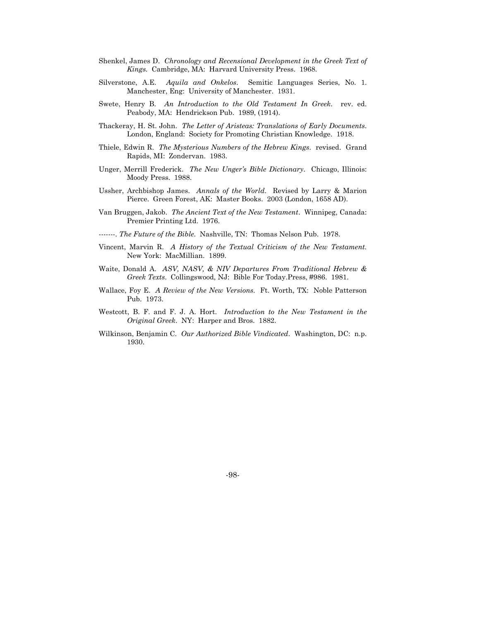- Shenkel, James D. *Chronology and Recensional Development in the Greek Text of Kings.* Cambridge, MA: Harvard University Press. 1968.
- Silverstone, A.E. *Aquila and Onkelos*. Semitic Languages Series, No. 1. Manchester, Eng: University of Manchester. 1931.
- Swete, Henry B. *An Introduction to the Old Testament In Greek*. rev. ed. Peabody, MA: Hendrickson Pub. 1989, (1914).
- Thackeray, H. St. John. *The Letter of Aristeas: Translations of Early Documents*. London, England: Society for Promoting Christian Knowledge. 1918.
- Thiele, Edwin R. *The Mysterious Numbers of the Hebrew Kings*. revised. Grand Rapids, MI: Zondervan. 1983.
- Unger, Merrill Frederick. *The New Unger's Bible Dictionary*. Chicago, Illinois: Moody Press. 1988.
- Ussher, Archbishop James. *Annals of the World*. Revised by Larry & Marion Pierce. Green Forest, AK: Master Books. 2003 (London, 1658 AD).
- Van Bruggen, Jakob. *The Ancient Text of the New Testament*. Winnipeg, Canada: Premier Printing Ltd. 1976.

-------. *The Future of the Bible*. Nashville, TN: Thomas Nelson Pub. 1978.

- Vincent, Marvin R. *A History of the Textual Criticism of the New Testament.* New York: MacMillian. 1899.
- Waite, Donald A. *ASV, NASV, & NIV Departures From Traditional Hebrew & Greek Texts*. Collingswood, NJ: Bible For Today.Press, #986. 1981.
- Wallace, Foy E. *A Review of the New Versions.* Ft. Worth, TX: Noble Patterson Pub. 1973.
- Westcott, B. F. and F. J. A. Hort. *Introduction to the New Testament in the Original Greek*. NY: Harper and Bros. 1882.
- Wilkinson, Benjamin C. *Our Authorized Bible Vindicated*. Washington, DC: n.p. 1930.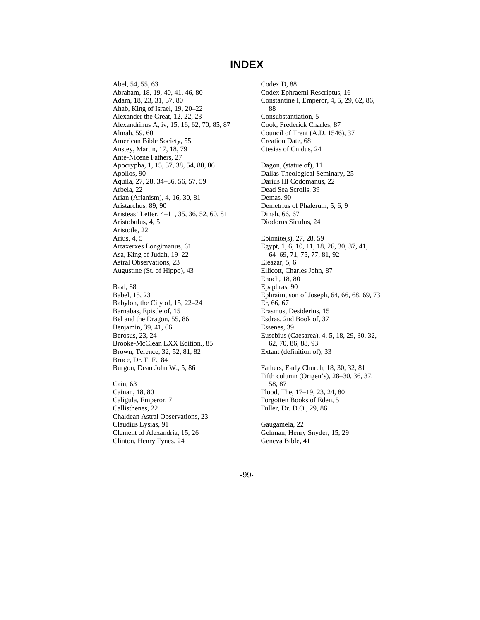## **INDEX**

Abel, 54, 55, 63 Abraham, 18, 19, 40, 41, 46, 80 Adam, 18, 23, 31, 37, 80 Ahab, King of Israel, 19, 20–22 Alexander the Great, 12, 22, 23 Alexandrinus A, iv, 15, 16, 62, 70, 85, 87 Almah, 59, 60 American Bible Society, 55 Anstey, Martin, 17, 18, 79 Ante-Nicene Fathers, 27 Apocrypha, 1, 15, 37, 38, 54, 80, 86 Apollos, 90 Aquila, 27, 28, 34–36, 56, 57, 59 Arbela, 22 Arian (Arianism), 4, 16, 30, 81 Aristarchus, 89, 90 Aristeas' Letter, 4–11, 35, 36, 52, 60, 81 Aristobulus, 4, 5 Aristotle, 22 Arius, 4, 5 Artaxerxes Longimanus, 61 Asa, King of Judah, 19–22 Astral Observations, 23 Augustine (St. of Hippo), 43 Baal, 88 Babel, 15, 23

Babylon, the City of, 15, 22–24 Barnabas, Epistle of, 15 Bel and the Dragon, 55, 86 Benjamin, 39, 41, 66 Berosus, 23, 24 Brooke-McClean LXX Edition., 85 Brown, Terence, 32, 52, 81, 82 Bruce, Dr. F. F., 84 Burgon, Dean John W., 5, 86

Cain, 63 Cainan, 18, 80 Caligula, Emperor, 7 Callisthenes, 22 Chaldean Astral Observations, 23 Claudius Lysias, 91 Clement of Alexandria, 15, 26 Clinton, Henry Fynes, 24

Codex D, 88 Codex Ephraemi Rescriptus, 16 Constantine I, Emperor, 4, 5, 29, 62, 86, 88 Consubstantiation, 5 Cook, Frederick Charles, 87 Council of Trent (A.D. 1546), 37 Creation Date, 68 Ctesias of Cnidus, 24 Dagon, (statue of), 11 Dallas Theological Seminary, 25 Darius III Codomanus, 22 Dead Sea Scrolls, 39 Demas, 90 Demetrius of Phalerum, 5, 6, 9 Dinah, 66, 67 Diodorus Siculus, 24 Ebionite(s), 27, 28, 59 Egypt, 1, 6, 10, 11, 18, 26, 30, 37, 41, 64–69, 71, 75, 77, 81, 92 Eleazar, 5, 6 Ellicott, Charles John, 87 Enoch, 18, 80 Epaphras, 90 Ephraim, son of Joseph, 64, 66, 68, 69, 73 Er, 66, 67 Erasmus, Desiderius, 15 Esdras, 2nd Book of, 37 Essenes, 39 Eusebius (Caesarea), 4, 5, 18, 29, 30, 32, 62, 70, 86, 88, 93 Extant (definition of), 33 Fathers, Early Church, 18, 30, 32, 81 Fifth column (Origen's), 28–30, 36, 37, 58, 87

Flood, The, 17–19, 23, 24, 80 Forgotten Books of Eden, 5 Fuller, Dr. D.O., 29, 86

Gaugamela, 22 Gehman, Henry Snyder, 15, 29 Geneva Bible, 41

-99-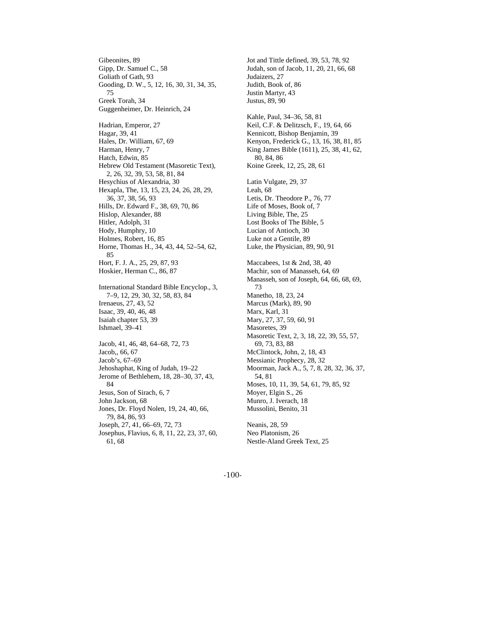Gibeonites, 89 Gipp, Dr. Samuel C., 58 Goliath of Gath, 93 Gooding, D. W., 5, 12, 16, 30, 31, 34, 35, 75 Greek Torah, 34 Guggenheimer, Dr. Heinrich, 24 Hadrian, Emperor, 27 Hagar, 39, 41 Hales, Dr. William, 67, 69 Harman, Henry, 7 Hatch, Edwin, 85 Hebrew Old Testament (Masoretic Text), 2, 26, 32, 39, 53, 58, 81, 84 Hesychius of Alexandria, 30 Hexapla, The, 13, 15, 23, 24, 26, 28, 29, 36, 37, 38, 56, 93 Hills, Dr. Edward F., 38, 69, 70, 86 Hislop, Alexander, 88 Hitler, Adolph, 31 Hody, Humphry, 10 Holmes, Robert, 16, 85 Horne, Thomas H., 34, 43, 44, 52–54, 62, 85 Hort, F. J. A., 25, 29, 87, 93 Hoskier, Herman C., 86, 87 International Standard Bible Encyclop., 3, 7–9, 12, 29, 30, 32, 58, 83, 84 Irenaeus, 27, 43, 52 Isaac, 39, 40, 46, 48 Isaiah chapter 53, 39 Ishmael, 39–41 Jacob, 41, 46, 48, 64–68, 72, 73 Jacob,, 66, 67 Jacob's, 67–69 Jehoshaphat, King of Judah, 19–22 Jerome of Bethlehem, 18, 28–30, 37, 43, 84 Jesus, Son of Sirach, 6, 7 John Jackson, 68 Jones, Dr. Floyd Nolen, 19, 24, 40, 66, 79, 84, 86, 93 Joseph, 27, 41, 66–69, 72, 73 Josephus, Flavius, 6, 8, 11, 22, 23, 37, 60, 61, 68

Jot and Tittle defined, 39, 53, 78, 92 Judah, son of Jacob, 11, 20, 21, 66, 68 Judaizers, 27 Judith, Book of, 86 Justin Martyr, 43 Justus, 89, 90 Kahle, Paul, 34–36, 58, 81 Keil, C.F. & Delitzsch, F., 19, 64, 66 Kennicott, Bishop Benjamin, 39 Kenyon, Frederick G., 13, 16, 38, 81, 85 King James Bible (1611), 25, 38, 41, 62, 80, 84, 86 Koine Greek, 12, 25, 28, 61 Latin Vulgate, 29, 37 Leah, 68 Letis, Dr. Theodore P., 76, 77 Life of Moses, Book of, 7 Living Bible, The, 25 Lost Books of The Bible, 5 Lucian of Antioch, 30 Luke not a Gentile, 89 Luke, the Physician, 89, 90, 91 Maccabees, 1st & 2nd, 38, 40 Machir, son of Manasseh, 64, 69 Manasseh, son of Joseph, 64, 66, 68, 69, 73 Manetho, 18, 23, 24 Marcus (Mark), 89, 90 Marx, Karl, 31 Mary, 27, 37, 59, 60, 91 Masoretes, 39 Masoretic Text, 2, 3, 18, 22, 39, 55, 57, 69, 73, 83, 88 McClintock, John, 2, 18, 43 Messianic Prophecy, 28, 32 Moorman, Jack A., 5, 7, 8, 28, 32, 36, 37, 54, 81 Moses, 10, 11, 39, 54, 61, 79, 85, 92 Moyer, Elgin S., 26 Munro, J. Iverach, 18 Mussolini, Benito, 31 Neanis, 28, 59

Neo Platonism, 26 Nestle-Aland Greek Text, 25

-100-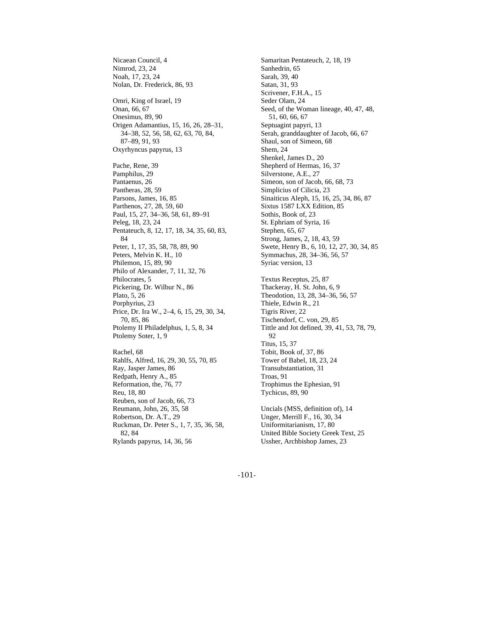Nicaean Council, 4 Nimrod, 23, 24 Noah, 17, 23, 24 Nolan, Dr. Frederick, 86, 93 Omri, King of Israel, 19 Onan, 66, 67 Onesimus, 89, 90 Origen Adamantius, 15, 16, 26, 28–31, 34–38, 52, 56, 58, 62, 63, 70, 84, 87–89, 91, 93 Oxyrhyncus papyrus, 13 Pache, Rene, 39 Pamphilus, 29 Pantaenus, 26 Pantheras, 28, 59 Parsons, James, 16, 85 Parthenos, 27, 28, 59, 60 Paul, 15, 27, 34–36, 58, 61, 89–91 Peleg, 18, 23, 24 Pentateuch, 8, 12, 17, 18, 34, 35, 60, 83, 84 Peter, 1, 17, 35, 58, 78, 89, 90 Peters, Melvin K. H., 10 Philemon, 15, 89, 90 Philo of Alexander, 7, 11, 32, 76 Philocrates, 5 Pickering, Dr. Wilbur N., 86 Plato, 5, 26 Porphyrius, 23 Price, Dr. Ira W., 2–4, 6, 15, 29, 30, 34, 70, 85, 86 Ptolemy II Philadelphus, 1, 5, 8, 34 Ptolemy Soter, 1, 9 Rachel, 68 Rahlfs, Alfred, 16, 29, 30, 55, 70, 85 Ray, Jasper James, 86 Redpath, Henry A., 85 Reformation, the, 76, 77 Reu, 18, 80 Reuben, son of Jacob, 66, 73 Reumann, John, 26, 35, 58 Robertson, Dr. A.T., 29 Ruckman, Dr. Peter S., 1, 7, 35, 36, 58,

82, 84

Rylands papyrus, 14, 36, 56

Samaritan Pentateuch, 2, 18, 19 Sanhedrin, 65 Sarah, 39, 40 Satan, 31, 93 Scrivener, F.H.A., 15 Seder Olam, 24 Seed, of the Woman lineage, 40, 47, 48, 51, 60, 66, 67 Septuagint papyri, 13 Serah, granddaughter of Jacob, 66, 67 Shaul, son of Simeon, 68 Shem, 24 Shenkel, James D., 20 Shepherd of Hermas, 16, 37 Silverstone, A.E., 27 Simeon, son of Jacob, 66, 68, 73 Simplicius of Cilicia, 23 Sinaiticus Aleph, 15, 16, 25, 34, 86, 87 Sixtus 1587 LXX Edition, 85 Sothis, Book of, 23 St. Ephriam of Syria, 16 Stephen, 65, 67 Strong, James, 2, 18, 43, 59 Swete, Henry B., 6, 10, 12, 27, 30, 34, 85 Symmachus, 28, 34–36, 56, 57 Syriac version, 13 Textus Receptus, 25, 87 Thackeray, H. St. John, 6, 9 Theodotion, 13, 28, 34–36, 56, 57 Thiele, Edwin R., 21 Tigris River, 22 Tischendorf, C. von, 29, 85 Tittle and Jot defined, 39, 41, 53, 78, 79, 92 Titus, 15, 37 Tobit, Book of, 37, 86 Tower of Babel, 18, 23, 24 Transubstantiation, 31 Troas, 91 Trophimus the Ephesian, 91 Tychicus, 89, 90 Uncials (MSS, definition of), 14 Unger, Merrill F., 16, 30, 34 Uniformitarianism, 17, 80 United Bible Society Greek Text, 25 Ussher, Archbishop James, 23

-101-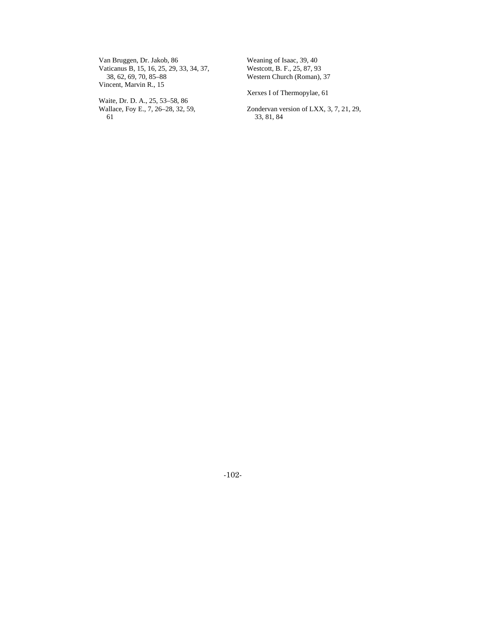Van Bruggen, Dr. Jakob, 86 Vaticanus B, 15, 16, 25, 29, 33, 34, 37, 38, 62, 69, 70, 85–88 Vincent, Marvin R., 15

Waite, Dr. D. A., 25, 53–58, 86 Wallace, Foy E., 7, 26–28, 32, 59, 61

Weaning of Isaac, 39, 40 Westcott, B. F., 25, 87, 93 Western Church (Roman), 37

Xerxes I of Thermopylae, 61

Zondervan version of LXX, 3, 7, 21, 29, 33, 81, 84

-102-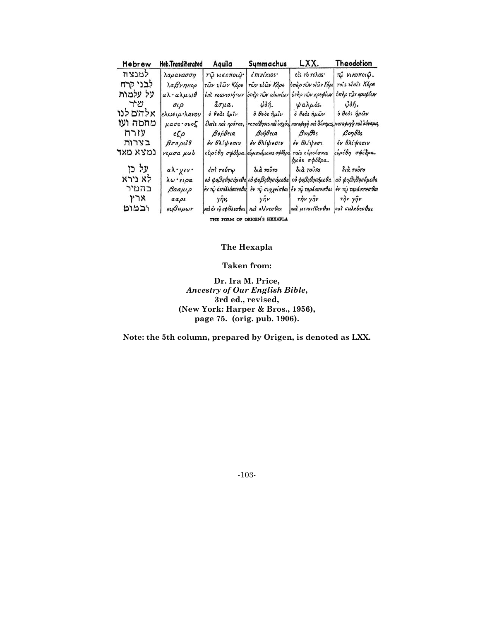| Hebrew                       | Heb.Transliterated                 | Aquila                                                  | Symmachus                                       | LXX.                                                              | Theodotion                                                                          |
|------------------------------|------------------------------------|---------------------------------------------------------|-------------------------------------------------|-------------------------------------------------------------------|-------------------------------------------------------------------------------------|
| למנצח                        | λαμανασση                          | τῷ νικοποιῷ.                                            | έπινίκιοs·                                      | είς το τελος·                                                     | τώ νικοποιώ.                                                                        |
| לבני קרח                     | λαβνηκορ                           | τῶν υίῶν Κόρε                                           | τῶν υΐῶν Κόρε                                   | ύπερ τῶν υἱῶν Κόρε                                                | rois viois Kópe                                                                     |
| על עלמות                     | αλ·αλμωθ                           | έπι γεανιοτήτων                                         | ύπερ των αίωνίων                                | ύπερ των κρυφίων                                                  | υπέρ των κρυφίων                                                                    |
| שיר                          | $\sigma \iota \rho$                | $\tilde{a}\sigma\mu a$ .                                | $\ddot{\varphi}\delta\acute{\eta}$ .            | $\psi$ a $\lambda \mu$ ós.                                        | $\ddot{\omega} \delta \acute{\eta}$ .                                               |
| אלהים לנו                    | <i>ελωειμ</i> ·λανου               | $\delta$ θεδε ήμιν   δ θεδε ήμιν                        |                                                 | ό θεός ήμων                                                       | <i>δ θεὸς ήμῶν</i>                                                                  |
| מחסה ועז                     | μασε .ουοζ                         |                                                         |                                                 |                                                                   | έλπι's και κράτοs,   πεποίθησιs και ισχύς καταφυγή και δύναμις καταφυγή και δύναμες |
| עזרה                         | $\epsilon \zeta \rho$              | βοήθεια βοήθεια                                         |                                                 | Bonθòs                                                            | $\beta$ o $\eta$ $\theta$ òs                                                        |
| בצרות                        | $\beta$ rapu <sup>3</sup> $\theta$ | έν θλίψεσιν                                             | έν θλίψεσιν                                     | έν θλίψεσι                                                        | έν θλίψεσιν                                                                         |
| נמצא מאד                     | νεμσα μωδ                          |                                                         | ευρέθη σφόδρα. ευρισκόμενος σφόδρα              | rais εύρουσαις<br><i>ήμας σφόδρα.</i>                             | εύρέθη σφόδρα.                                                                      |
| על כו                        | αλ•χεν•                            |                                                         | έπι τούτω   διά τούτο                           | διά τούτο                                                         | διὰ τοῦτο                                                                           |
| לא נירא                      | λω γιρα                            |                                                         | ού φοβηθησόμεθα ού φοβηθησόμεθα ού φοβηθησόμεθα |                                                                   | ού φοβηθησόμεθα                                                                     |
| בהמיר                        | Ваангр                             | έν τι άνταλλάσσεσθας έν τι συγχείσθαι έν τι ταράσσεσθαι |                                                 |                                                                   | έν τῷ ταράσσεσθαι                                                                   |
| ንገአ                          | $a\alpha\rho s$                    |                                                         | $y\hat{\eta}y$ , $y\hat{\eta}y$ $\hat{\eta}y$   |                                                                   | The you                                                                             |
| ובמוט                        | ουβαμωτ                            |                                                         |                                                 | και έντφ σφάλλεσθαι και κλίνεσθαι και μετατίθεσθαι και σαλεύεσθαι |                                                                                     |
| THE FORM OF ORIGEN'S HEXAPLA |                                    |                                                         |                                                 |                                                                   |                                                                                     |

#### **The Hexapla**

#### **Taken from:**

**Dr. Ira M. Price,**  *Ancestry of Our English Bible***, 3rd ed., revised, (New York: Harper & Bros., 1956), page 75. (orig. pub. 1906).** 

**Note: the 5th column, prepared by Origen, is denoted as LXX.** 

-103-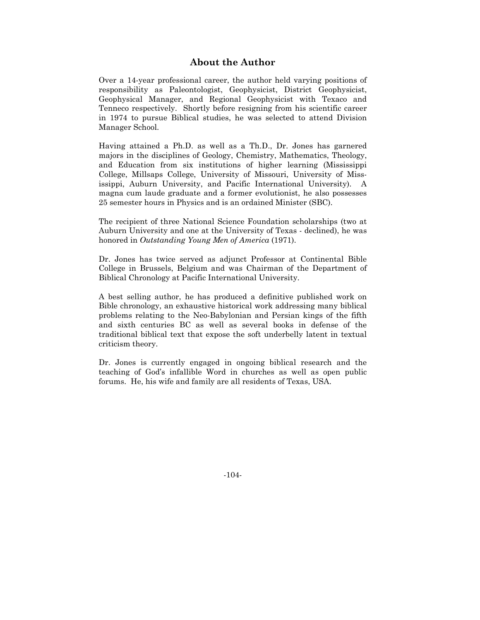#### **About the Author**

Over a 14-year professional career, the author held varying positions of responsibility as Paleontologist, Geophysicist, District Geophysicist, Geophysical Manager, and Regional Geophysicist with Texaco and Tenneco respectively. Shortly before resigning from his scientific career in 1974 to pursue Biblical studies, he was selected to attend Division Manager School.

Having attained a Ph.D. as well as a Th.D., Dr. Jones has garnered majors in the disciplines of Geology, Chemistry, Mathematics, Theology, and Education from six institutions of higher learning (Mississippi College, Millsaps College, University of Missouri, University of Mississippi, Auburn University, and Pacific International University). A magna cum laude graduate and a former evolutionist, he also possesses 25 semester hours in Physics and is an ordained Minister (SBC).

The recipient of three National Science Foundation scholarships (two at Auburn University and one at the University of Texas - declined), he was honored in *Outstanding Young Men of America* (1971).

Dr. Jones has twice served as adjunct Professor at Continental Bible College in Brussels, Belgium and was Chairman of the Department of Biblical Chronology at Pacific International University.

A best selling author, he has produced a definitive published work on Bible chronology, an exhaustive historical work addressing many biblical problems relating to the Neo-Babylonian and Persian kings of the fifth and sixth centuries BC as well as several books in defense of the traditional biblical text that expose the soft underbelly latent in textual criticism theory.

Dr. Jones is currently engaged in ongoing biblical research and the teaching of God's infallible Word in churches as well as open public forums. He, his wife and family are all residents of Texas, USA.

-104-